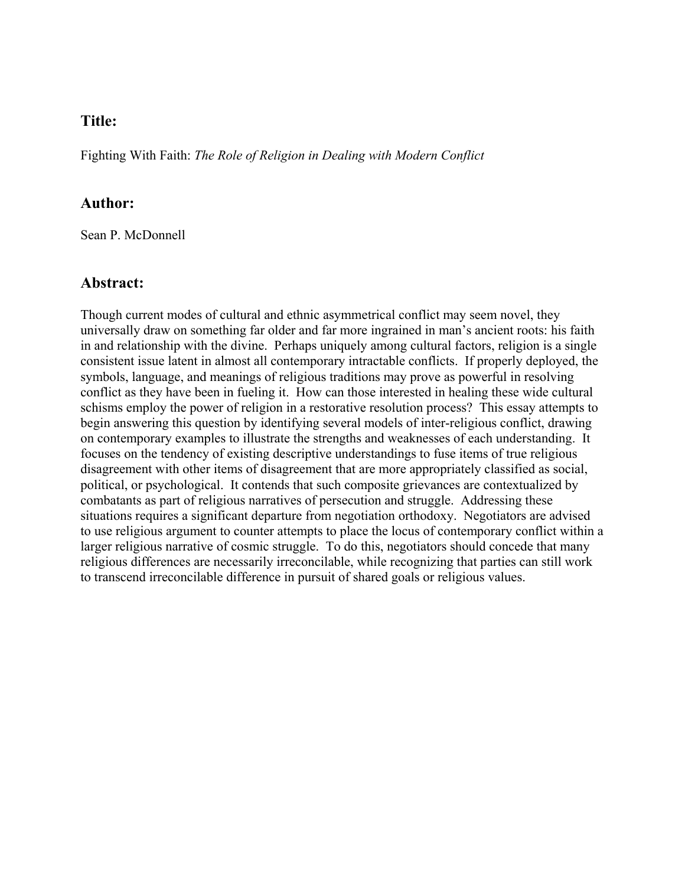# **Title:**

Fighting With Faith: *The Role of Religion in Dealing with Modern Conflict*

# **Author:**

Sean P. McDonnell

## **Abstract:**

Though current modes of cultural and ethnic asymmetrical conflict may seem novel, they universally draw on something far older and far more ingrained in man's ancient roots: his faith in and relationship with the divine. Perhaps uniquely among cultural factors, religion is a single consistent issue latent in almost all contemporary intractable conflicts. If properly deployed, the symbols, language, and meanings of religious traditions may prove as powerful in resolving conflict as they have been in fueling it. How can those interested in healing these wide cultural schisms employ the power of religion in a restorative resolution process? This essay attempts to begin answering this question by identifying several models of inter-religious conflict, drawing on contemporary examples to illustrate the strengths and weaknesses of each understanding. It focuses on the tendency of existing descriptive understandings to fuse items of true religious disagreement with other items of disagreement that are more appropriately classified as social, political, or psychological. It contends that such composite grievances are contextualized by combatants as part of religious narratives of persecution and struggle. Addressing these situations requires a significant departure from negotiation orthodoxy. Negotiators are advised to use religious argument to counter attempts to place the locus of contemporary conflict within a larger religious narrative of cosmic struggle. To do this, negotiators should concede that many religious differences are necessarily irreconcilable, while recognizing that parties can still work to transcend irreconcilable difference in pursuit of shared goals or religious values.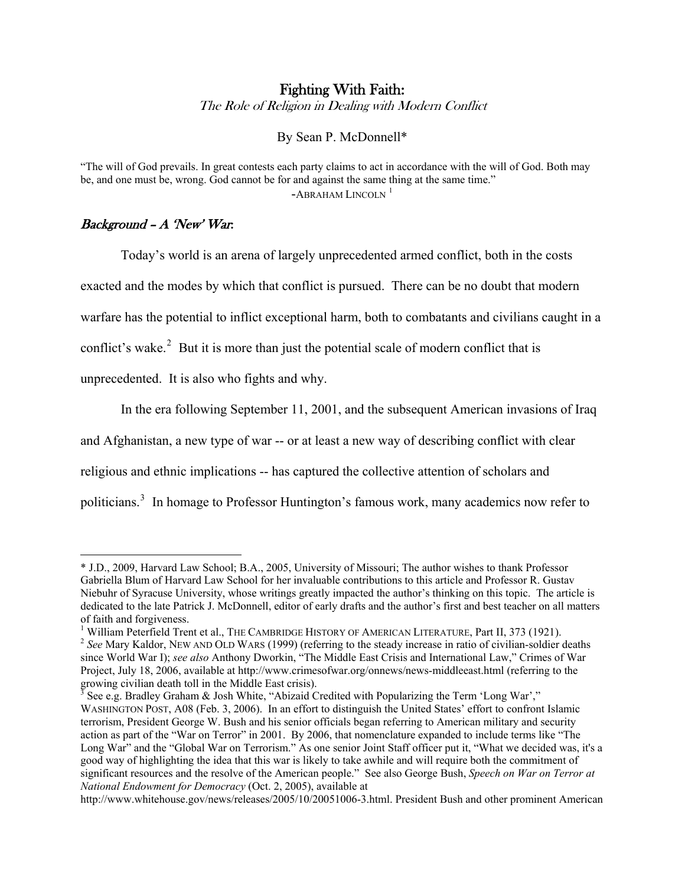# Fighting With Faith:

The Role of Religion in Dealing with Modern Conflict

By Sean P. McDonnell\*

"The will of God prevails. In great contests each party claims to act in accordance with the will of God. Both may be, and one must be, wrong. God cannot be for and against the same thing at the same time."  $-$ ABRAHAM LINCOLN<sup>[1](#page-1-0)</sup>

### $Background - A' New' War.$

 $\overline{a}$ 

Today's world is an arena of largely unprecedented armed conflict, both in the costs

exacted and the modes by which that conflict is pursued. There can be no doubt that modern

warfare has the potential to inflict exceptional harm, both to combatants and civilians caught in a

conflict's wake.<sup>[2](#page-1-1)</sup> But it is more than just the potential scale of modern conflict that is

unprecedented. It is also who fights and why.

In the era following September 11, 2001, and the subsequent American invasions of Iraq

and Afghanistan, a new type of war -- or at least a new way of describing conflict with clear

religious and ethnic implications -- has captured the collective attention of scholars and

politicians.<sup>[3](#page-1-2)</sup> In homage to Professor Huntington's famous work, many academics now refer to

<span id="page-1-0"></span><sup>\*</sup> J.D., 2009, Harvard Law School; B.A., 2005, University of Missouri; The author wishes to thank Professor Gabriella Blum of Harvard Law School for her invaluable contributions to this article and Professor R. Gustav Niebuhr of Syracuse University, whose writings greatly impacted the author's thinking on this topic. The article is dedicated to the late Patrick J. McDonnell, editor of early drafts and the author's first and best teacher on all matters of faith and forgiveness.

<sup>&</sup>lt;sup>1</sup> William Peterfield Trent et al., THE CAMBRIDGE HISTORY OF AMERICAN LITERATURE, Part II, 373 (1921).

<span id="page-1-1"></span><sup>&</sup>lt;sup>2</sup> See Mary Kaldor, NEW AND OLD WARS (1999) (referring to the steady increase in ratio of civilian-soldier deaths since World War I); *see also* Anthony Dworkin, "The Middle East Crisis and International Law," Crimes of War Project, July 18, 2006, available at http://www.crimesofwar.org/onnews/news-middleeast.html (referring to the growing civilian death toll in the Middle East crisis).

<span id="page-1-2"></span><sup>&</sup>lt;sup>3</sup> See e.g. Bradley Graham & Josh White, "Abizaid Credited with Popularizing the Term 'Long War'," WASHINGTON POST, A08 (Feb. 3, 2006). In an effort to distinguish the United States' effort to confront Islamic terrorism, President George W. Bush and his senior officials began referring to American military and security action as part of the "War on Terror" in 2001. By 2006, that nomenclature expanded to include terms like "The Long War" and the "Global War on Terrorism." As one senior Joint Staff officer put it, "What we decided was, it's a good way of highlighting the idea that this war is likely to take awhile and will require both the commitment of significant resources and the resolve of the American people." See also George Bush, *Speech on War on Terror at National Endowment for Democracy* (Oct. 2, 2005), available at

http://www.whitehouse.gov/news/releases/2005/10/20051006-3.html. President Bush and other prominent American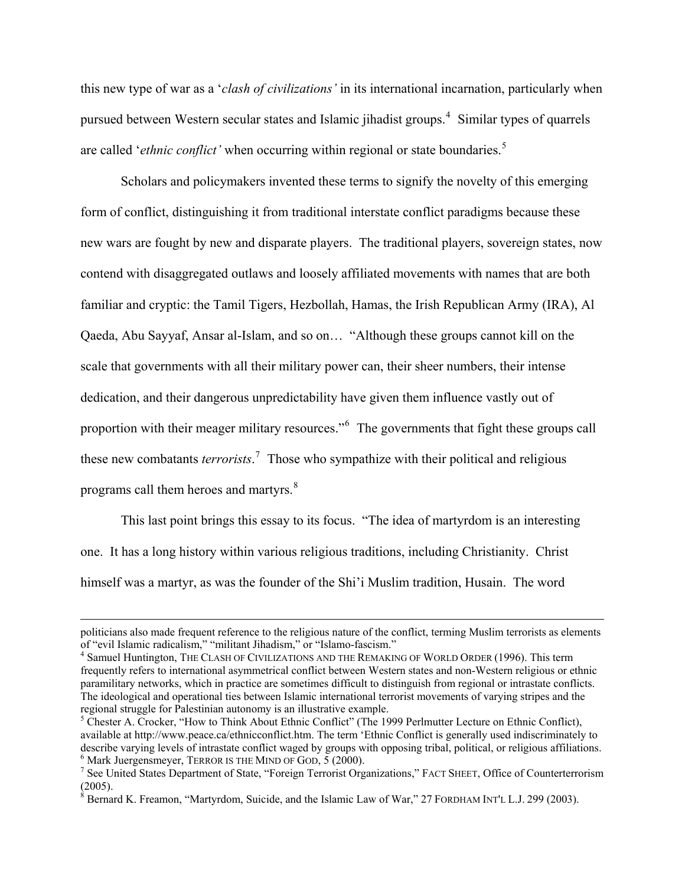this new type of war as a '*clash of civilizations'* in its international incarnation, particularly when pursued between Western secular states and Islamic jihadist groups.<sup>[4](#page-2-0)</sup> Similar types of quarrels are called *'ethnic conflict'* when occurring within regional or state boundaries.<sup>[5](#page-2-1)</sup>

Scholars and policymakers invented these terms to signify the novelty of this emerging form of conflict, distinguishing it from traditional interstate conflict paradigms because these new wars are fought by new and disparate players. The traditional players, sovereign states, now contend with disaggregated outlaws and loosely affiliated movements with names that are both familiar and cryptic: the Tamil Tigers, Hezbollah, Hamas, the Irish Republican Army (IRA), Al Qaeda, Abu Sayyaf, Ansar al-Islam, and so on… "Although these groups cannot kill on the scale that governments with all their military power can, their sheer numbers, their intense dedication, and their dangerous unpredictability have given them influence vastly out of proportion with their meager military resources."<sup>[6](#page-2-2)</sup> The governments that fight these groups call these new combatants *terrorists*. [7](#page-2-3) Those who sympathize with their political and religious programs call them heroes and martyrs.<sup>[8](#page-2-4)</sup>

This last point brings this essay to its focus. "The idea of martyrdom is an interesting one. It has a long history within various religious traditions, including Christianity. Christ himself was a martyr, as was the founder of the Shi'i Muslim tradition, Husain. The word

politicians also made frequent reference to the religious nature of the conflict, terming Muslim terrorists as elements of "evil Islamic radicalism," "militant Jihadism," or "Islamo-fascism."

<span id="page-2-0"></span><sup>&</sup>lt;sup>4</sup> Samuel Huntington, THE CLASH OF CIVILIZATIONS AND THE REMAKING OF WORLD ORDER (1996). This term frequently refers to international asymmetrical conflict between Western states and non-Western religious or ethnic paramilitary networks, which in practice are sometimes difficult to distinguish from regional or intrastate conflicts. The ideological and operational ties between Islamic international terrorist movements of varying stripes and the regional struggle for Palestinian autonomy is an illustrative example.

<span id="page-2-1"></span><sup>&</sup>lt;sup>5</sup> Chester A. Crocker, "How to Think About Ethnic Conflict" (The 1999 Perlmutter Lecture on Ethnic Conflict), available at http://www.peace.ca/ethnicconflict.htm. The term 'Ethnic Conflict is generally used indiscriminately to describe varying levels of intrastate conflict waged by groups with opposing tribal, political, or religious affiliations.  $6$  Mark Juergensmeyer, TERROR IS THE MIND OF GOD, 5 (2000).

<span id="page-2-3"></span><span id="page-2-2"></span><sup>&</sup>lt;sup>7</sup> See United States Department of State, "Foreign Terrorist Organizations," FACT SHEET, Office of Counterterrorism  $(2005).$ 

<span id="page-2-4"></span> $8$  Bernard K. Freamon, "Martyrdom, Suicide, and the Islamic Law of War," 27 FORDHAM INT'L L.J. 299 (2003).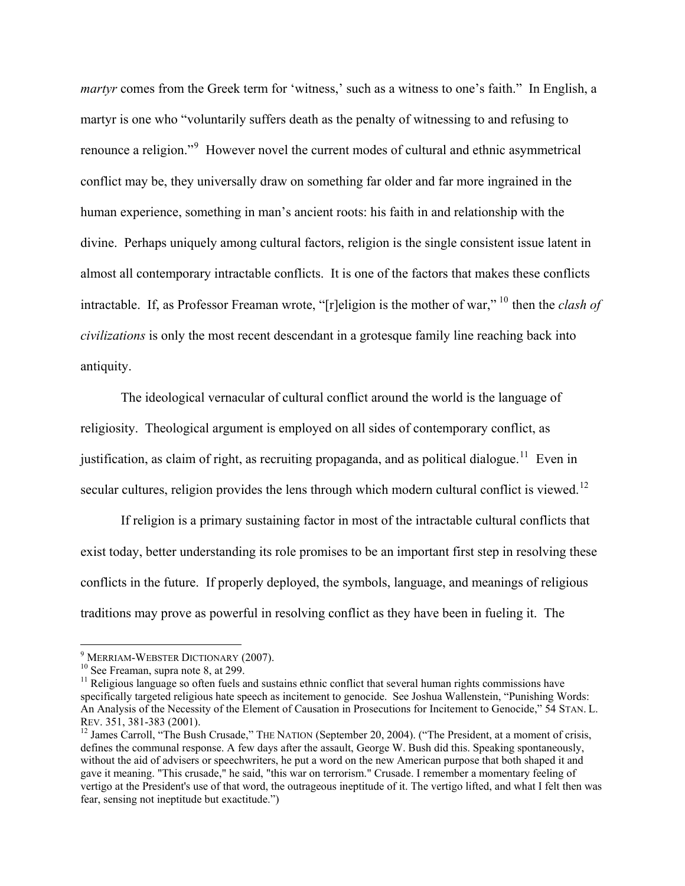*martyr* comes from the Greek term for 'witness,' such as a witness to one's faith." In English, a martyr is one who "voluntarily suffers death as the penalty of witnessing to and refusing to renounce a religion."<sup>[9](#page-3-0)</sup> However novel the current modes of cultural and ethnic asymmetrical conflict may be, they universally draw on something far older and far more ingrained in the human experience, something in man's ancient roots: his faith in and relationship with the divine. Perhaps uniquely among cultural factors, religion is the single consistent issue latent in almost all contemporary intractable conflicts. It is one of the factors that makes these conflicts intractable. If, as Professor Freaman wrote, "[r]eligion is the mother of war," [10](#page-3-1) then the *clash of civilizations* is only the most recent descendant in a grotesque family line reaching back into antiquity.

3

The ideological vernacular of cultural conflict around the world is the language of religiosity. Theological argument is employed on all sides of contemporary conflict, as justification, as claim of right, as recruiting propaganda, and as political dialogue.<sup>[11](#page-3-2)</sup> Even in secular cultures, religion provides the lens through which modern cultural conflict is viewed.<sup>[12](#page-3-3)</sup>

If religion is a primary sustaining factor in most of the intractable cultural conflicts that exist today, better understanding its role promises to be an important first step in resolving these conflicts in the future. If properly deployed, the symbols, language, and meanings of religious traditions may prove as powerful in resolving conflict as they have been in fueling it. The

<span id="page-3-0"></span><sup>&</sup>lt;sup>9</sup> MERRIAM-WEBSTER DICTIONARY (2007).

<span id="page-3-2"></span><span id="page-3-1"></span><sup>&</sup>lt;sup>10</sup> See Freaman, supra note 8, at 299.  $\frac{11}{11}$  Religious language so often fuels and sustains ethnic conflict that several human rights commissions have specifically targeted religious hate speech as incitement to genocide. See Joshua Wallenstein, "Punishing Words: An Analysis of the Necessity of the Element of Causation in Prosecutions for Incitement to Genocide," 54 STAN. L. REV. 351, 381-383 (2001).<br><sup>12</sup> James Carroll, "The Bush Crusade," THE NATION (September 20, 2004). ("The President, at a moment of crisis,

<span id="page-3-3"></span>defines the communal response. A few days after the assault, George W. Bush did this. Speaking spontaneously, without the aid of advisers or speechwriters, he put a word on the new American purpose that both shaped it and gave it meaning. "This crusade," he said, "this war on terrorism." Crusade. I remember a momentary feeling of vertigo at the President's use of that word, the outrageous ineptitude of it. The vertigo lifted, and what I felt then was fear, sensing not ineptitude but exactitude.")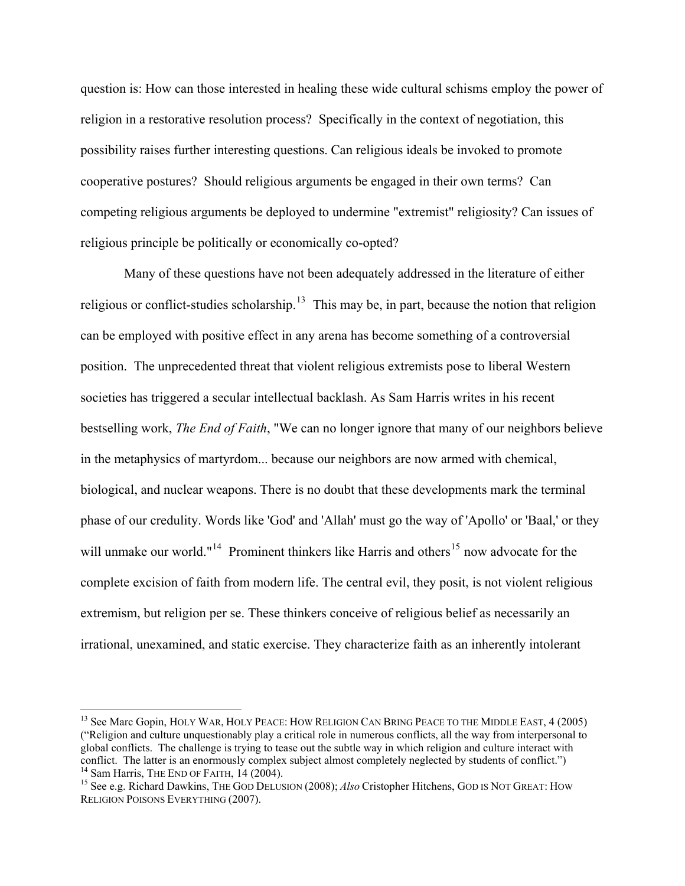question is: How can those interested in healing these wide cultural schisms employ the power of religion in a restorative resolution process? Specifically in the context of negotiation, this possibility raises further interesting questions. Can religious ideals be invoked to promote cooperative postures? Should religious arguments be engaged in their own terms? Can competing religious arguments be deployed to undermine "extremist" religiosity? Can issues of religious principle be politically or economically co-opted?

4

 Many of these questions have not been adequately addressed in the literature of either religious or conflict-studies scholarship.<sup>[13](#page-4-0)</sup> This may be, in part, because the notion that religion can be employed with positive effect in any arena has become something of a controversial position. The unprecedented threat that violent religious extremists pose to liberal Western societies has triggered a secular intellectual backlash. As Sam Harris writes in his recent bestselling work, *The End of Faith*, "We can no longer ignore that many of our neighbors believe in the metaphysics of martyrdom... because our neighbors are now armed with chemical, biological, and nuclear weapons. There is no doubt that these developments mark the terminal phase of our credulity. Words like 'God' and 'Allah' must go the way of 'Apollo' or 'Baal,' or they will unmake our world."<sup>[14](#page-4-1)</sup> Prominent thinkers like Harris and others<sup>[15](#page-4-2)</sup> now advocate for the complete excision of faith from modern life. The central evil, they posit, is not violent religious extremism, but religion per se. These thinkers conceive of religious belief as necessarily an irrational, unexamined, and static exercise. They characterize faith as an inherently intolerant

<span id="page-4-0"></span><sup>&</sup>lt;sup>13</sup> See Marc Gopin, HOLY WAR, HOLY PEACE: HOW RELIGION CAN BRING PEACE TO THE MIDDLE EAST, 4 (2005) ("Religion and culture unquestionably play a critical role in numerous conflicts, all the way from interpersonal to global conflicts. The challenge is trying to tease out the subtle way in which religion and culture interact with conflict. The latter is an enormously complex subject almost completely neglected by students of conflict." <sup>14</sup> Sam Harris, THE END OF FAITH, 14 (2004).<br><sup>15</sup> See e.g. Richard Dawkins, THE GOD DELUSION (2008); *Also* Cristopher Hitchens, GOD IS NOT GREAT: HOW

<span id="page-4-2"></span><span id="page-4-1"></span>RELIGION POISONS EVERYTHING (2007).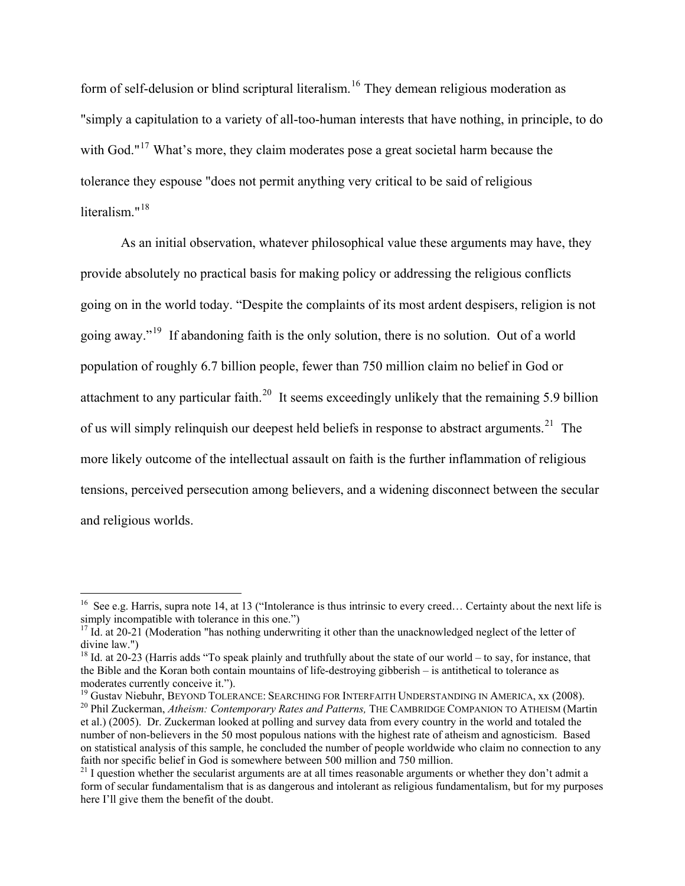form of self-delusion or blind scriptural literalism.<sup>[16](#page-5-0)</sup> They demean religious moderation as "simply a capitulation to a variety of all-too-human interests that have nothing, in principle, to do with God."<sup>[17](#page-5-1)</sup> What's more, they claim moderates pose a great societal harm because the tolerance they espouse "does not permit anything very critical to be said of religious literalism<sup>"[18](#page-5-2)</sup>

As an initial observation, whatever philosophical value these arguments may have, they provide absolutely no practical basis for making policy or addressing the religious conflicts going on in the world today. "Despite the complaints of its most ardent despisers, religion is not going away."[19](#page-5-3) If abandoning faith is the only solution, there is no solution. Out of a world population of roughly 6.7 billion people, fewer than 750 million claim no belief in God or attachment to any particular faith.<sup>[20](#page-5-4)</sup> It seems exceedingly unlikely that the remaining 5.9 billion of us will simply relinquish our deepest held beliefs in response to abstract arguments.<sup>[21](#page-5-5)</sup> The more likely outcome of the intellectual assault on faith is the further inflammation of religious tensions, perceived persecution among believers, and a widening disconnect between the secular and religious worlds.

<span id="page-5-0"></span><sup>&</sup>lt;sup>16</sup> See e.g. Harris, supra note 14, at 13 ("Intolerance is thus intrinsic to every creed... Certainty about the next life is simply incompatible with tolerance in this one.")

<span id="page-5-1"></span><sup>&</sup>lt;sup>17</sup> Id. at 20-21 (Moderation "has nothing underwriting it other than the unacknowledged neglect of the letter of divine law.")

<span id="page-5-2"></span><sup>&</sup>lt;sup>18</sup> Id. at 20-23 (Harris adds "To speak plainly and truthfully about the state of our world – to say, for instance, that the Bible and the Koran both contain mountains of life-destroying gibberish – is antithetical to tolerance as moderates currently conceive it.").<br><sup>19</sup> Gustav Niebuhr, BEYOND TOLERANCE: SEARCHING FOR INTERFAITH UNDERSTANDING IN AMERICA, xx (2008).

<span id="page-5-4"></span><span id="page-5-3"></span><sup>&</sup>lt;sup>20</sup> Phil Zuckerman, Atheism: Contemporary Rates and Patterns, THE CAMBRIDGE COMPANION TO ATHEISM (Martin et al.) (2005). Dr. Zuckerman looked at polling and survey data from every country in the world and totaled the number of non-believers in the 50 most populous nations with the highest rate of atheism and agnosticism. Based on statistical analysis of this sample, he concluded the number of people worldwide who claim no connection to any faith nor specific belief in God is somewhere between 500 million and 750 million.

<span id="page-5-5"></span> $21$  I question whether the secularist arguments are at all times reasonable arguments or whether they don't admit a form of secular fundamentalism that is as dangerous and intolerant as religious fundamentalism, but for my purposes here I'll give them the benefit of the doubt.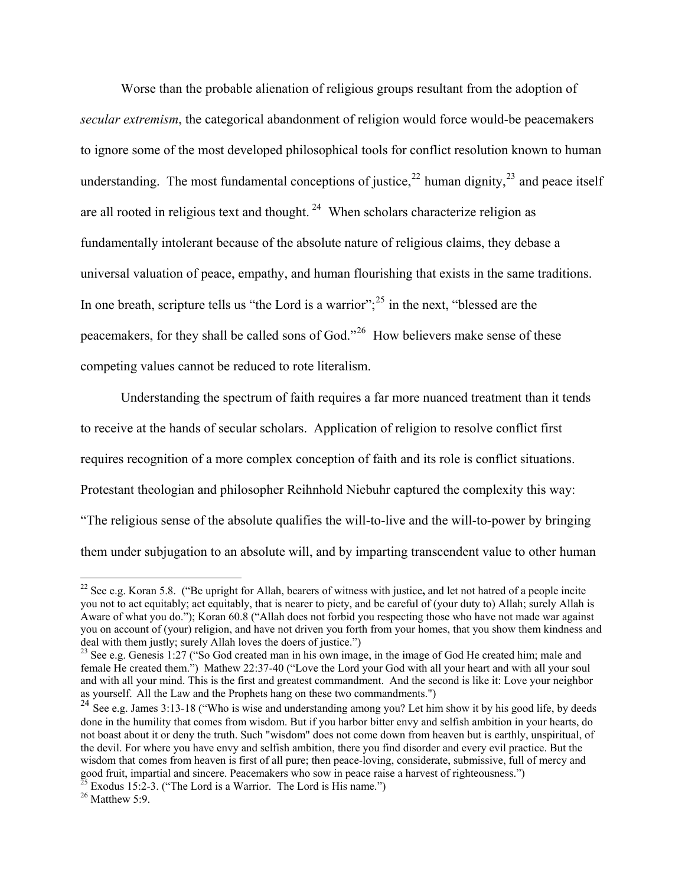Worse than the probable alienation of religious groups resultant from the adoption of *secular extremism*, the categorical abandonment of religion would force would-be peacemakers to ignore some of the most developed philosophical tools for conflict resolution known to human understanding. The most fundamental conceptions of justice,  $^{22}$  $^{22}$  $^{22}$  human dignity,  $^{23}$  $^{23}$  $^{23}$  and peace itself are all rooted in religious text and thought. <sup>[24](#page-6-2)</sup> When scholars characterize religion as fundamentally intolerant because of the absolute nature of religious claims, they debase a universal valuation of peace, empathy, and human flourishing that exists in the same traditions. In one breath, scripture tells us "the Lord is a warrior"; $^{25}$  $^{25}$  $^{25}$  in the next, "blessed are the peacemakers, for they shall be called sons of God."[26](#page-6-4) How believers make sense of these competing values cannot be reduced to rote literalism.

Understanding the spectrum of faith requires a far more nuanced treatment than it tends to receive at the hands of secular scholars. Application of religion to resolve conflict first requires recognition of a more complex conception of faith and its role is conflict situations. Protestant theologian and philosopher Reihnhold Niebuhr captured the complexity this way: "The religious sense of the absolute qualifies the will-to-live and the will-to-power by bringing them under subjugation to an absolute will, and by imparting transcendent value to other human

<span id="page-6-0"></span><sup>22</sup> See e.g. Koran 5.8. ("Be upright for Allah, bearers of witness with justice**,** and let not hatred of a people incite you not to act equitably; act equitably, that is nearer to piety, and be careful of (your duty to) Allah; surely Allah is Aware of what you do."); Koran 60.8 ("Allah does not forbid you respecting those who have not made war against you on account of (your) religion, and have not driven you forth from your homes, that you show them kindness and deal with them justly; surely Allah loves the doers of justice.")

<span id="page-6-1"></span><sup>&</sup>lt;sup>23</sup> See e.g. Genesis 1:27 ("So God created man in his own image, in the image of God He created him; male and female He created them.") Mathew 22:37-40 ("Love the Lord your God with all your heart and with all your soul and with all your mind. This is the first and greatest commandment. And the second is like it: Love your neighbor as yourself. All the Law and the Prophets hang on these two commandments.")

<span id="page-6-2"></span><sup>&</sup>lt;sup>24</sup> See e.g. James 3:13-18 ("Who is wise and understanding among you? Let him show it by his good life, by deeds done in the humility that comes from wisdom. But if you harbor bitter envy and selfish ambition in your hearts, do not boast about it or deny the truth. Such "wisdom" does not come down from heaven but is earthly, unspiritual, of the devil. For where you have envy and selfish ambition, there you find disorder and every evil practice. But the wisdom that comes from heaven is first of all pure; then peace-loving, considerate, submissive, full of mercy and good fruit, impartial and sincere. Peacemakers who sow in peace raise a harvest of righteousness.")  $^{25}$  Exodus 15:2-3. ("The Lord is a Warrior. The Lord is His name.")  $^{26}$  Matthew 5:9.

<span id="page-6-3"></span>

<span id="page-6-4"></span>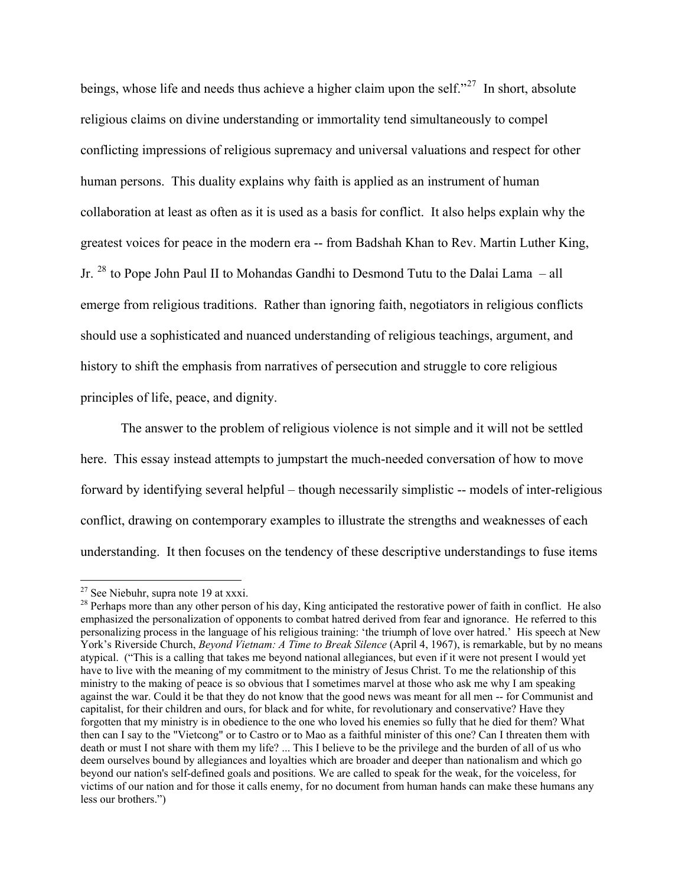beings, whose life and needs thus achieve a higher claim upon the self."<sup>[27](#page-7-0)</sup> In short, absolute religious claims on divine understanding or immortality tend simultaneously to compel conflicting impressions of religious supremacy and universal valuations and respect for other human persons. This duality explains why faith is applied as an instrument of human collaboration at least as often as it is used as a basis for conflict. It also helps explain why the greatest voices for peace in the modern era -- from Badshah Khan to Rev. Martin Luther King, Jr. [28](#page-7-1) to Pope John Paul II to Mohandas Gandhi to Desmond Tutu to the Dalai Lama – all emerge from religious traditions. Rather than ignoring faith, negotiators in religious conflicts should use a sophisticated and nuanced understanding of religious teachings, argument, and history to shift the emphasis from narratives of persecution and struggle to core religious principles of life, peace, and dignity.

The answer to the problem of religious violence is not simple and it will not be settled here. This essay instead attempts to jumpstart the much-needed conversation of how to move forward by identifying several helpful – though necessarily simplistic -- models of inter-religious conflict, drawing on contemporary examples to illustrate the strengths and weaknesses of each understanding. It then focuses on the tendency of these descriptive understandings to fuse items

 $27$  See Niebuhr, supra note 19 at xxxi.

<span id="page-7-1"></span><span id="page-7-0"></span><sup>&</sup>lt;sup>28</sup> Perhaps more than any other person of his day, King anticipated the restorative power of faith in conflict. He also emphasized the personalization of opponents to combat hatred derived from fear and ignorance. He referred to this personalizing process in the language of his religious training: 'the triumph of love over hatred.' His speech at New York's Riverside Church, *Beyond Vietnam: A Time to Break Silence* (April 4, 1967), is remarkable, but by no means atypical. ("This is a calling that takes me beyond national allegiances, but even if it were not present I would yet have to live with the meaning of my commitment to the ministry of Jesus Christ. To me the relationship of this ministry to the making of peace is so obvious that I sometimes marvel at those who ask me why I am speaking against the war. Could it be that they do not know that the good news was meant for all men -- for Communist and capitalist, for their children and ours, for black and for white, for revolutionary and conservative? Have they forgotten that my ministry is in obedience to the one who loved his enemies so fully that he died for them? What then can I say to the "Vietcong" or to Castro or to Mao as a faithful minister of this one? Can I threaten them with death or must I not share with them my life? ... This I believe to be the privilege and the burden of all of us who deem ourselves bound by allegiances and loyalties which are broader and deeper than nationalism and which go beyond our nation's self-defined goals and positions. We are called to speak for the weak, for the voiceless, for victims of our nation and for those it calls enemy, for no document from human hands can make these humans any less our brothers.")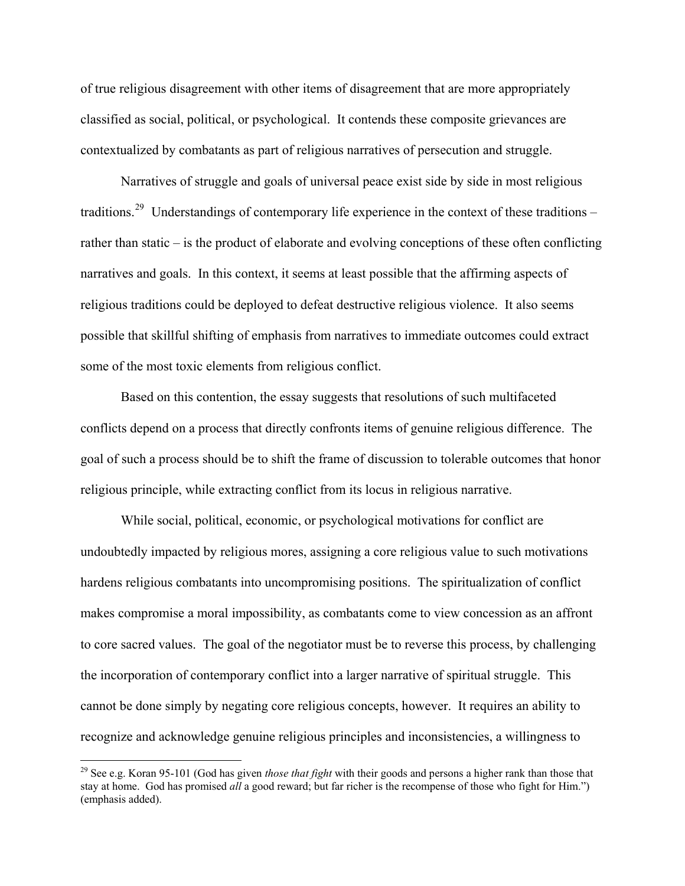of true religious disagreement with other items of disagreement that are more appropriately classified as social, political, or psychological. It contends these composite grievances are contextualized by combatants as part of religious narratives of persecution and struggle.

**88** 

Narratives of struggle and goals of universal peace exist side by side in most religious traditions.<sup>[29](#page-8-0)</sup> Understandings of contemporary life experience in the context of these traditions – rather than static – is the product of elaborate and evolving conceptions of these often conflicting narratives and goals. In this context, it seems at least possible that the affirming aspects of religious traditions could be deployed to defeat destructive religious violence. It also seems possible that skillful shifting of emphasis from narratives to immediate outcomes could extract some of the most toxic elements from religious conflict.

Based on this contention, the essay suggests that resolutions of such multifaceted conflicts depend on a process that directly confronts items of genuine religious difference. The goal of such a process should be to shift the frame of discussion to tolerable outcomes that honor religious principle, while extracting conflict from its locus in religious narrative.

While social, political, economic, or psychological motivations for conflict are undoubtedly impacted by religious mores, assigning a core religious value to such motivations hardens religious combatants into uncompromising positions. The spiritualization of conflict makes compromise a moral impossibility, as combatants come to view concession as an affront to core sacred values. The goal of the negotiator must be to reverse this process, by challenging the incorporation of contemporary conflict into a larger narrative of spiritual struggle. This cannot be done simply by negating core religious concepts, however. It requires an ability to recognize and acknowledge genuine religious principles and inconsistencies, a willingness to

<span id="page-8-0"></span><sup>29</sup> See e.g. Koran 95-101 (God has given *those that fight* with their goods and persons a higher rank than those that stay at home. God has promised *all* a good reward; but far richer is the recompense of those who fight for Him.") (emphasis added).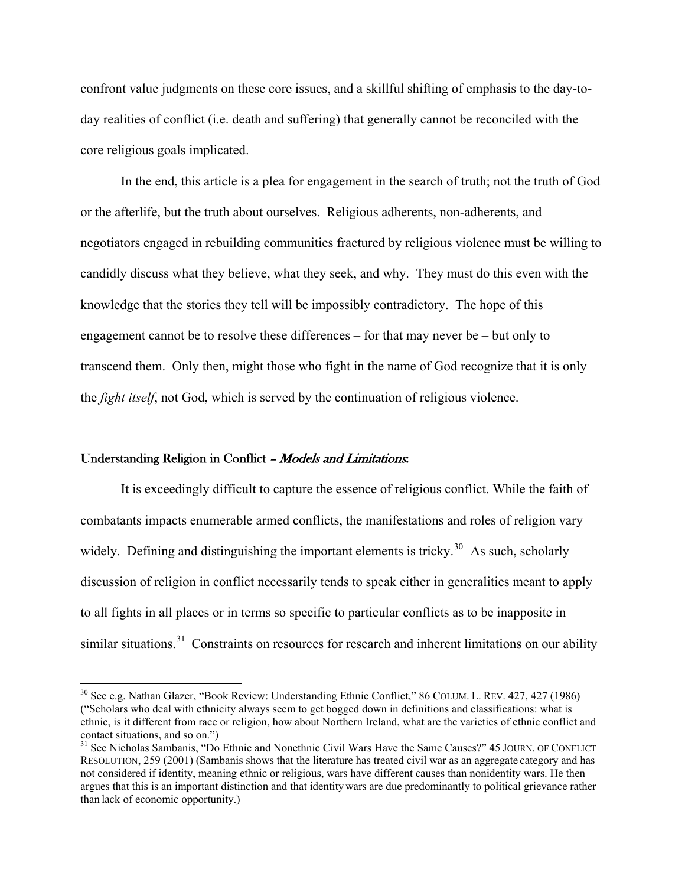confront value judgments on these core issues, and a skillful shifting of emphasis to the day-today realities of conflict (i.e. death and suffering) that generally cannot be reconciled with the core religious goals implicated.

9

In the end, this article is a plea for engagement in the search of truth; not the truth of God or the afterlife, but the truth about ourselves. Religious adherents, non-adherents, and negotiators engaged in rebuilding communities fractured by religious violence must be willing to candidly discuss what they believe, what they seek, and why. They must do this even with the knowledge that the stories they tell will be impossibly contradictory. The hope of this engagement cannot be to resolve these differences – for that may never be – but only to transcend them. Only then, might those who fight in the name of God recognize that it is only the *fight itself*, not God, which is served by the continuation of religious violence.

#### Understanding Religion in Conflict - Models and Limitations:

 $\overline{a}$ 

It is exceedingly difficult to capture the essence of religious conflict. While the faith of combatants impacts enumerable armed conflicts, the manifestations and roles of religion vary widely. Defining and distinguishing the important elements is tricky.<sup>[30](#page-9-0)</sup> As such, scholarly discussion of religion in conflict necessarily tends to speak either in generalities meant to apply to all fights in all places or in terms so specific to particular conflicts as to be inapposite in similar situations.<sup>[31](#page-9-1)</sup> Constraints on resources for research and inherent limitations on our ability

<span id="page-9-0"></span><sup>30</sup> See e.g. Nathan Glazer, "Book Review: Understanding Ethnic Conflict," 86 COLUM. L. REV. 427, 427 (1986) ("Scholars who deal with ethnicity always seem to get bogged down in definitions and classifications: what is ethnic, is it different from race or religion, how about Northern Ireland, what are the varieties of ethnic conflict and contact situations, and so on.")

<span id="page-9-1"></span><sup>&</sup>lt;sup>31</sup> See Nicholas Sambanis, "Do Ethnic and Nonethnic Civil Wars Have the Same Causes?" 45 JOURN. OF CONFLICT RESOLUTION, 259 (2001) (Sambanis shows that the literature has treated civil war as an aggregate category and has not considered if identity, meaning ethnic or religious, wars have different causes than nonidentity wars. He then argues that this is an important distinction and that identitywars are due predominantly to political grievance rather than lack of economic opportunity.)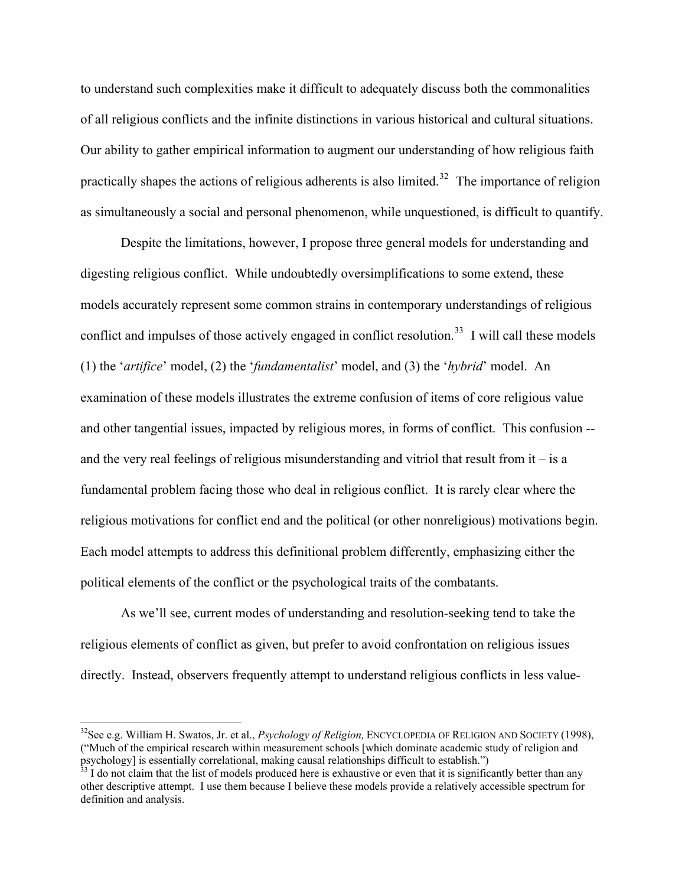to understand such complexities make it difficult to adequately discuss both the commonalities of all religious conflicts and the infinite distinctions in various historical and cultural situations. Our ability to gather empirical information to augment our understanding of how religious faith practically shapes the actions of religious adherents is also limited.<sup>[32](#page-10-0)</sup> The importance of religion as simultaneously a social and personal phenomenon, while unquestioned, is difficult to quantify.

10

Despite the limitations, however, I propose three general models for understanding and digesting religious conflict. While undoubtedly oversimplifications to some extend, these models accurately represent some common strains in contemporary understandings of religious conflict and impulses of those actively engaged in conflict resolution.<sup>[33](#page-10-1)</sup> I will call these models (1) the '*artifice*' model, (2) the '*fundamentalist*' model, and (3) the '*hybrid*' model. An examination of these models illustrates the extreme confusion of items of core religious value and other tangential issues, impacted by religious mores, in forms of conflict. This confusion - and the very real feelings of religious misunderstanding and vitriol that result from  $it - is a$ fundamental problem facing those who deal in religious conflict. It is rarely clear where the religious motivations for conflict end and the political (or other nonreligious) motivations begin. Each model attempts to address this definitional problem differently, emphasizing either the political elements of the conflict or the psychological traits of the combatants.

As we'll see, current modes of understanding and resolution-seeking tend to take the religious elements of conflict as given, but prefer to avoid confrontation on religious issues directly. Instead, observers frequently attempt to understand religious conflicts in less value-

<span id="page-10-0"></span><sup>32</sup>See e.g. William H. Swatos, Jr. et al., *Psychology of Religion,* ENCYCLOPEDIA OF RELIGION AND SOCIETY (1998), ("Much of the empirical research within measurement schools [which dominate academic study of religion and psychology] is essentially correlational, making causal relationships difficult to establish.")  $33$  I do not claim that the list of models produced here is exhaustive or even that it is significantly better than any

<span id="page-10-1"></span>other descriptive attempt. I use them because I believe these models provide a relatively accessible spectrum for definition and analysis.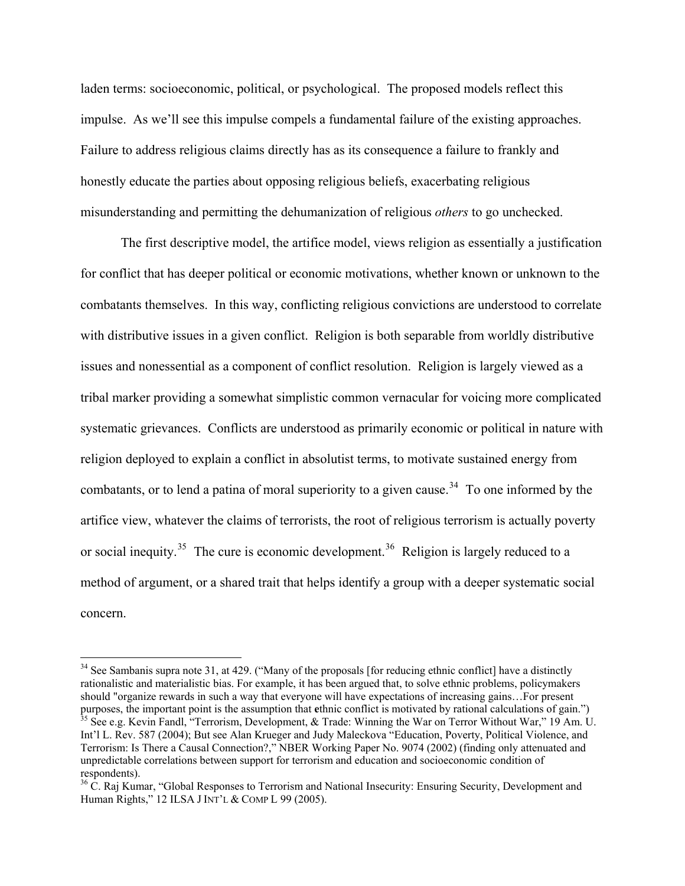laden terms: socioeconomic, political, or psychological. The proposed models reflect this impulse. As we'll see this impulse compels a fundamental failure of the existing approaches. Failure to address religious claims directly has as its consequence a failure to frankly and honestly educate the parties about opposing religious beliefs, exacerbating religious misunderstanding and permitting the dehumanization of religious *others* to go unchecked.

The first descriptive model, the artifice model, views religion as essentially a justification for conflict that has deeper political or economic motivations, whether known or unknown to the combatants themselves. In this way, conflicting religious convictions are understood to correlate with distributive issues in a given conflict. Religion is both separable from worldly distributive issues and nonessential as a component of conflict resolution. Religion is largely viewed as a tribal marker providing a somewhat simplistic common vernacular for voicing more complicated systematic grievances. Conflicts are understood as primarily economic or political in nature with religion deployed to explain a conflict in absolutist terms, to motivate sustained energy from combatants, or to lend a patina of moral superiority to a given cause.<sup>[34](#page-11-0)</sup> To one informed by the artifice view, whatever the claims of terrorists, the root of religious terrorism is actually poverty or social inequity.<sup>[35](#page-11-1)</sup> The cure is economic development.<sup>[36](#page-11-2)</sup> Religion is largely reduced to a method of argument, or a shared trait that helps identify a group with a deeper systematic social concern.

<span id="page-11-1"></span><span id="page-11-0"></span><sup>&</sup>lt;sup>34</sup> See Sambanis supra note 31, at 429. ("Many of the proposals [for reducing ethnic conflict] have a distinctly rationalistic and materialistic bias. For example, it has been argued that, to solve ethnic problems, policymakers should "organize rewards in such a way that everyone will have expectations of increasing gains…For present purposes, the important point is the assumption that ethnic conflict is motivated by rational calculations of gain.")<br><sup>35</sup> See e.g. Kevin Fandl, "Terrorism, Development, & Trade: Winning the War on Terror Without War," 19 Int'l L. Rev. 587 (2004); But see Alan Krueger and Judy Maleckova "Education, Poverty, Political Violence, and Terrorism: Is There a Causal Connection?," NBER Working Paper No. 9074 (2002) (finding only attenuated and unpredictable correlations between support for terrorism and education and socioeconomic condition of respondents).

<span id="page-11-2"></span><sup>&</sup>lt;sup>36</sup> C. Raj Kumar, "Global Responses to Terrorism and National Insecurity: Ensuring Security, Development and Human Rights," 12 ILSA J INT'L & COMP L 99 (2005).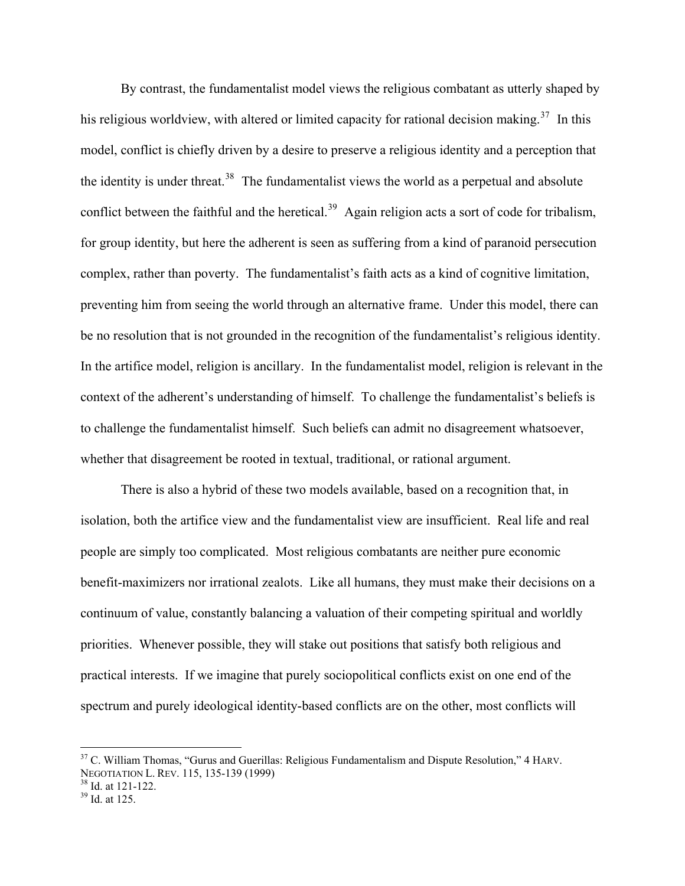By contrast, the fundamentalist model views the religious combatant as utterly shaped by his religious worldview, with altered or limited capacity for rational decision making.<sup>[37](#page-12-0)</sup> In this model, conflict is chiefly driven by a desire to preserve a religious identity and a perception that the identity is under threat.<sup>[38](#page-12-1)</sup> The fundamentalist views the world as a perpetual and absolute conflict between the faithful and the heretical.<sup>[39](#page-12-2)</sup> Again religion acts a sort of code for tribalism, for group identity, but here the adherent is seen as suffering from a kind of paranoid persecution complex, rather than poverty. The fundamentalist's faith acts as a kind of cognitive limitation, preventing him from seeing the world through an alternative frame. Under this model, there can be no resolution that is not grounded in the recognition of the fundamentalist's religious identity. In the artifice model, religion is ancillary. In the fundamentalist model, religion is relevant in the context of the adherent's understanding of himself. To challenge the fundamentalist's beliefs is to challenge the fundamentalist himself. Such beliefs can admit no disagreement whatsoever, whether that disagreement be rooted in textual, traditional, or rational argument.

There is also a hybrid of these two models available, based on a recognition that, in isolation, both the artifice view and the fundamentalist view are insufficient. Real life and real people are simply too complicated. Most religious combatants are neither pure economic benefit-maximizers nor irrational zealots. Like all humans, they must make their decisions on a continuum of value, constantly balancing a valuation of their competing spiritual and worldly priorities. Whenever possible, they will stake out positions that satisfy both religious and practical interests. If we imagine that purely sociopolitical conflicts exist on one end of the spectrum and purely ideological identity-based conflicts are on the other, most conflicts will

<span id="page-12-0"></span><sup>&</sup>lt;sup>37</sup> C. William Thomas, "Gurus and Guerillas: Religious Fundamentalism and Dispute Resolution," 4 HARV. NEGOTIATION L. REV. 115, 135-139 (1999)

<span id="page-12-1"></span> $\frac{38}{39}$  Id. at 121-122.<br> $\frac{39}{10}$  Id. at 125.

<span id="page-12-2"></span>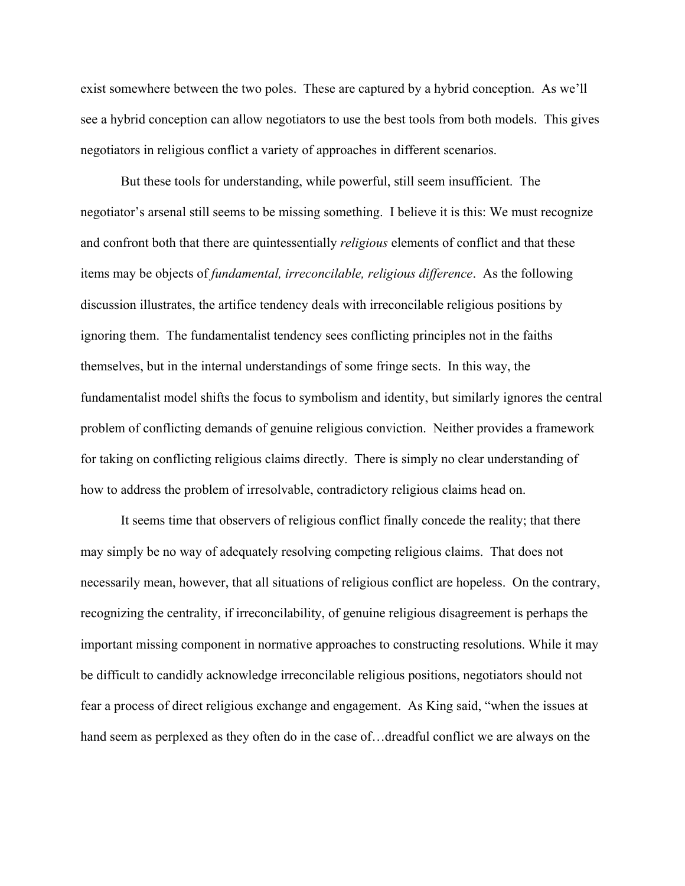exist somewhere between the two poles. These are captured by a hybrid conception. As we'll see a hybrid conception can allow negotiators to use the best tools from both models. This gives negotiators in religious conflict a variety of approaches in different scenarios.

13

But these tools for understanding, while powerful, still seem insufficient. The negotiator's arsenal still seems to be missing something. I believe it is this: We must recognize and confront both that there are quintessentially *religious* elements of conflict and that these items may be objects of *fundamental, irreconcilable, religious difference*. As the following discussion illustrates, the artifice tendency deals with irreconcilable religious positions by ignoring them. The fundamentalist tendency sees conflicting principles not in the faiths themselves, but in the internal understandings of some fringe sects. In this way, the fundamentalist model shifts the focus to symbolism and identity, but similarly ignores the central problem of conflicting demands of genuine religious conviction. Neither provides a framework for taking on conflicting religious claims directly. There is simply no clear understanding of how to address the problem of irresolvable, contradictory religious claims head on.

It seems time that observers of religious conflict finally concede the reality; that there may simply be no way of adequately resolving competing religious claims. That does not necessarily mean, however, that all situations of religious conflict are hopeless. On the contrary, recognizing the centrality, if irreconcilability, of genuine religious disagreement is perhaps the important missing component in normative approaches to constructing resolutions. While it may be difficult to candidly acknowledge irreconcilable religious positions, negotiators should not fear a process of direct religious exchange and engagement. As King said, "when the issues at hand seem as perplexed as they often do in the case of... dreadful conflict we are always on the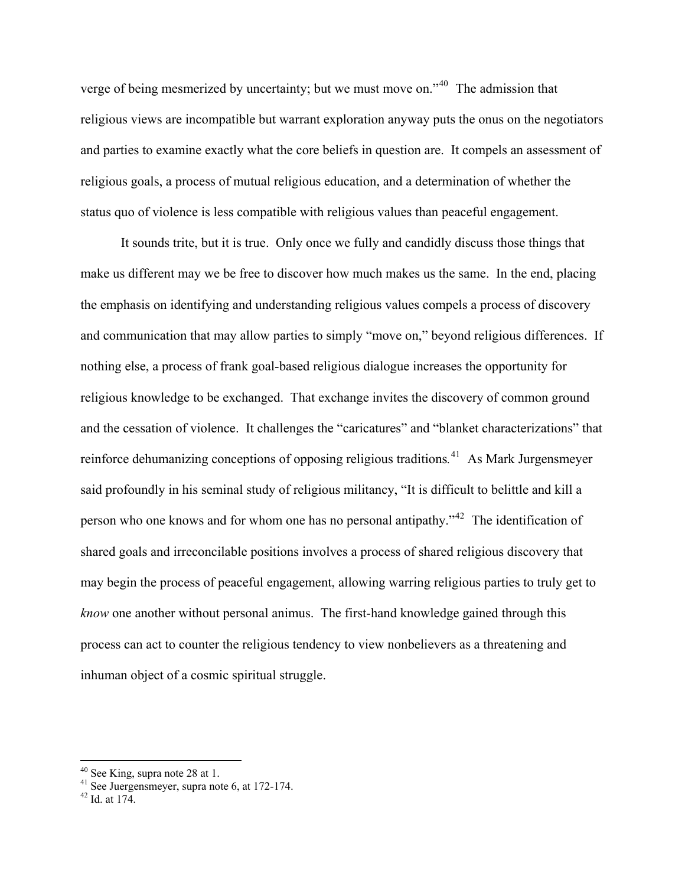verge of being mesmerized by uncertainty; but we must move on."[40](#page-14-0) The admission that religious views are incompatible but warrant exploration anyway puts the onus on the negotiators and parties to examine exactly what the core beliefs in question are. It compels an assessment of religious goals, a process of mutual religious education, and a determination of whether the status quo of violence is less compatible with religious values than peaceful engagement.

14

It sounds trite, but it is true. Only once we fully and candidly discuss those things that make us different may we be free to discover how much makes us the same. In the end, placing the emphasis on identifying and understanding religious values compels a process of discovery and communication that may allow parties to simply "move on," beyond religious differences. If nothing else, a process of frank goal-based religious dialogue increases the opportunity for religious knowledge to be exchanged. That exchange invites the discovery of common ground and the cessation of violence. It challenges the "caricatures" and "blanket characterizations" that reinforce dehumanizing conceptions of opposing religious traditions*.* [41](#page-14-1) As Mark Jurgensmeyer said profoundly in his seminal study of religious militancy, "It is difficult to belittle and kill a person who one knows and for whom one has no personal antipathy."[42](#page-14-2) The identification of shared goals and irreconcilable positions involves a process of shared religious discovery that may begin the process of peaceful engagement, allowing warring religious parties to truly get to *know* one another without personal animus. The first-hand knowledge gained through this process can act to counter the religious tendency to view nonbelievers as a threatening and inhuman object of a cosmic spiritual struggle.

<span id="page-14-0"></span> $40$  See King, supra note 28 at 1.

<span id="page-14-1"></span><sup>&</sup>lt;sup>41</sup> See Juergensmeyer, supra note 6, at 172-174.

<span id="page-14-2"></span> $42$  Id. at 174.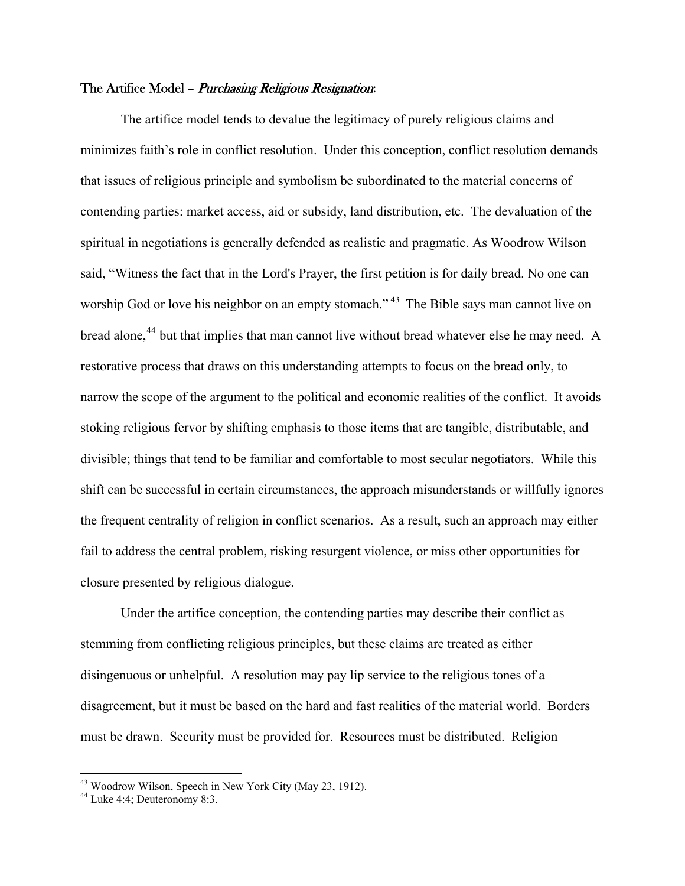### The Artifice Model - Purchasing Religious Resignation:

 The artifice model tends to devalue the legitimacy of purely religious claims and minimizes faith's role in conflict resolution. Under this conception, conflict resolution demands that issues of religious principle and symbolism be subordinated to the material concerns of contending parties: market access, aid or subsidy, land distribution, etc. The devaluation of the spiritual in negotiations is generally defended as realistic and pragmatic. As Woodrow Wilson said, "Witness the fact that in the Lord's Prayer, the first petition is for daily bread. No one can worship God or love his neighbor on an empty stomach."<sup>[43](#page-15-0)</sup> The Bible says man cannot live on bread alone,<sup>[44](#page-15-1)</sup> but that implies that man cannot live without bread whatever else he may need. A restorative process that draws on this understanding attempts to focus on the bread only, to narrow the scope of the argument to the political and economic realities of the conflict. It avoids stoking religious fervor by shifting emphasis to those items that are tangible, distributable, and divisible; things that tend to be familiar and comfortable to most secular negotiators. While this shift can be successful in certain circumstances, the approach misunderstands or willfully ignores the frequent centrality of religion in conflict scenarios. As a result, such an approach may either fail to address the central problem, risking resurgent violence, or miss other opportunities for closure presented by religious dialogue.

Under the artifice conception, the contending parties may describe their conflict as stemming from conflicting religious principles, but these claims are treated as either disingenuous or unhelpful. A resolution may pay lip service to the religious tones of a disagreement, but it must be based on the hard and fast realities of the material world. Borders must be drawn. Security must be provided for. Resources must be distributed. Religion

<span id="page-15-0"></span><sup>&</sup>lt;sup>43</sup> Woodrow Wilson, Speech in New York City (May 23, 1912).

<span id="page-15-1"></span><sup>44</sup> Luke 4:4; Deuteronomy 8:3.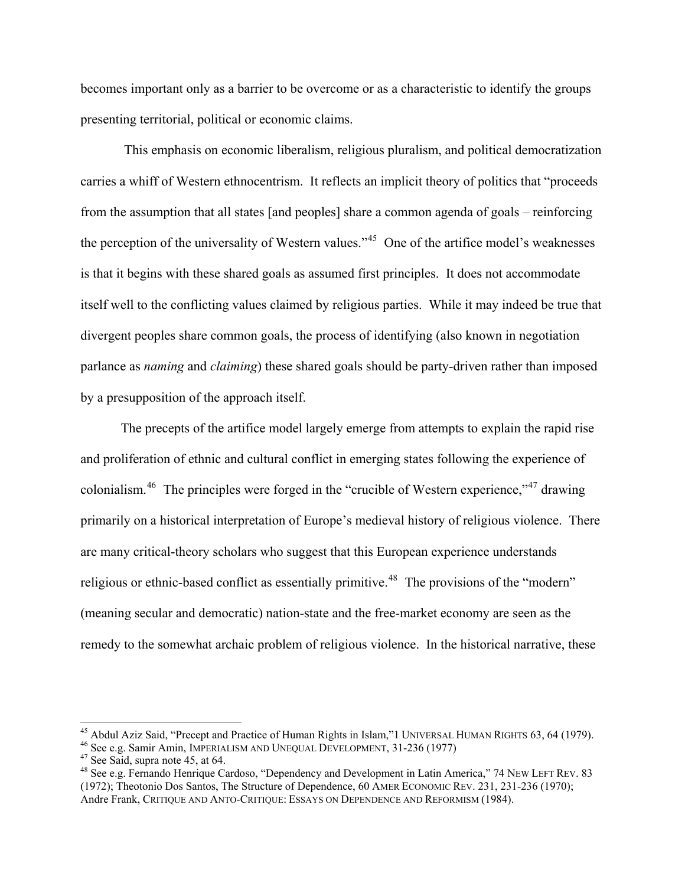becomes important only as a barrier to be overcome or as a characteristic to identify the groups presenting territorial, political or economic claims.

16

 This emphasis on economic liberalism, religious pluralism, and political democratization carries a whiff of Western ethnocentrism. It reflects an implicit theory of politics that "proceeds from the assumption that all states [and peoples] share a common agenda of goals – reinforcing the perception of the universality of Western values."[45](#page-16-0) One of the artifice model's weaknesses is that it begins with these shared goals as assumed first principles. It does not accommodate itself well to the conflicting values claimed by religious parties. While it may indeed be true that divergent peoples share common goals, the process of identifying (also known in negotiation parlance as *naming* and *claiming*) these shared goals should be party-driven rather than imposed by a presupposition of the approach itself.

The precepts of the artifice model largely emerge from attempts to explain the rapid rise and proliferation of ethnic and cultural conflict in emerging states following the experience of colonialism.<sup>[46](#page-16-1)</sup> The principles were forged in the "crucible of Western experience,"<sup>47</sup> drawing primarily on a historical interpretation of Europe's medieval history of religious violence. There are many critical-theory scholars who suggest that this European experience understands religious or ethnic-based conflict as essentially primitive.<sup>[48](#page-16-3)</sup> The provisions of the "modern" (meaning secular and democratic) nation-state and the free-market economy are seen as the remedy to the somewhat archaic problem of religious violence. In the historical narrative, these

<span id="page-16-0"></span><sup>&</sup>lt;sup>45</sup> Abdul Aziz Said, "Precept and Practice of Human Rights in Islam,"1 UNIVERSAL HUMAN RIGHTS 63, 64 (1979).<br><sup>46</sup> See e.g. Samir Amin, IMPERIALISM AND UNEQUAL DEVELOPMENT, 31-236 (1977)<br><sup>47</sup> See Said, supra note 45, at 6

<span id="page-16-2"></span><span id="page-16-1"></span>

<span id="page-16-3"></span><sup>&</sup>lt;sup>48</sup> See e.g. Fernando Henrique Cardoso, "Dependency and Development in Latin America," 74 NEW LEFT REV. 83 (1972); Theotonio Dos Santos, The Structure of Dependence, 60 AMER ECONOMIC REV. 231, 231-236 (1970); Andre Frank, CRITIQUE AND ANTO-CRITIQUE: ESSAYS ON DEPENDENCE AND REFORMISM (1984).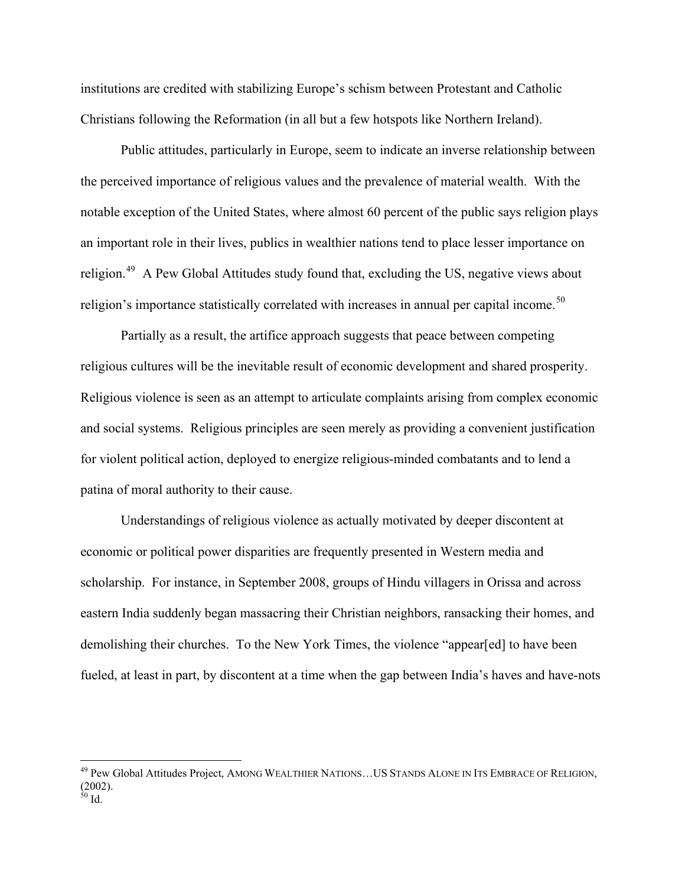institutions are credited with stabilizing Europe's schism between Protestant and Catholic Christians following the Reformation (in all but a few hotspots like Northern Ireland).

Public attitudes, particularly in Europe, seem to indicate an inverse relationship between the perceived importance of religious values and the prevalence of material wealth. With the notable exception of the United States, where almost 60 percent of the public says religion plays an important role in their lives, publics in wealthier nations tend to place lesser importance on religion.<sup>[49](#page-17-0)</sup> A Pew Global Attitudes study found that, excluding the US, negative views about religion's importance statistically correlated with increases in annual per capital income.<sup>[50](#page-17-1)</sup>

Partially as a result, the artifice approach suggests that peace between competing religious cultures will be the inevitable result of economic development and shared prosperity. Religious violence is seen as an attempt to articulate complaints arising from complex economic and social systems. Religious principles are seen merely as providing a convenient justification for violent political action, deployed to energize religious-minded combatants and to lend a patina of moral authority to their cause.

Understandings of religious violence as actually motivated by deeper discontent at economic or political power disparities are frequently presented in Western media and scholarship. For instance, in September 2008, groups of Hindu villagers in Orissa and across eastern India suddenly began massacring their Christian neighbors, ransacking their homes, and demolishing their churches. To the New York Times, the violence "appear[ed] to have been fueled, at least in part, by discontent at a time when the gap between India's haves and have-nots

1

<span id="page-17-1"></span><span id="page-17-0"></span><sup>&</sup>lt;sup>49</sup> Pew Global Attitudes Project, AMONG WEALTHIER NATIONS...US STANDS ALONE IN ITS EMBRACE OF RELIGION, (2002).  $50$  Id.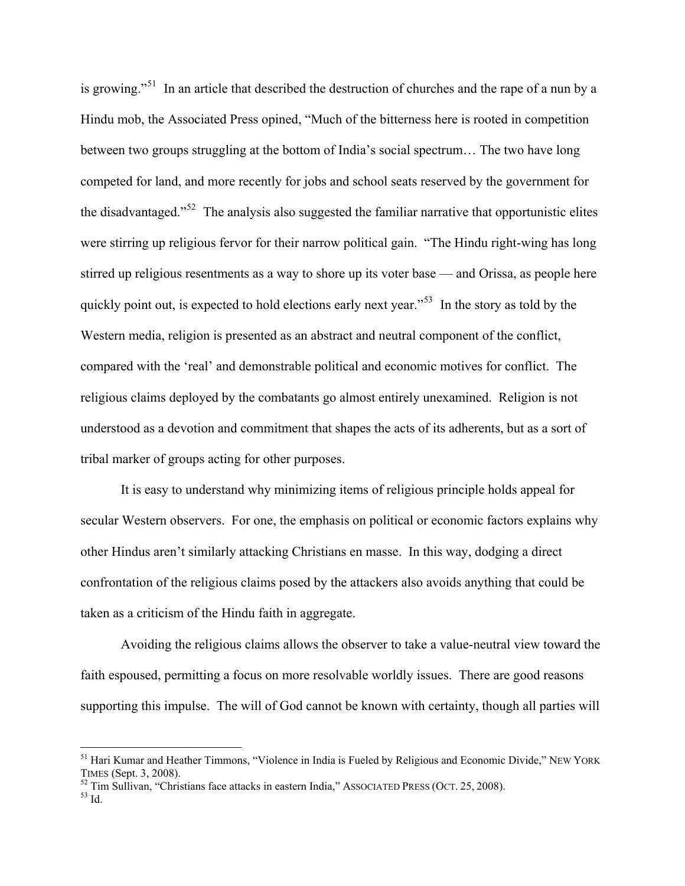is growing."<sup>[51](#page-18-0)</sup> In an article that described the destruction of churches and the rape of a nun by a Hindu mob, the Associated Press opined, "Much of the bitterness here is rooted in competition between two groups struggling at the bottom of India's social spectrum… The two have long competed for land, and more recently for jobs and school seats reserved by the government for the disadvantaged.<sup> $52$ </sup> The analysis also suggested the familiar narrative that opportunistic elites were stirring up religious fervor for their narrow political gain. "The Hindu right-wing has long stirred up religious resentments as a way to shore up its voter base — and Orissa, as people here quickly point out, is expected to hold elections early next year."<sup>[53](#page-18-2)</sup> In the story as told by the Western media, religion is presented as an abstract and neutral component of the conflict, compared with the 'real' and demonstrable political and economic motives for conflict. The religious claims deployed by the combatants go almost entirely unexamined. Religion is not understood as a devotion and commitment that shapes the acts of its adherents, but as a sort of tribal marker of groups acting for other purposes.

18

It is easy to understand why minimizing items of religious principle holds appeal for secular Western observers. For one, the emphasis on political or economic factors explains why other Hindus aren't similarly attacking Christians en masse. In this way, dodging a direct confrontation of the religious claims posed by the attackers also avoids anything that could be taken as a criticism of the Hindu faith in aggregate.

Avoiding the religious claims allows the observer to take a value-neutral view toward the faith espoused, permitting a focus on more resolvable worldly issues. There are good reasons supporting this impulse. The will of God cannot be known with certainty, though all parties will

<span id="page-18-0"></span><sup>&</sup>lt;sup>51</sup> Hari Kumar and Heather Timmons, "Violence in India is Fueled by Religious and Economic Divide," NEW YORK TIMES (Sept. 3, 2008).<br><sup>52</sup> Tim Sullivan, "Christians face attacks in eastern India," ASSOCIATED PRESS (OCT. 25, 2008).<br><sup>53</sup> Id.

<span id="page-18-1"></span>

<span id="page-18-2"></span>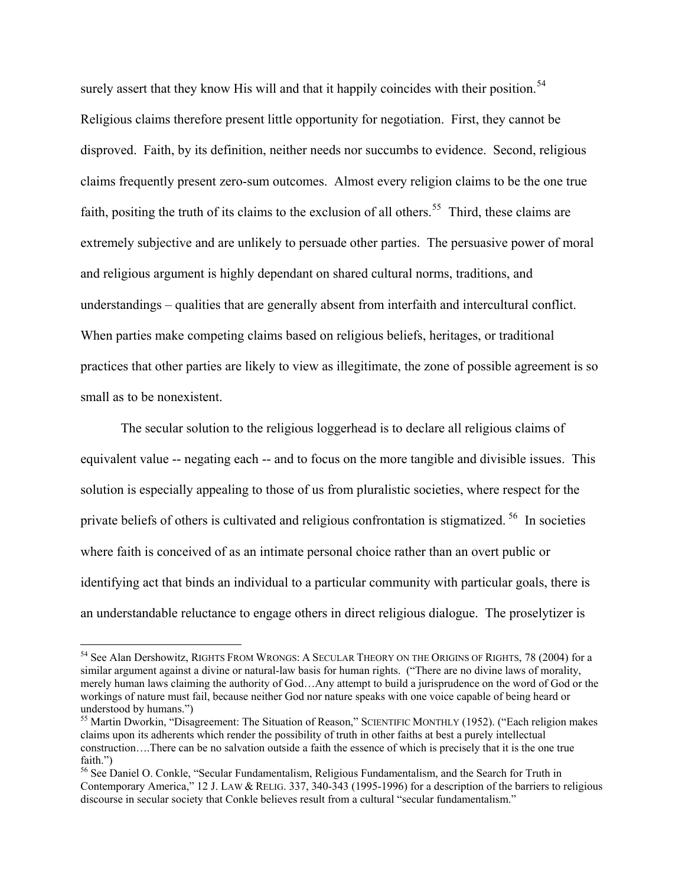surely assert that they know His will and that it happily coincides with their position.<sup>[54](#page-19-0)</sup> Religious claims therefore present little opportunity for negotiation. First, they cannot be disproved. Faith, by its definition, neither needs nor succumbs to evidence. Second, religious claims frequently present zero-sum outcomes. Almost every religion claims to be the one true faith, positing the truth of its claims to the exclusion of all others.<sup>55</sup> Third, these claims are extremely subjective and are unlikely to persuade other parties. The persuasive power of moral and religious argument is highly dependant on shared cultural norms, traditions, and understandings – qualities that are generally absent from interfaith and intercultural conflict. When parties make competing claims based on religious beliefs, heritages, or traditional practices that other parties are likely to view as illegitimate, the zone of possible agreement is so small as to be nonexistent.

19

The secular solution to the religious loggerhead is to declare all religious claims of equivalent value -- negating each -- and to focus on the more tangible and divisible issues. This solution is especially appealing to those of us from pluralistic societies, where respect for the private beliefs of others is cultivated and religious confrontation is stigmatized. [56](#page-19-2) In societies where faith is conceived of as an intimate personal choice rather than an overt public or identifying act that binds an individual to a particular community with particular goals, there is an understandable reluctance to engage others in direct religious dialogue. The proselytizer is

<span id="page-19-0"></span><sup>&</sup>lt;sup>54</sup> See Alan Dershowitz, RIGHTS FROM WRONGS: A SECULAR THEORY ON THE ORIGINS OF RIGHTS, 78 (2004) for a similar argument against a divine or natural-law basis for human rights. ("There are no divine laws of morality, merely human laws claiming the authority of God…Any attempt to build a jurisprudence on the word of God or the workings of nature must fail, because neither God nor nature speaks with one voice capable of being heard or understood by humans.")

<span id="page-19-1"></span><sup>&</sup>lt;sup>55</sup> Martin Dworkin, "Disagreement: The Situation of Reason," SCIENTIFIC MONTHLY (1952). ("Each religion makes" claims upon its adherents which render the possibility of truth in other faiths at best a purely intellectual construction….There can be no salvation outside a faith the essence of which is precisely that it is the one true faith.")

<span id="page-19-2"></span><sup>56</sup> See Daniel O. Conkle, "Secular Fundamentalism, Religious Fundamentalism, and the Search for Truth in Contemporary America," 12 J. LAW & RELIG. 337, 340-343 (1995-1996) for a description of the barriers to religious discourse in secular society that Conkle believes result from a cultural "secular fundamentalism."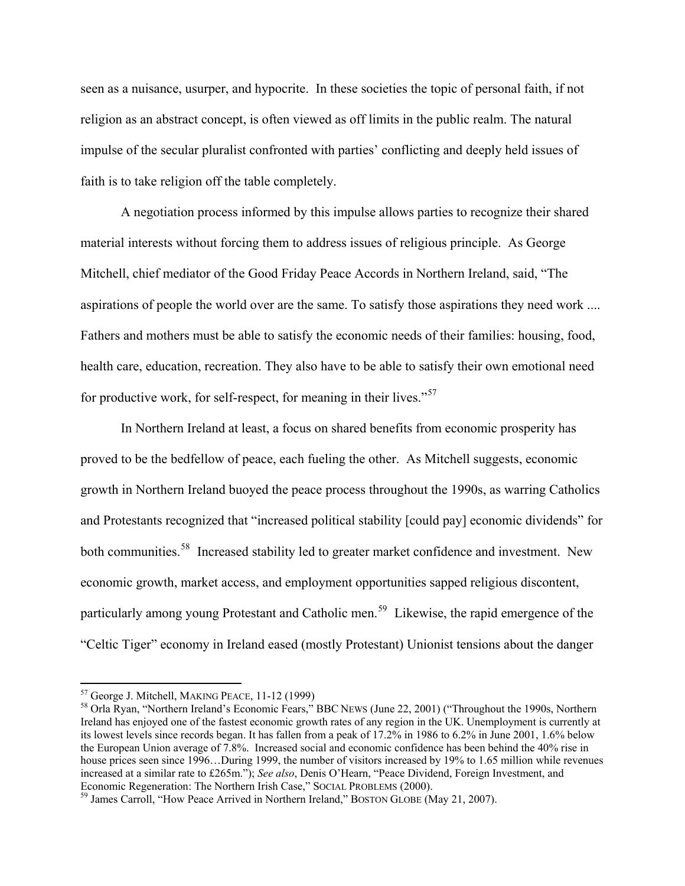seen as a nuisance, usurper, and hypocrite. In these societies the topic of personal faith, if not religion as an abstract concept, is often viewed as off limits in the public realm. The natural impulse of the secular pluralist confronted with parties' conflicting and deeply held issues of faith is to take religion off the table completely.

20

A negotiation process informed by this impulse allows parties to recognize their shared material interests without forcing them to address issues of religious principle. As George Mitchell, chief mediator of the Good Friday Peace Accords in Northern Ireland, said, "The aspirations of people the world over are the same. To satisfy those aspirations they need work .... Fathers and mothers must be able to satisfy the economic needs of their families: housing, food, health care, education, recreation. They also have to be able to satisfy their own emotional need for productive work, for self-respect, for meaning in their lives."[57](#page-20-0)

In Northern Ireland at least, a focus on shared benefits from economic prosperity has proved to be the bedfellow of peace, each fueling the other. As Mitchell suggests, economic growth in Northern Ireland buoyed the peace process throughout the 1990s, as warring Catholics and Protestants recognized that "increased political stability [could pay] economic dividends" for both communities.<sup>[58](#page-20-1)</sup> Increased stability led to greater market confidence and investment. New economic growth, market access, and employment opportunities sapped religious discontent, particularly among young Protestant and Catholic men.<sup>[59](#page-20-2)</sup> Likewise, the rapid emergence of the "Celtic Tiger" economy in Ireland eased (mostly Protestant) Unionist tensions about the danger

<span id="page-20-1"></span><span id="page-20-0"></span><sup>&</sup>lt;sup>57</sup> George J. Mitchell, MAKING PEACE,  $11-12$  (1999)<br><sup>58</sup> Orla Ryan, "Northern Ireland's Economic Fears," BBC NEWS (June 22, 2001) ("Throughout the 1990s, Northern Ireland has enjoyed one of the fastest economic growth rates of any region in the UK. Unemployment is currently at its lowest levels since records began. It has fallen from a peak of 17.2% in 1986 to 6.2% in June 2001, 1.6% below the European Union average of 7.8%. Increased social and economic confidence has been behind the 40% rise in house prices seen since 1996...During 1999, the number of visitors increased by 19% to 1.65 million while revenues increased at a similar rate to £265m."); *See also*, Denis O'Hearn, "Peace Dividend, Foreign Investment, and Economic Regeneration: The Northern Irish Case," SOCIAL PROBLEMS (2000).<br><sup>59</sup> James Carroll, "How Peace Arrived in Northern Ireland," BOSTON GLOBE (May 21, 2007).

<span id="page-20-2"></span>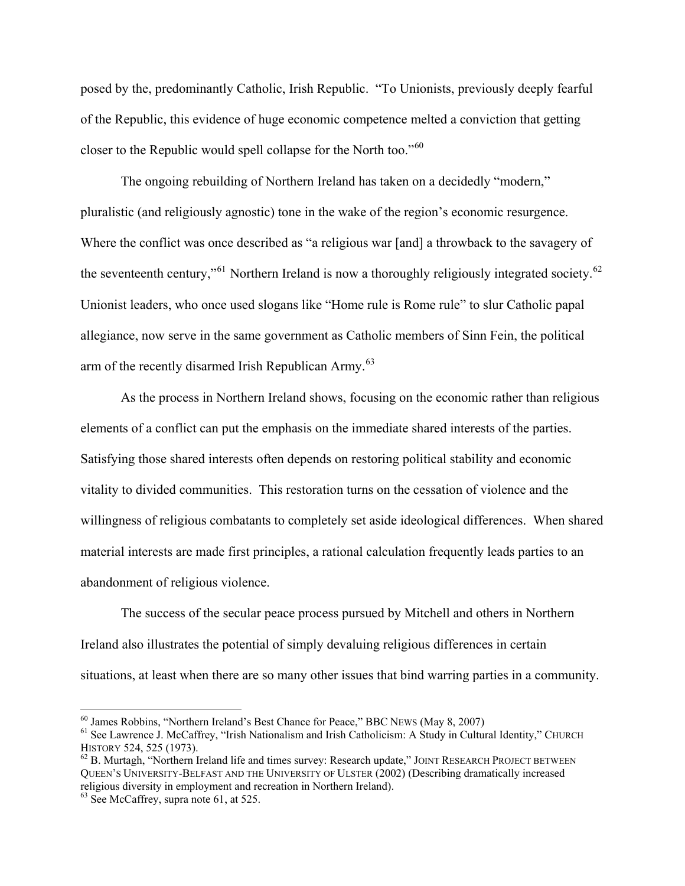posed by the, predominantly Catholic, Irish Republic. "To Unionists, previously deeply fearful of the Republic, this evidence of huge economic competence melted a conviction that getting closer to the Republic would spell collapse for the North too."<sup>[60](#page-21-0)</sup>

The ongoing rebuilding of Northern Ireland has taken on a decidedly "modern," pluralistic (and religiously agnostic) tone in the wake of the region's economic resurgence. Where the conflict was once described as "a religious war [and] a throwback to the savagery of the seventeenth century,"<sup>[61](#page-21-1)</sup> Northern Ireland is now a thoroughly religiously integrated society.<sup>[62](#page-21-2)</sup> Unionist leaders, who once used slogans like "Home rule is Rome rule" to slur Catholic papal allegiance, now serve in the same government as Catholic members of Sinn Fein, the political arm of the recently disarmed Irish Republican Army.<sup>[63](#page-21-3)</sup>

As the process in Northern Ireland shows, focusing on the economic rather than religious elements of a conflict can put the emphasis on the immediate shared interests of the parties. Satisfying those shared interests often depends on restoring political stability and economic vitality to divided communities. This restoration turns on the cessation of violence and the willingness of religious combatants to completely set aside ideological differences. When shared material interests are made first principles, a rational calculation frequently leads parties to an abandonment of religious violence.

The success of the secular peace process pursued by Mitchell and others in Northern Ireland also illustrates the potential of simply devaluing religious differences in certain situations, at least when there are so many other issues that bind warring parties in a community.

<span id="page-21-0"></span><sup>&</sup>lt;sup>60</sup> James Robbins, "Northern Ireland's Best Chance for Peace," BBC NEWS (May 8, 2007)

<span id="page-21-1"></span><sup>&</sup>lt;sup>61</sup> See Lawrence J. McCaffrey, "Irish Nationalism and Irish Catholicism: A Study in Cultural Identity," CHURCH HISTORY 524, 525 (1973).<br><sup>62</sup> B. Murtagh, "Northern Ireland life and times survey: Research update," JOINT RESEARCH PROJECT BETWEEN

<span id="page-21-2"></span>QUEEN'S UNIVERSITY-BELFAST AND THE UNIVERSITY OF ULSTER (2002) (Describing dramatically increased religious diversity in employment and recreation in Northern Ireland).

<span id="page-21-3"></span> $63$  See McCaffrey, supra note 61, at 525.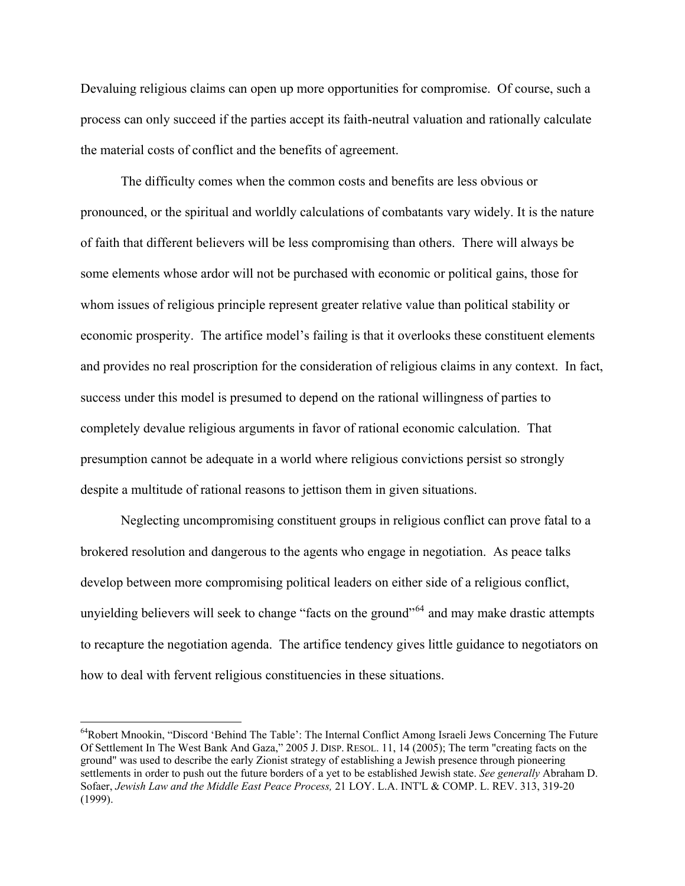Devaluing religious claims can open up more opportunities for compromise. Of course, such a process can only succeed if the parties accept its faith-neutral valuation and rationally calculate the material costs of conflict and the benefits of agreement.

22

The difficulty comes when the common costs and benefits are less obvious or pronounced, or the spiritual and worldly calculations of combatants vary widely. It is the nature of faith that different believers will be less compromising than others. There will always be some elements whose ardor will not be purchased with economic or political gains, those for whom issues of religious principle represent greater relative value than political stability or economic prosperity. The artifice model's failing is that it overlooks these constituent elements and provides no real proscription for the consideration of religious claims in any context. In fact, success under this model is presumed to depend on the rational willingness of parties to completely devalue religious arguments in favor of rational economic calculation. That presumption cannot be adequate in a world where religious convictions persist so strongly despite a multitude of rational reasons to jettison them in given situations.

Neglecting uncompromising constituent groups in religious conflict can prove fatal to a brokered resolution and dangerous to the agents who engage in negotiation. As peace talks develop between more compromising political leaders on either side of a religious conflict, unyielding believers will seek to change "facts on the ground"<sup>[64](#page-22-0)</sup> and may make drastic attempts to recapture the negotiation agenda. The artifice tendency gives little guidance to negotiators on how to deal with fervent religious constituencies in these situations.

<span id="page-22-0"></span><sup>64</sup>Robert Mnookin, "Discord 'Behind The Table': The Internal Conflict Among Israeli Jews Concerning The Future Of Settlement In The West Bank And Gaza," 2005 J. DISP. RESOL. 11, 14 (2005); The term "creating facts on the ground" was used to describe the early Zionist strategy of establishing a Jewish presence through pioneering settlements in order to push out the future borders of a yet to be established Jewish state. *See generally* Abraham D. Sofaer, *Jewish Law and the Middle East Peace Process,* 21 LOY. L.A. INT'L & COMP. L. REV. 313, 319-20 (1999).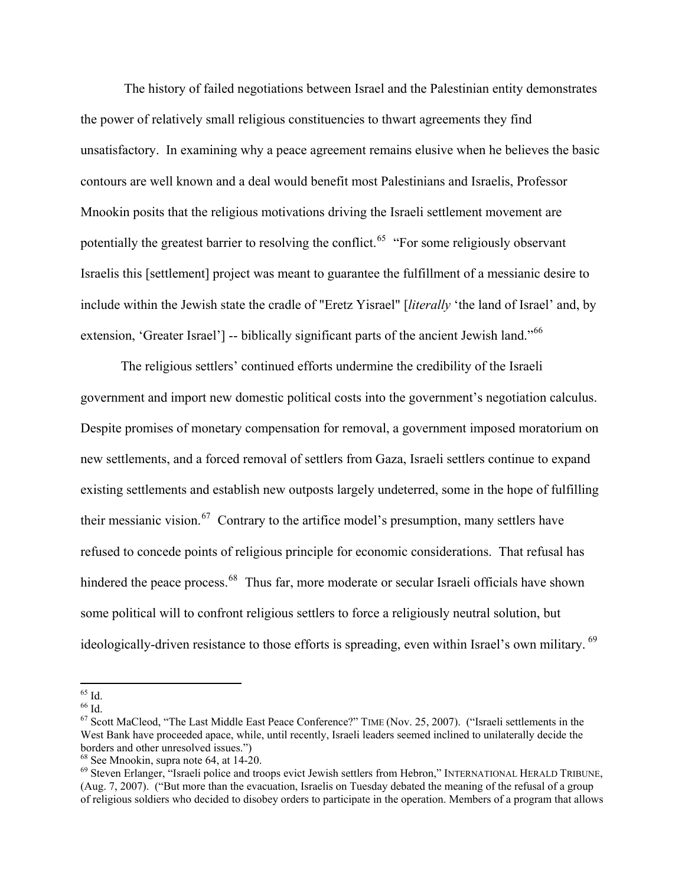The history of failed negotiations between Israel and the Palestinian entity demonstrates the power of relatively small religious constituencies to thwart agreements they find unsatisfactory. In examining why a peace agreement remains elusive when he believes the basic contours are well known and a deal would benefit most Palestinians and Israelis, Professor Mnookin posits that the religious motivations driving the Israeli settlement movement are potentially the greatest barrier to resolving the conflict.<sup>[65](#page-23-0)</sup> "For some religiously observant Israelis this [settlement] project was meant to guarantee the fulfillment of a messianic desire to include within the Jewish state the cradle of "Eretz Yisrael" [*literally* 'the land of Israel' and, by extension, 'Greater Israel'] -- biblically significant parts of the ancient Jewish land."<sup>[66](#page-23-1)</sup>

23

The religious settlers' continued efforts undermine the credibility of the Israeli government and import new domestic political costs into the government's negotiation calculus. Despite promises of monetary compensation for removal, a government imposed moratorium on new settlements, and a forced removal of settlers from Gaza, Israeli settlers continue to expand existing settlements and establish new outposts largely undeterred, some in the hope of fulfilling their messianic vision.<sup>[67](#page-23-2)</sup> Contrary to the artifice model's presumption, many settlers have refused to concede points of religious principle for economic considerations. That refusal has hindered the peace process.<sup>[68](#page-23-3)</sup> Thus far, more moderate or secular Israeli officials have shown some political will to confront religious settlers to force a religiously neutral solution, but ideologically-driven resistance to those efforts is spreading, even within Israel's own military. <sup>[69](#page-23-4)</sup>

<sup>1</sup>  $65$  Id.

<span id="page-23-1"></span><span id="page-23-0"></span><sup>66</sup> Id.

<span id="page-23-2"></span><sup>67</sup> Scott MaCleod, "The Last Middle East Peace Conference?" TIME (Nov. 25, 2007). ("Israeli settlements in the West Bank have proceeded apace, while, until recently, Israeli leaders seemed inclined to unilaterally decide the borders and other unresolved issues.")

<span id="page-23-3"></span><sup>68</sup> See Mnookin, supra note 64, at 14-20.

<span id="page-23-4"></span><sup>69</sup> Steven Erlanger, "Israeli police and troops evict Jewish settlers from Hebron," INTERNATIONAL HERALD TRIBUNE, (Aug. 7, 2007). ("But more than the evacuation, Israelis on Tuesday debated the meaning of the refusal of a group of religious soldiers who decided to disobey orders to participate in the operation. Members of a program that allows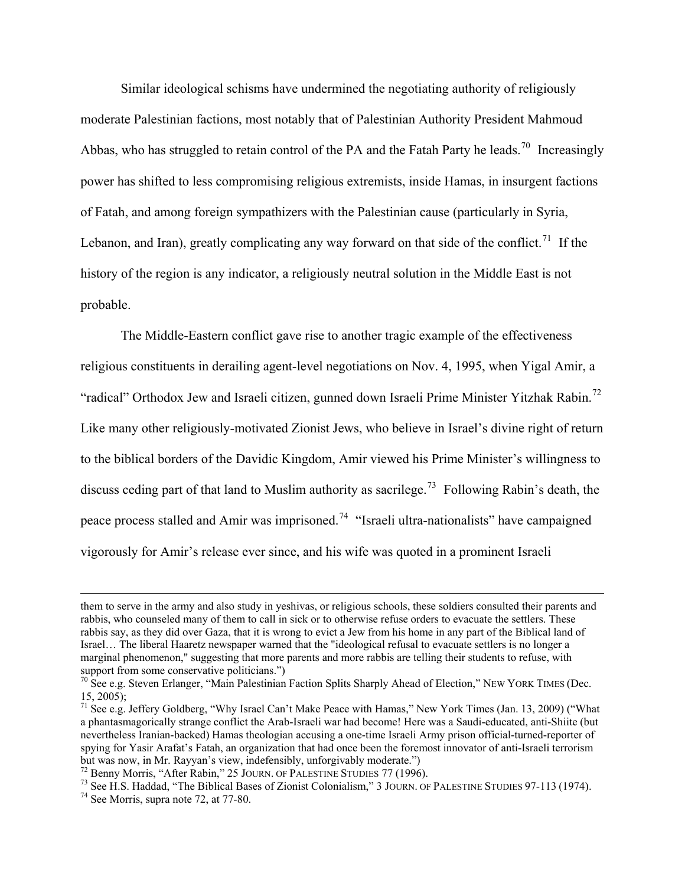Similar ideological schisms have undermined the negotiating authority of religiously moderate Palestinian factions, most notably that of Palestinian Authority President Mahmoud Abbas, who has struggled to retain control of the PA and the Fatah Party he leads.<sup>[70](#page-24-0)</sup> Increasingly power has shifted to less compromising religious extremists, inside Hamas, in insurgent factions of Fatah, and among foreign sympathizers with the Palestinian cause (particularly in Syria, Lebanon, and Iran), greatly complicating any way forward on that side of the conflict.<sup>[71](#page-24-1)</sup> If the history of the region is any indicator, a religiously neutral solution in the Middle East is not probable.

24

The Middle-Eastern conflict gave rise to another tragic example of the effectiveness religious constituents in derailing agent-level negotiations on Nov. 4, 1995, when Yigal Amir, a "radical" Orthodox Jew and Israeli citizen, gunned down Israeli Prime Minister Yitzhak Rabin.<sup>[72](#page-24-2)</sup> Like many other religiously-motivated Zionist Jews, who believe in Israel's divine right of return to the biblical borders of the Davidic Kingdom, Amir viewed his Prime Minister's willingness to discuss ceding part of that land to Muslim authority as sacrilege.<sup>[73](#page-24-3)</sup> Following Rabin's death, the peace process stalled and Amir was imprisoned.<sup>[74](#page-24-4)</sup> "Israeli ultra-nationalists" have campaigned vigorously for Amir's release ever since, and his wife was quoted in a prominent Israeli

them to serve in the army and also study in yeshivas, or religious schools, these soldiers consulted their parents and rabbis, who counseled many of them to call in sick or to otherwise refuse orders to evacuate the settlers. These rabbis say, as they did over Gaza, that it is wrong to evict a Jew from his home in any part of the Biblical land of Israel… The liberal Haaretz newspaper warned that the "ideological refusal to evacuate settlers is no longer a marginal phenomenon," suggesting that more parents and more rabbis are telling their students to refuse, with support from some conservative politicians.")

<span id="page-24-0"></span> $70$  See e.g. Steven Erlanger, "Main Palestinian Faction Splits Sharply Ahead of Election," NEW YORK TIMES (Dec.  $15, 2005$ ;

<span id="page-24-1"></span><sup>&</sup>lt;sup>71</sup> See e.g. Jeffery Goldberg, "Why Israel Can't Make Peace with Hamas," New York Times (Jan. 13, 2009) ("What a phantasmagorically strange conflict the Arab-Israeli war had become! Here was a Saudi-educated, anti-Shiite (but nevertheless Iranian-backed) Hamas theologian accusing a one-time Israeli Army prison official-turned-reporter of spying for Yasir Arafat's Fatah, an organization that had once been the foremost innovator of anti-Israeli terrorism but was now, in Mr. Rayyan's view, indefensibly, unforgivably moderate.")<br><sup>72</sup> Benny Morris, "After Rabin," 25 JOURN. OF PALESTINE STUDIES 77 (1996).

<span id="page-24-4"></span><span id="page-24-3"></span><span id="page-24-2"></span><sup>&</sup>lt;sup>73</sup> See H.S. Haddad, "The Biblical Bases of Zionist Colonialism," 3 JOURN. OF PALESTINE STUDIES 97-113 (1974). <sup>74</sup> See Morris, supra note 72, at 77-80.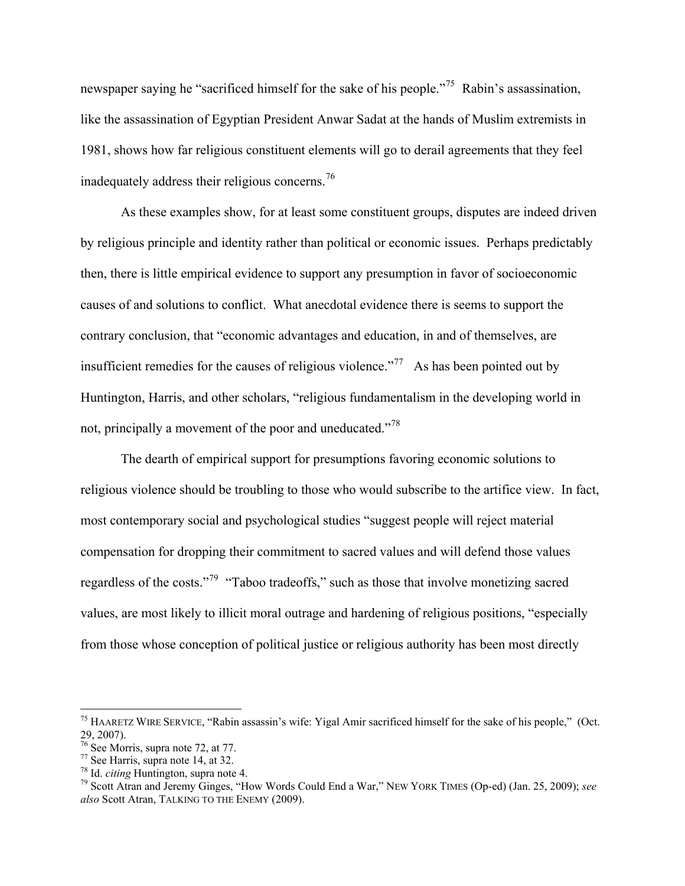newspaper saying he "sacrificed himself for the sake of his people."<sup>[75](#page-25-0)</sup> Rabin's assassination, like the assassination of Egyptian President Anwar Sadat at the hands of Muslim extremists in 1981, shows how far religious constituent elements will go to derail agreements that they feel inadequately address their religious concerns.[76](#page-25-1)

As these examples show, for at least some constituent groups, disputes are indeed driven by religious principle and identity rather than political or economic issues. Perhaps predictably then, there is little empirical evidence to support any presumption in favor of socioeconomic causes of and solutions to conflict. What anecdotal evidence there is seems to support the contrary conclusion, that "economic advantages and education, in and of themselves, are insufficient remedies for the causes of religious violence."[77](#page-25-2) As has been pointed out by Huntington, Harris, and other scholars, "religious fundamentalism in the developing world in not, principally a movement of the poor and uneducated."<sup>[78](#page-25-3)</sup>

The dearth of empirical support for presumptions favoring economic solutions to religious violence should be troubling to those who would subscribe to the artifice view. In fact, most contemporary social and psychological studies "suggest people will reject material compensation for dropping their commitment to sacred values and will defend those values regardless of the costs."[79](#page-25-4) "Taboo tradeoffs," such as those that involve monetizing sacred values, are most likely to illicit moral outrage and hardening of religious positions, "especially from those whose conception of political justice or religious authority has been most directly

<span id="page-25-0"></span><sup>&</sup>lt;sup>75</sup> HAARETZ WIRE SERVICE, "Rabin assassin's wife: Yigal Amir sacrificed himself for the sake of his people," (Oct. 29, 2007).

<span id="page-25-1"></span><sup>76</sup> See Morris, supra note 72, at 77.

<span id="page-25-2"></span> $^{77}$  See Harris, supra note 14, at 32.<br><sup>78</sup> Id. *citing* Huntington, supra note 4.

<span id="page-25-4"></span><span id="page-25-3"></span><sup>&</sup>lt;sup>79</sup> Scott Atran and Jeremy Ginges, "How Words Could End a War," NEW YORK TIMES (Op-ed) (Jan. 25, 2009); see *also* Scott Atran, TALKING TO THE ENEMY (2009).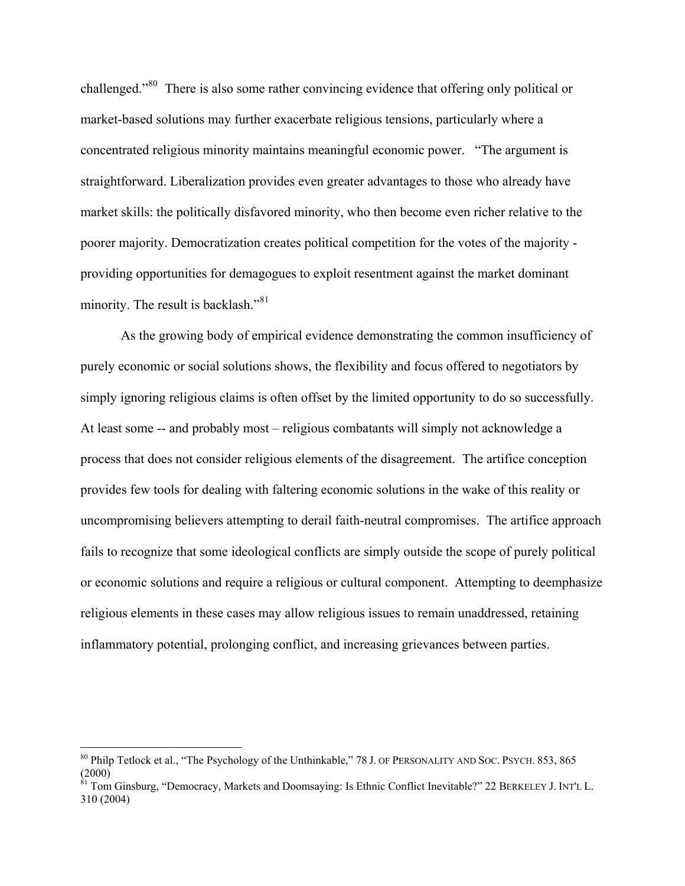challenged."[80](#page-26-0) There is also some rather convincing evidence that offering only political or market-based solutions may further exacerbate religious tensions, particularly where a concentrated religious minority maintains meaningful economic power. "The argument is straightforward. Liberalization provides even greater advantages to those who already have market skills: the politically disfavored minority, who then become even richer relative to the poorer majority. Democratization creates political competition for the votes of the majority providing opportunities for demagogues to exploit resentment against the market dominant minority. The result is backlash."<sup>[81](#page-26-1)</sup>

26

As the growing body of empirical evidence demonstrating the common insufficiency of purely economic or social solutions shows, the flexibility and focus offered to negotiators by simply ignoring religious claims is often offset by the limited opportunity to do so successfully. At least some -- and probably most – religious combatants will simply not acknowledge a process that does not consider religious elements of the disagreement. The artifice conception provides few tools for dealing with faltering economic solutions in the wake of this reality or uncompromising believers attempting to derail faith-neutral compromises. The artifice approach fails to recognize that some ideological conflicts are simply outside the scope of purely political or economic solutions and require a religious or cultural component. Attempting to deemphasize religious elements in these cases may allow religious issues to remain unaddressed, retaining inflammatory potential, prolonging conflict, and increasing grievances between parties.

<span id="page-26-0"></span><sup>&</sup>lt;sup>80</sup> Philp Tetlock et al., "The Psychology of the Unthinkable," 78 J. OF PERSONALITY AND SOC. PSYCH. 853, 865 (2000)

<span id="page-26-1"></span><sup>&</sup>lt;sup>81</sup> Tom Ginsburg, "Democracy, Markets and Doomsaying: Is Ethnic Conflict Inevitable?" 22 BERKELEY J. INT'L L. 310 (2004)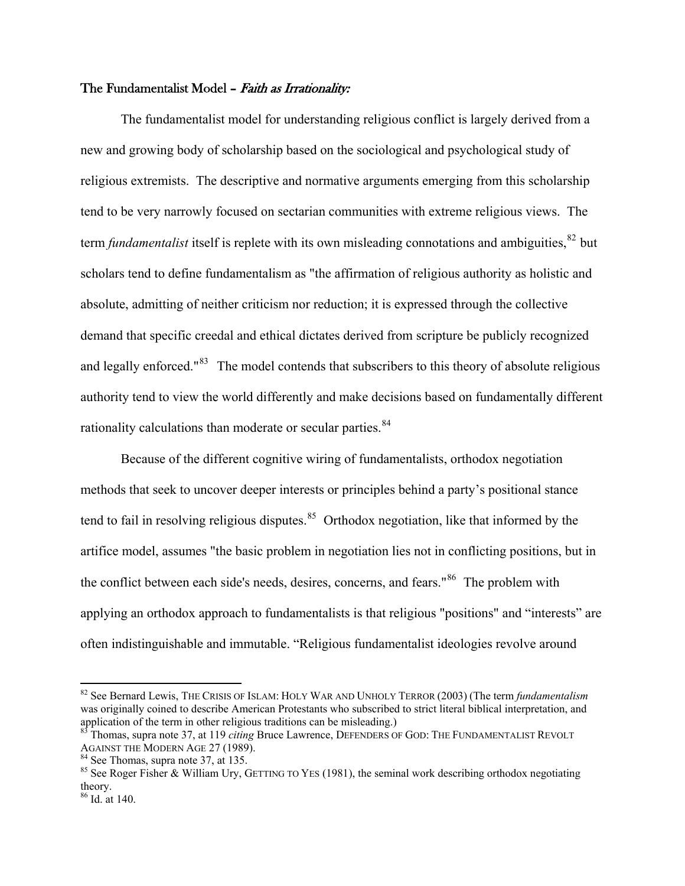# The Fundamentalist Model - Faith as Irrationality:

 The fundamentalist model for understanding religious conflict is largely derived from a new and growing body of scholarship based on the sociological and psychological study of religious extremists. The descriptive and normative arguments emerging from this scholarship tend to be very narrowly focused on sectarian communities with extreme religious views. The term *fundamentalist* itself is replete with its own misleading connotations and ambiguities, <sup>[82](#page-27-0)</sup> but scholars tend to define fundamentalism as "the affirmation of religious authority as holistic and absolute, admitting of neither criticism nor reduction; it is expressed through the collective demand that specific creedal and ethical dictates derived from scripture be publicly recognized and legally enforced."<sup>[83](#page-27-1)</sup> The model contends that subscribers to this theory of absolute religious authority tend to view the world differently and make decisions based on fundamentally different rationality calculations than moderate or secular parties.<sup>84</sup>

 Because of the different cognitive wiring of fundamentalists, orthodox negotiation methods that seek to uncover deeper interests or principles behind a party's positional stance tend to fail in resolving religious disputes.<sup>[85](#page-27-3)</sup> Orthodox negotiation, like that informed by the artifice model, assumes "the basic problem in negotiation lies not in conflicting positions, but in the conflict between each side's needs, desires, concerns, and fears."[86](#page-27-4) The problem with applying an orthodox approach to fundamentalists is that religious "positions" and "interests" are often indistinguishable and immutable. "Religious fundamentalist ideologies revolve around

<span id="page-27-0"></span><sup>82</sup> See Bernard Lewis, THE CRISIS OF ISLAM: HOLY WAR AND UNHOLY TERROR (2003) (The term *fundamentalism* was originally coined to describe American Protestants who subscribed to strict literal biblical interpretation, and application of the term in other religious traditions can be misleading.)

<span id="page-27-1"></span><sup>&</sup>lt;sup>85</sup> Thomas, supra note 37, at 119 *citing* Bruce Lawrence, DEFENDERS OF GOD: THE FUNDAMENTALIST REVOLT AGAINST THE MODERN AGE 27 (1989).

<span id="page-27-2"></span> $84$  See Thomas, supra note 37, at 135.

<span id="page-27-3"></span><sup>&</sup>lt;sup>85</sup> See Roger Fisher & William Ury, GETTING TO YES (1981), the seminal work describing orthodox negotiating theory.

<span id="page-27-4"></span><sup>86</sup> Id. at 140.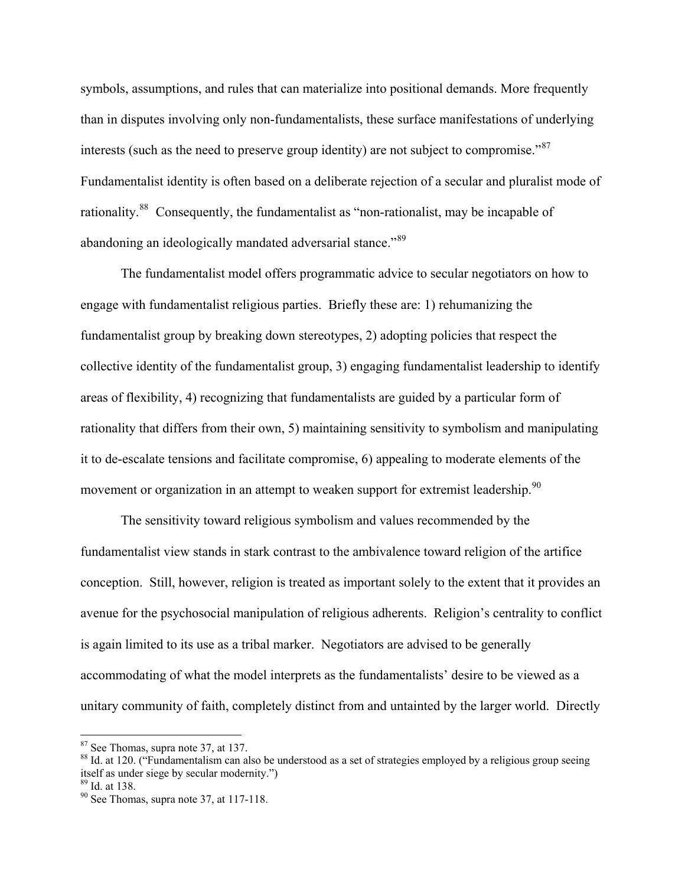symbols, assumptions, and rules that can materialize into positional demands. More frequently than in disputes involving only non-fundamentalists, these surface manifestations of underlying interests (such as the need to preserve group identity) are not subject to compromise."<sup>[87](#page-28-0)</sup> Fundamentalist identity is often based on a deliberate rejection of a secular and pluralist mode of rationality.<sup>[88](#page-28-1)</sup> Consequently, the fundamentalist as "non-rationalist, may be incapable of abandoning an ideologically mandated adversarial stance."<sup>[89](#page-28-2)</sup>

28

The fundamentalist model offers programmatic advice to secular negotiators on how to engage with fundamentalist religious parties. Briefly these are: 1) rehumanizing the fundamentalist group by breaking down stereotypes, 2) adopting policies that respect the collective identity of the fundamentalist group, 3) engaging fundamentalist leadership to identify areas of flexibility, 4) recognizing that fundamentalists are guided by a particular form of rationality that differs from their own, 5) maintaining sensitivity to symbolism and manipulating it to de-escalate tensions and facilitate compromise, 6) appealing to moderate elements of the movement or organization in an attempt to weaken support for extremist leadership.<sup>[90](#page-28-3)</sup>

The sensitivity toward religious symbolism and values recommended by the fundamentalist view stands in stark contrast to the ambivalence toward religion of the artifice conception. Still, however, religion is treated as important solely to the extent that it provides an avenue for the psychosocial manipulation of religious adherents. Religion's centrality to conflict is again limited to its use as a tribal marker. Negotiators are advised to be generally accommodating of what the model interprets as the fundamentalists' desire to be viewed as a unitary community of faith, completely distinct from and untainted by the larger world. Directly

<span id="page-28-0"></span><sup>87</sup> See Thomas, supra note 37, at 137.

<span id="page-28-1"></span><sup>&</sup>lt;sup>88</sup> Id. at 120. ("Fundamentalism can also be understood as a set of strategies employed by a religious group seeing itself as under siege by secular modernity.")

<span id="page-28-2"></span><sup>89</sup> Id. at 138.

<span id="page-28-3"></span><sup>90</sup> See Thomas, supra note 37, at 117-118.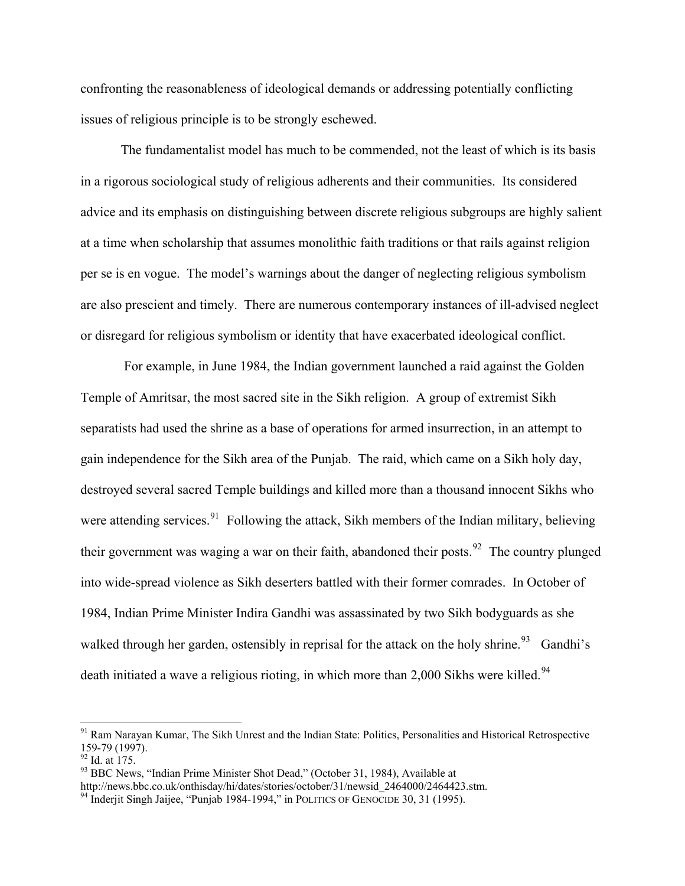confronting the reasonableness of ideological demands or addressing potentially conflicting issues of religious principle is to be strongly eschewed.

29

 The fundamentalist model has much to be commended, not the least of which is its basis in a rigorous sociological study of religious adherents and their communities. Its considered advice and its emphasis on distinguishing between discrete religious subgroups are highly salient at a time when scholarship that assumes monolithic faith traditions or that rails against religion per se is en vogue. The model's warnings about the danger of neglecting religious symbolism are also prescient and timely. There are numerous contemporary instances of ill-advised neglect or disregard for religious symbolism or identity that have exacerbated ideological conflict.

 For example, in June 1984, the Indian government launched a raid against the Golden Temple of Amritsar, the most sacred site in the Sikh religion. A group of extremist Sikh separatists had used the shrine as a base of operations for armed insurrection, in an attempt to gain independence for the Sikh area of the Punjab. The raid, which came on a Sikh holy day, destroyed several sacred Temple buildings and killed more than a thousand innocent Sikhs who were attending services.<sup>[91](#page-29-0)</sup> Following the attack, Sikh members of the Indian military, believing their government was waging a war on their faith, abandoned their posts.<sup>[92](#page-29-1)</sup> The country plunged into wide-spread violence as Sikh deserters battled with their former comrades. In October of 1984, Indian Prime Minister Indira Gandhi was assassinated by two Sikh bodyguards as she walked through her garden, ostensibly in reprisal for the attack on the holy shrine.<sup>[93](#page-29-2)</sup> Gandhi's death initiated a wave a religious rioting, in which more than  $2,000$  Sikhs were killed.<sup>[94](#page-29-3)</sup>

1

<span id="page-29-0"></span><sup>&</sup>lt;sup>91</sup> Ram Narayan Kumar, The Sikh Unrest and the Indian State: Politics, Personalities and Historical Retrospective 159-79 (1997).

<span id="page-29-1"></span> $92$  Id. at 175.

<span id="page-29-2"></span><sup>&</sup>lt;sup>93</sup> BBC News, "Indian Prime Minister Shot Dead," (October 31, 1984), Available at http://news.bbc.co.uk/onthisday/hi/dates/stories/october/31/newsid 2464000/2464423.stm.

<span id="page-29-3"></span> $\frac{94}{4}$  Inderjit Singh Jaijee, "Punjab 1984-1994," in POLITICS OF GENOCIDE 30, 31 (1995).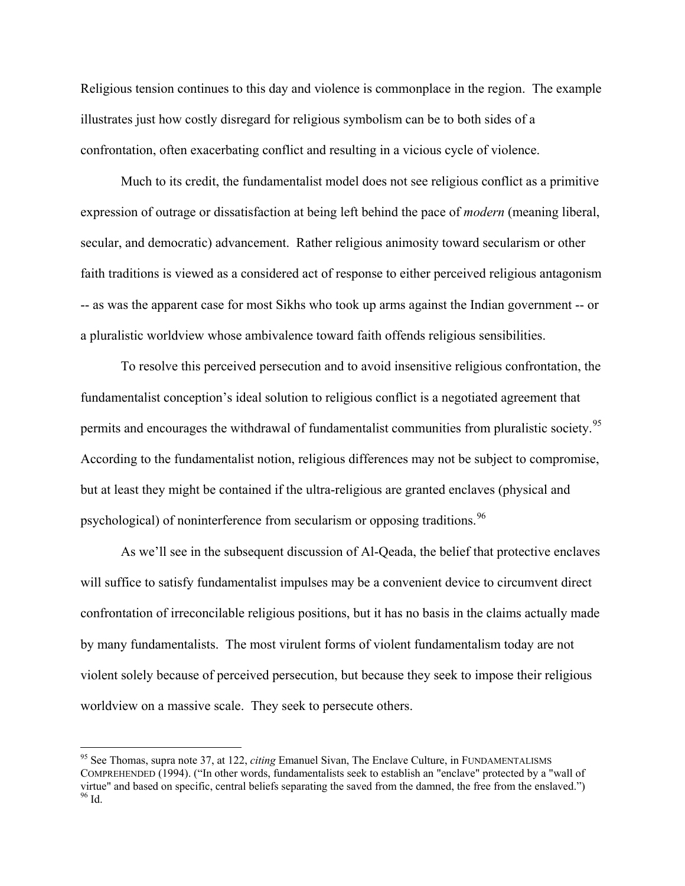Religious tension continues to this day and violence is commonplace in the region. The example illustrates just how costly disregard for religious symbolism can be to both sides of a confrontation, often exacerbating conflict and resulting in a vicious cycle of violence.

30

Much to its credit, the fundamentalist model does not see religious conflict as a primitive expression of outrage or dissatisfaction at being left behind the pace of *modern* (meaning liberal, secular, and democratic) advancement. Rather religious animosity toward secularism or other faith traditions is viewed as a considered act of response to either perceived religious antagonism -- as was the apparent case for most Sikhs who took up arms against the Indian government -- or a pluralistic worldview whose ambivalence toward faith offends religious sensibilities.

To resolve this perceived persecution and to avoid insensitive religious confrontation, the fundamentalist conception's ideal solution to religious conflict is a negotiated agreement that permits and encourages the withdrawal of fundamentalist communities from pluralistic society.<sup>[95](#page-30-0)</sup> According to the fundamentalist notion, religious differences may not be subject to compromise, but at least they might be contained if the ultra-religious are granted enclaves (physical and psychological) of noninterference from secularism or opposing traditions.<sup>[96](#page-30-1)</sup>

As we'll see in the subsequent discussion of Al-Qeada, the belief that protective enclaves will suffice to satisfy fundamentalist impulses may be a convenient device to circumvent direct confrontation of irreconcilable religious positions, but it has no basis in the claims actually made by many fundamentalists. The most virulent forms of violent fundamentalism today are not violent solely because of perceived persecution, but because they seek to impose their religious worldview on a massive scale. They seek to persecute others.

<span id="page-30-1"></span><span id="page-30-0"></span><sup>95</sup> See Thomas, supra note 37, at 122, *citing* Emanuel Sivan, The Enclave Culture, in FUNDAMENTALISMS COMPREHENDED (1994). ("In other words, fundamentalists seek to establish an "enclave" protected by a "wall of virtue" and based on specific, central beliefs separating the saved from the damned, the free from the enslaved.") 96 Id.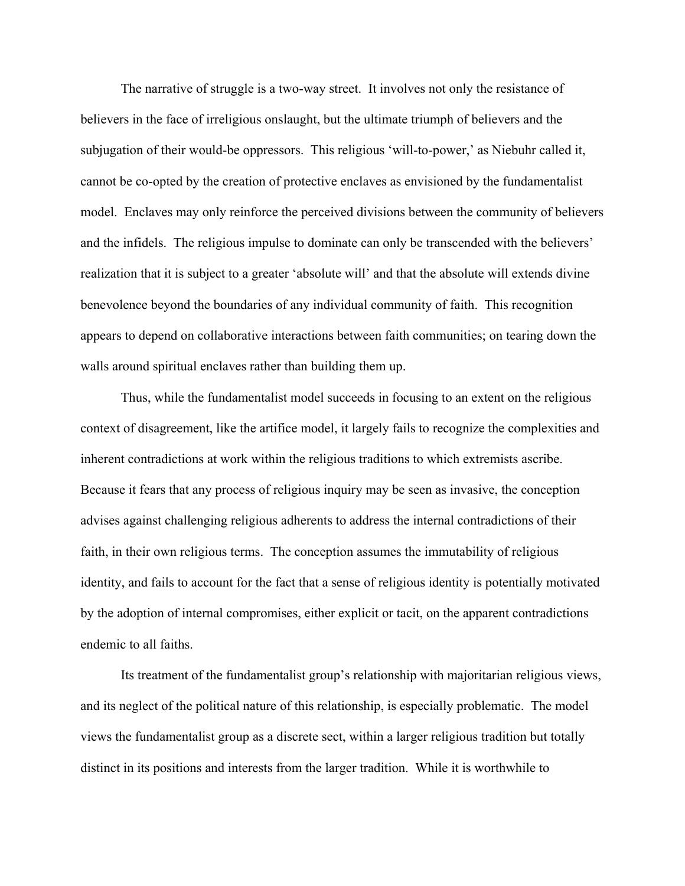The narrative of struggle is a two-way street. It involves not only the resistance of believers in the face of irreligious onslaught, but the ultimate triumph of believers and the subjugation of their would-be oppressors. This religious 'will-to-power,' as Niebuhr called it, cannot be co-opted by the creation of protective enclaves as envisioned by the fundamentalist model. Enclaves may only reinforce the perceived divisions between the community of believers and the infidels. The religious impulse to dominate can only be transcended with the believers' realization that it is subject to a greater 'absolute will' and that the absolute will extends divine benevolence beyond the boundaries of any individual community of faith. This recognition appears to depend on collaborative interactions between faith communities; on tearing down the walls around spiritual enclaves rather than building them up.

Thus, while the fundamentalist model succeeds in focusing to an extent on the religious context of disagreement, like the artifice model, it largely fails to recognize the complexities and inherent contradictions at work within the religious traditions to which extremists ascribe. Because it fears that any process of religious inquiry may be seen as invasive, the conception advises against challenging religious adherents to address the internal contradictions of their faith, in their own religious terms. The conception assumes the immutability of religious identity, and fails to account for the fact that a sense of religious identity is potentially motivated by the adoption of internal compromises, either explicit or tacit, on the apparent contradictions endemic to all faiths.

Its treatment of the fundamentalist group's relationship with majoritarian religious views, and its neglect of the political nature of this relationship, is especially problematic. The model views the fundamentalist group as a discrete sect, within a larger religious tradition but totally distinct in its positions and interests from the larger tradition. While it is worthwhile to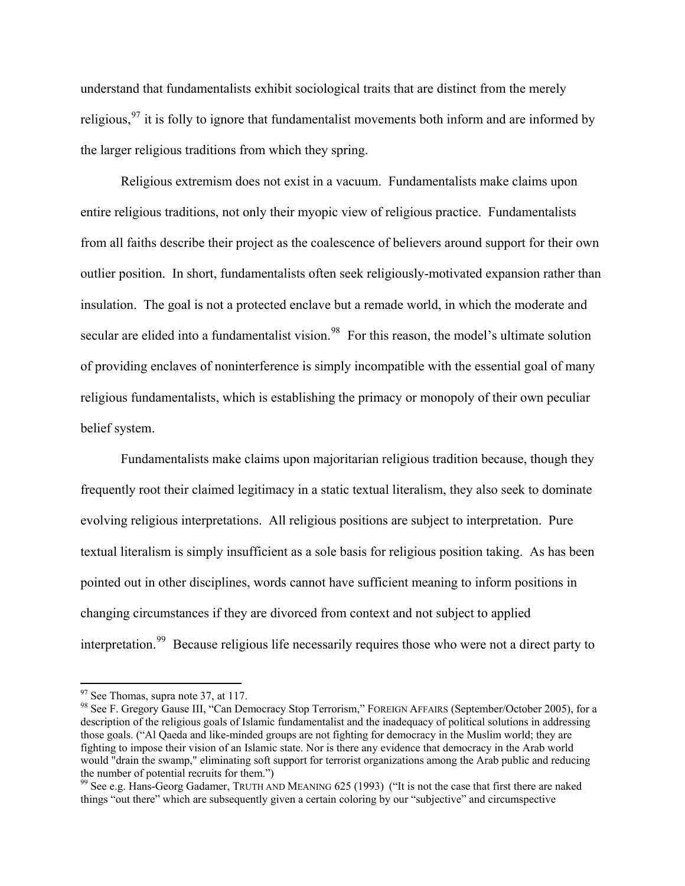understand that fundamentalists exhibit sociological traits that are distinct from the merely religious,  $97$  it is folly to ignore that fundamentalist movements both inform and are informed by the larger religious traditions from which they spring.

Religious extremism does not exist in a vacuum. Fundamentalists make claims upon entire religious traditions, not only their myopic view of religious practice. Fundamentalists from all faiths describe their project as the coalescence of believers around support for their own outlier position. In short, fundamentalists often seek religiously-motivated expansion rather than insulation. The goal is not a protected enclave but a remade world, in which the moderate and secular are elided into a fundamentalist vision.<sup>[98](#page-32-1)</sup> For this reason, the model's ultimate solution of providing enclaves of noninterference is simply incompatible with the essential goal of many religious fundamentalists, which is establishing the primacy or monopoly of their own peculiar belief system.

Fundamentalists make claims upon majoritarian religious tradition because, though they frequently root their claimed legitimacy in a static textual literalism, they also seek to dominate evolving religious interpretations. All religious positions are subject to interpretation. Pure textual literalism is simply insufficient as a sole basis for religious position taking. As has been pointed out in other disciplines, words cannot have sufficient meaning to inform positions in changing circumstances if they are divorced from context and not subject to applied interpretation.<sup>[99](#page-32-2)</sup> Because religious life necessarily requires those who were not a direct party to

 $97$  See Thomas, supra note 37, at 117.

<span id="page-32-1"></span><span id="page-32-0"></span><sup>98</sup> See F. Gregory Gause III, "Can Democracy Stop Terrorism," FOREIGN AFFAIRS (September/October 2005), for a description of the religious goals of Islamic fundamentalist and the inadequacy of political solutions in addressing those goals. ("Al Qaeda and like-minded groups are not fighting for democracy in the Muslim world; they are fighting to impose their vision of an Islamic state. Nor is there any evidence that democracy in the Arab world would "drain the swamp," eliminating soft support for terrorist organizations among the Arab public and reducing the number of potential recruits for them.")

<span id="page-32-2"></span><sup>&</sup>lt;sup>99</sup> See e.g. Hans-Georg Gadamer, TRUTH AND MEANING 625 (1993) ("It is not the case that first there are naked things "out there" which are subsequently given a certain coloring by our "subjective" and circumspective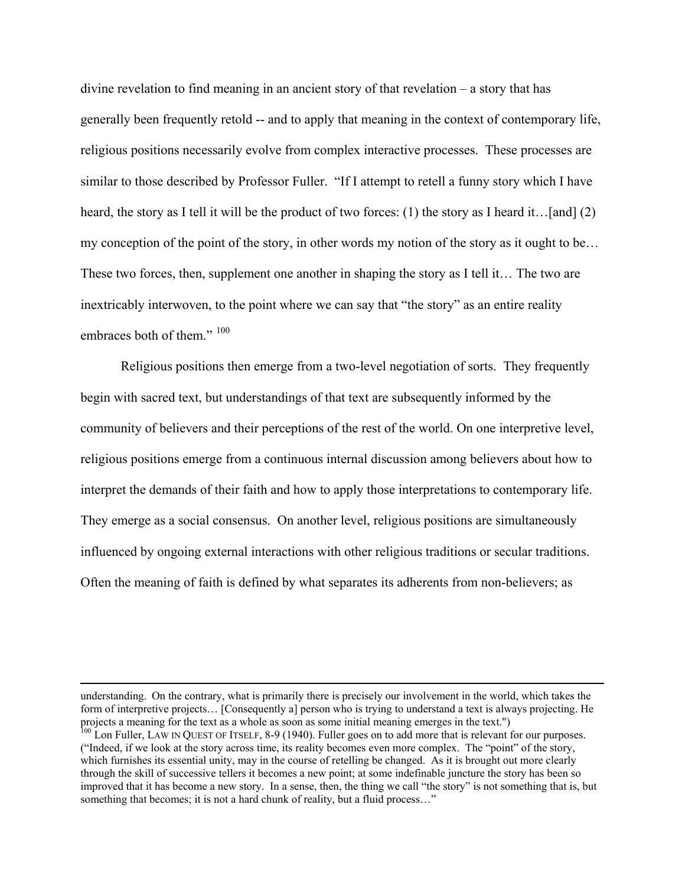divine revelation to find meaning in an ancient story of that revelation – a story that has generally been frequently retold -- and to apply that meaning in the context of contemporary life, religious positions necessarily evolve from complex interactive processes. These processes are similar to those described by Professor Fuller. "If I attempt to retell a funny story which I have heard, the story as I tell it will be the product of two forces: (1) the story as I heard it…[and] (2) my conception of the point of the story, in other words my notion of the story as it ought to be… These two forces, then, supplement one another in shaping the story as I tell it… The two are inextricably interwoven, to the point where we can say that "the story" as an entire reality embraces both of them."  $100$ 

33

Religious positions then emerge from a two-level negotiation of sorts. They frequently begin with sacred text, but understandings of that text are subsequently informed by the community of believers and their perceptions of the rest of the world. On one interpretive level, religious positions emerge from a continuous internal discussion among believers about how to interpret the demands of their faith and how to apply those interpretations to contemporary life. They emerge as a social consensus. On another level, religious positions are simultaneously influenced by ongoing external interactions with other religious traditions or secular traditions. Often the meaning of faith is defined by what separates its adherents from non-believers; as

 understanding. On the contrary, what is primarily there is precisely our involvement in the world, which takes the form of interpretive projects… [Consequently a] person who is trying to understand a text is always projecting. He projects a meaning for the text as a whole as soon as some initial meaning emerges in the text.")

<span id="page-33-0"></span> $^{100}$  Lon Fuller, LAW IN QUEST OF ITSELF, 8-9 (1940). Fuller goes on to add more that is relevant for our purposes. ("Indeed, if we look at the story across time, its reality becomes even more complex. The "point" of the story, which furnishes its essential unity, may in the course of retelling be changed. As it is brought out more clearly through the skill of successive tellers it becomes a new point; at some indefinable juncture the story has been so improved that it has become a new story. In a sense, then, the thing we call "the story" is not something that is, but something that becomes; it is not a hard chunk of reality, but a fluid process..."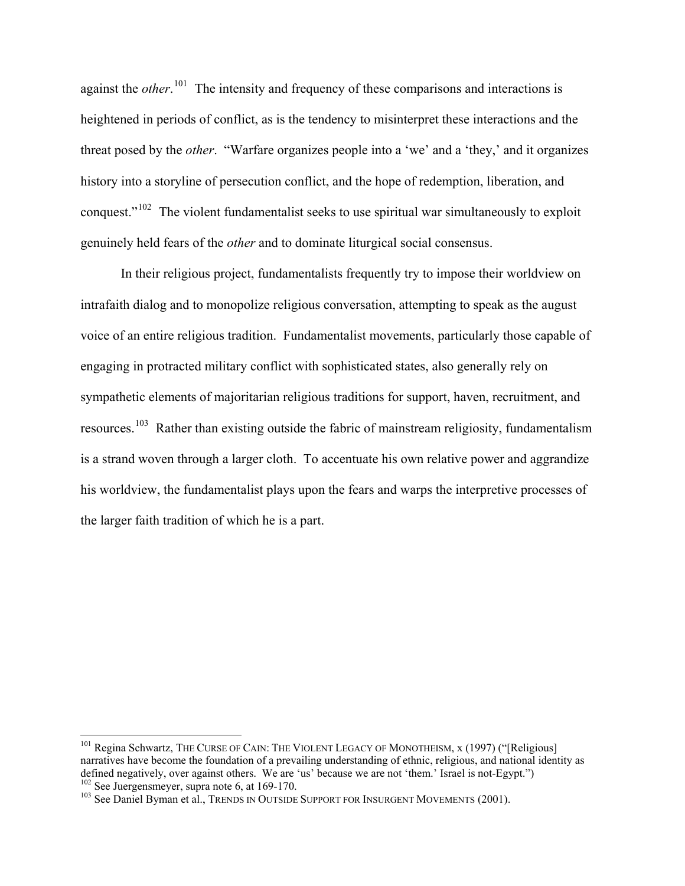against the *other*.<sup>[101](#page-34-0)</sup> The intensity and frequency of these comparisons and interactions is heightened in periods of conflict, as is the tendency to misinterpret these interactions and the threat posed by the *other*. "Warfare organizes people into a 'we' and a 'they,' and it organizes history into a storyline of persecution conflict, and the hope of redemption, liberation, and conquest."<sup>[102](#page-34-1)</sup> The violent fundamentalist seeks to use spiritual war simultaneously to exploit genuinely held fears of the *other* and to dominate liturgical social consensus.

34

In their religious project, fundamentalists frequently try to impose their worldview on intrafaith dialog and to monopolize religious conversation, attempting to speak as the august voice of an entire religious tradition. Fundamentalist movements, particularly those capable of engaging in protracted military conflict with sophisticated states, also generally rely on sympathetic elements of majoritarian religious traditions for support, haven, recruitment, and resources.[103](#page-34-2) Rather than existing outside the fabric of mainstream religiosity, fundamentalism is a strand woven through a larger cloth. To accentuate his own relative power and aggrandize his worldview, the fundamentalist plays upon the fears and warps the interpretive processes of the larger faith tradition of which he is a part.

<span id="page-34-0"></span><sup>&</sup>lt;sup>101</sup> Regina Schwartz, THE CURSE OF CAIN: THE VIOLENT LEGACY OF MONOTHEISM, x (1997) ("[Religious] narratives have become the foundation of a prevailing understanding of ethnic, religious, and national identity as defined negatively, over against others. We are 'us' because we are not 'them.' Israel is not-Egypt.") <sup>102</sup> See Juergensmeyer, supra note 6, at 169-170.

<span id="page-34-2"></span><span id="page-34-1"></span><sup>&</sup>lt;sup>103</sup> See Daniel Byman et al., TRENDS IN OUTSIDE SUPPORT FOR INSURGENT MOVEMENTS (2001).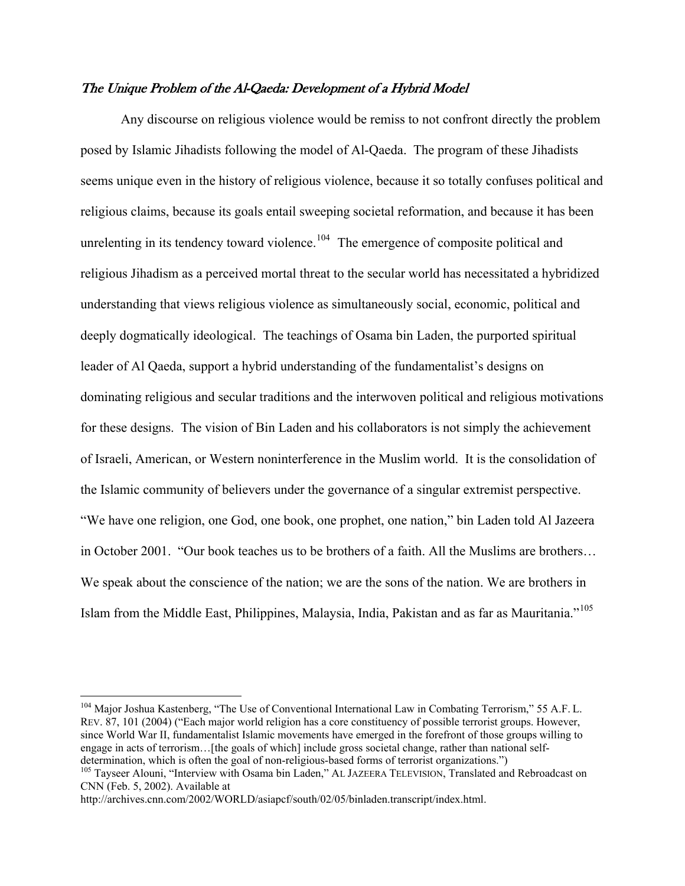### The Unique Problem of the Al-Qaeda: Development of a Hybrid Model

Any discourse on religious violence would be remiss to not confront directly the problem posed by Islamic Jihadists following the model of Al-Qaeda. The program of these Jihadists seems unique even in the history of religious violence, because it so totally confuses political and religious claims, because its goals entail sweeping societal reformation, and because it has been unrelenting in its tendency toward violence.<sup>[104](#page-35-0)</sup> The emergence of composite political and religious Jihadism as a perceived mortal threat to the secular world has necessitated a hybridized understanding that views religious violence as simultaneously social, economic, political and deeply dogmatically ideological. The teachings of Osama bin Laden, the purported spiritual leader of Al Qaeda, support a hybrid understanding of the fundamentalist's designs on dominating religious and secular traditions and the interwoven political and religious motivations for these designs. The vision of Bin Laden and his collaborators is not simply the achievement of Israeli, American, or Western noninterference in the Muslim world. It is the consolidation of the Islamic community of believers under the governance of a singular extremist perspective. "We have one religion, one God, one book, one prophet, one nation," bin Laden told Al Jazeera in October 2001. "Our book teaches us to be brothers of a faith. All the Muslims are brothers… We speak about the conscience of the nation; we are the sons of the nation. We are brothers in Islam from the Middle East, Philippines, Malaysia, India, Pakistan and as far as Mauritania."[105](#page-35-1) 

1

<span id="page-35-0"></span><sup>&</sup>lt;sup>104</sup> Major Joshua Kastenberg, "The Use of Conventional International Law in Combating Terrorism," 55 A.F. L. REV. 87, 101 (2004) ("Each major world religion has a core constituency of possible terrorist groups. However, since World War II, fundamentalist Islamic movements have emerged in the forefront of those groups willing to engage in acts of terrorism…[the goals of which] include gross societal change, rather than national selfdetermination, which is often the goal of non-religious-based forms of terrorist organizations.")

<span id="page-35-1"></span><sup>&</sup>lt;sup>105</sup> Tayseer Alouni, "Interview with Osama bin Laden," AL JAZEERA TELEVISION, Translated and Rebroadcast on CNN (Feb. 5, 2002). Available at

http://archives.cnn.com/2002/WORLD/asiapcf/south/02/05/binladen.transcript/index.html.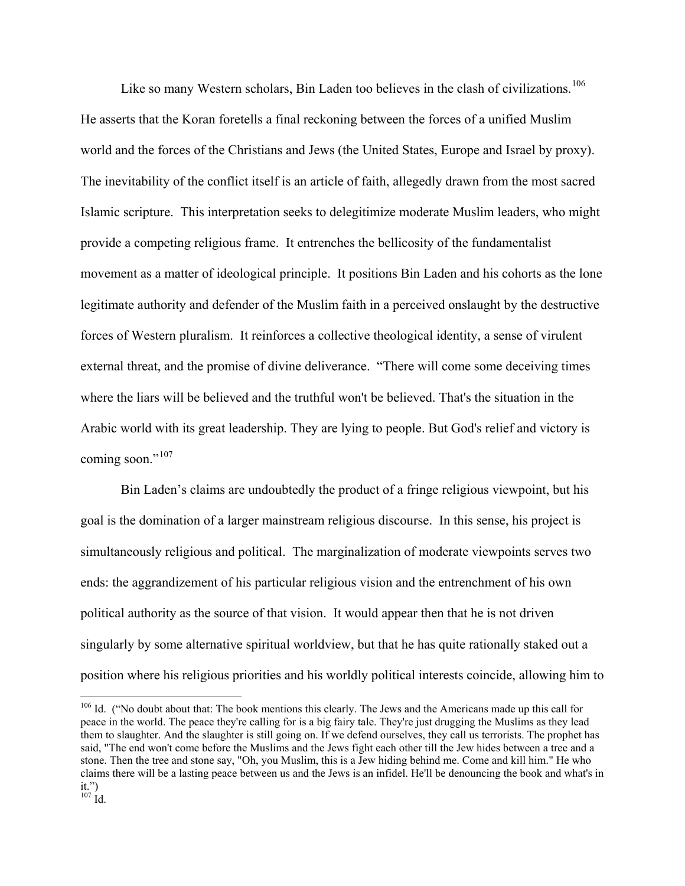Like so many Western scholars, Bin Laden too believes in the clash of civilizations.<sup>[106](#page-36-0)</sup> He asserts that the Koran foretells a final reckoning between the forces of a unified Muslim world and the forces of the Christians and Jews (the United States, Europe and Israel by proxy). The inevitability of the conflict itself is an article of faith, allegedly drawn from the most sacred Islamic scripture. This interpretation seeks to delegitimize moderate Muslim leaders, who might provide a competing religious frame. It entrenches the bellicosity of the fundamentalist movement as a matter of ideological principle. It positions Bin Laden and his cohorts as the lone legitimate authority and defender of the Muslim faith in a perceived onslaught by the destructive forces of Western pluralism. It reinforces a collective theological identity, a sense of virulent external threat, and the promise of divine deliverance. "There will come some deceiving times where the liars will be believed and the truthful won't be believed. That's the situation in the Arabic world with its great leadership. They are lying to people. But God's relief and victory is coming soon."<sup>[107](#page-36-1)</sup>

36

Bin Laden's claims are undoubtedly the product of a fringe religious viewpoint, but his goal is the domination of a larger mainstream religious discourse. In this sense, his project is simultaneously religious and political. The marginalization of moderate viewpoints serves two ends: the aggrandizement of his particular religious vision and the entrenchment of his own political authority as the source of that vision. It would appear then that he is not driven singularly by some alternative spiritual worldview, but that he has quite rationally staked out a position where his religious priorities and his worldly political interests coincide, allowing him to

<span id="page-36-1"></span><span id="page-36-0"></span><sup>&</sup>lt;sup>106</sup> Id. ("No doubt about that: The book mentions this clearly. The Jews and the Americans made up this call for peace in the world. The peace they're calling for is a big fairy tale. They're just drugging the Muslims as they lead them to slaughter. And the slaughter is still going on. If we defend ourselves, they call us terrorists. The prophet has said, "The end won't come before the Muslims and the Jews fight each other till the Jew hides between a tree and a stone. Then the tree and stone say, "Oh, you Muslim, this is a Jew hiding behind me. Come and kill him." He who claims there will be a lasting peace between us and the Jews is an infidel. He'll be denouncing the book and what's in it.")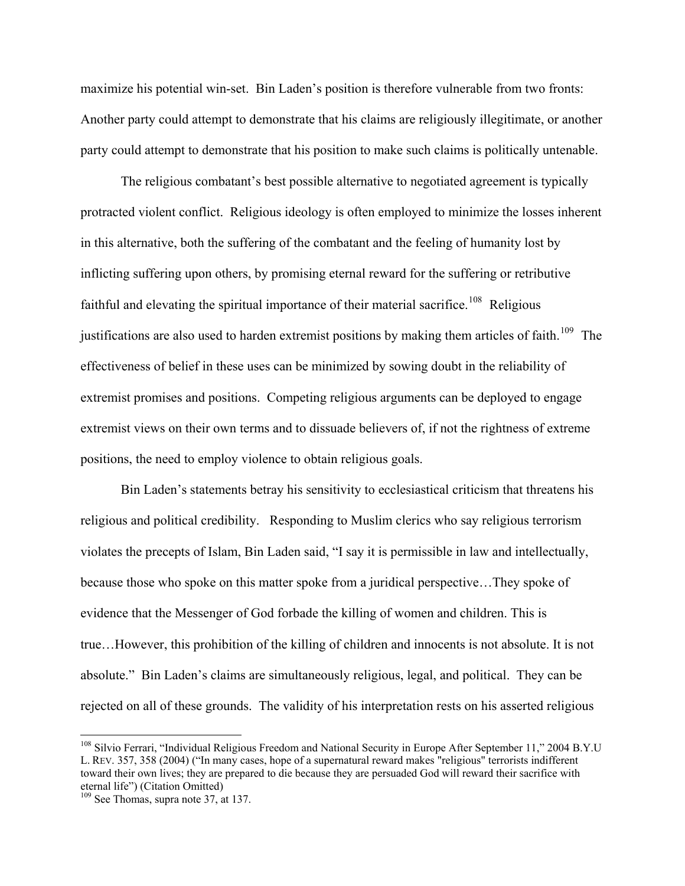maximize his potential win-set. Bin Laden's position is therefore vulnerable from two fronts: Another party could attempt to demonstrate that his claims are religiously illegitimate, or another party could attempt to demonstrate that his position to make such claims is politically untenable.

The religious combatant's best possible alternative to negotiated agreement is typically protracted violent conflict. Religious ideology is often employed to minimize the losses inherent in this alternative, both the suffering of the combatant and the feeling of humanity lost by inflicting suffering upon others, by promising eternal reward for the suffering or retributive faithful and elevating the spiritual importance of their material sacrifice.<sup>[108](#page-37-0)</sup> Religious justifications are also used to harden extremist positions by making them articles of faith.<sup>[109](#page-37-1)</sup> The effectiveness of belief in these uses can be minimized by sowing doubt in the reliability of extremist promises and positions. Competing religious arguments can be deployed to engage extremist views on their own terms and to dissuade believers of, if not the rightness of extreme positions, the need to employ violence to obtain religious goals.

Bin Laden's statements betray his sensitivity to ecclesiastical criticism that threatens his religious and political credibility. Responding to Muslim clerics who say religious terrorism violates the precepts of Islam, Bin Laden said, "I say it is permissible in law and intellectually, because those who spoke on this matter spoke from a juridical perspective…They spoke of evidence that the Messenger of God forbade the killing of women and children. This is true…However, this prohibition of the killing of children and innocents is not absolute. It is not absolute." Bin Laden's claims are simultaneously religious, legal, and political. They can be rejected on all of these grounds. The validity of his interpretation rests on his asserted religious

<span id="page-37-0"></span><sup>&</sup>lt;sup>108</sup> Silvio Ferrari, "Individual Religious Freedom and National Security in Europe After September 11," 2004 B.Y.U L. REV. 357, 358 (2004) ("In many cases, hope of a supernatural reward makes "religious" terrorists indifferent toward their own lives; they are prepared to die because they are persuaded God will reward their sacrifice with eternal life") (Citation Omitted)

<span id="page-37-1"></span><sup>&</sup>lt;sup>109</sup> See Thomas, supra note 37, at 137.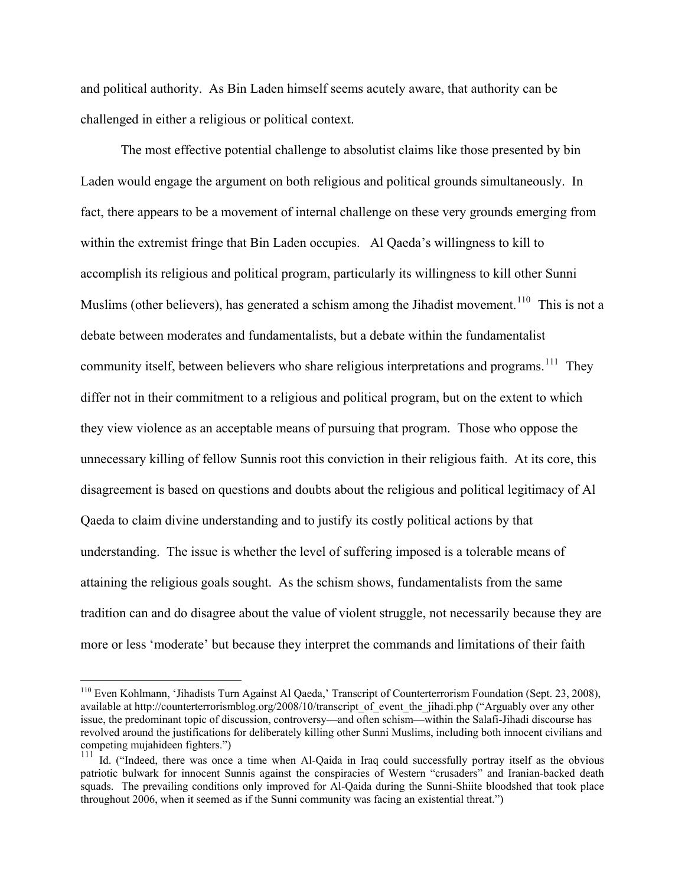and political authority. As Bin Laden himself seems acutely aware, that authority can be challenged in either a religious or political context.

38

The most effective potential challenge to absolutist claims like those presented by bin Laden would engage the argument on both religious and political grounds simultaneously. In fact, there appears to be a movement of internal challenge on these very grounds emerging from within the extremist fringe that Bin Laden occupies. Al Qaeda's willingness to kill to accomplish its religious and political program, particularly its willingness to kill other Sunni Muslims (other believers), has generated a schism among the Jihadist movement.<sup>[110](#page-38-0)</sup> This is not a debate between moderates and fundamentalists, but a debate within the fundamentalist community itself, between believers who share religious interpretations and programs.<sup>111</sup> They differ not in their commitment to a religious and political program, but on the extent to which they view violence as an acceptable means of pursuing that program. Those who oppose the unnecessary killing of fellow Sunnis root this conviction in their religious faith. At its core, this disagreement is based on questions and doubts about the religious and political legitimacy of Al Qaeda to claim divine understanding and to justify its costly political actions by that understanding. The issue is whether the level of suffering imposed is a tolerable means of attaining the religious goals sought. As the schism shows, fundamentalists from the same tradition can and do disagree about the value of violent struggle, not necessarily because they are more or less 'moderate' but because they interpret the commands and limitations of their faith

1

<span id="page-38-0"></span><sup>110</sup> Even Kohlmann, 'Jihadists Turn Against Al Qaeda,' Transcript of Counterterrorism Foundation (Sept. 23, 2008), available at http://counterterrorismblog.org/2008/10/transcript\_of\_event\_the\_jihadi.php ("Arguably over any other issue, the predominant topic of discussion, controversy—and often schism—within the Salafi-Jihadi discourse has revolved around the justifications for deliberately killing other Sunni Muslims, including both innocent civilians and competing mujahideen fighters.")

<span id="page-38-1"></span><sup>&</sup>lt;sup>111</sup> Id. ("Indeed, there was once a time when Al-Qaida in Iraq could successfully portray itself as the obvious patriotic bulwark for innocent Sunnis against the conspiracies of Western "crusaders" and Iranian-backed death squads. The prevailing conditions only improved for Al-Qaida during the Sunni-Shiite bloodshed that took place throughout 2006, when it seemed as if the Sunni community was facing an existential threat.")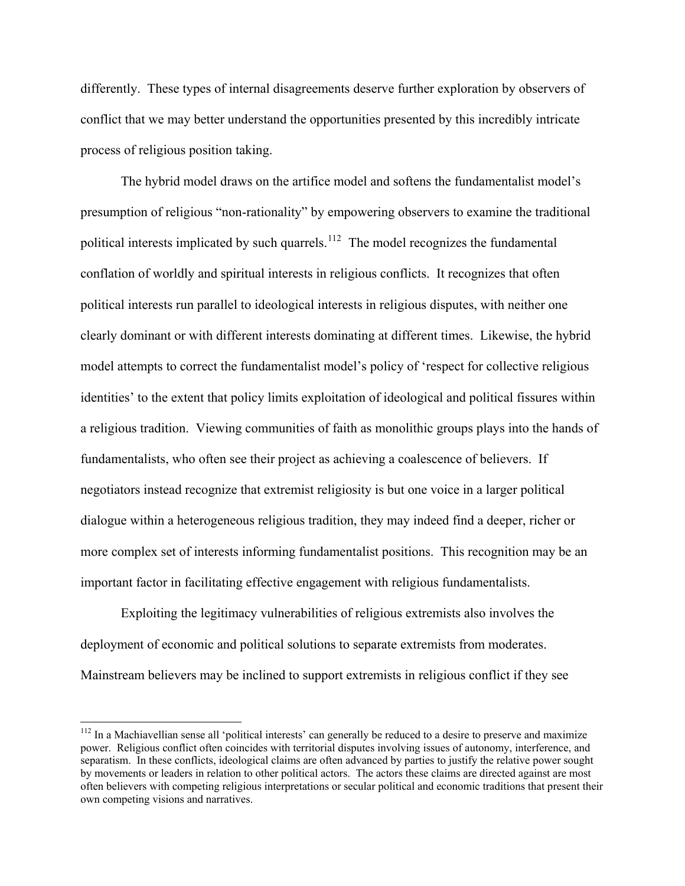differently. These types of internal disagreements deserve further exploration by observers of conflict that we may better understand the opportunities presented by this incredibly intricate process of religious position taking.

39

The hybrid model draws on the artifice model and softens the fundamentalist model's presumption of religious "non-rationality" by empowering observers to examine the traditional political interests implicated by such quarrels.<sup>[112](#page-39-0)</sup> The model recognizes the fundamental conflation of worldly and spiritual interests in religious conflicts. It recognizes that often political interests run parallel to ideological interests in religious disputes, with neither one clearly dominant or with different interests dominating at different times. Likewise, the hybrid model attempts to correct the fundamentalist model's policy of 'respect for collective religious identities' to the extent that policy limits exploitation of ideological and political fissures within a religious tradition. Viewing communities of faith as monolithic groups plays into the hands of fundamentalists, who often see their project as achieving a coalescence of believers. If negotiators instead recognize that extremist religiosity is but one voice in a larger political dialogue within a heterogeneous religious tradition, they may indeed find a deeper, richer or more complex set of interests informing fundamentalist positions. This recognition may be an important factor in facilitating effective engagement with religious fundamentalists.

Exploiting the legitimacy vulnerabilities of religious extremists also involves the deployment of economic and political solutions to separate extremists from moderates. Mainstream believers may be inclined to support extremists in religious conflict if they see

<span id="page-39-0"></span> $112$  In a Machiavellian sense all 'political interests' can generally be reduced to a desire to preserve and maximize power. Religious conflict often coincides with territorial disputes involving issues of autonomy, interference, and separatism. In these conflicts, ideological claims are often advanced by parties to justify the relative power sought by movements or leaders in relation to other political actors. The actors these claims are directed against are most often believers with competing religious interpretations or secular political and economic traditions that present their own competing visions and narratives.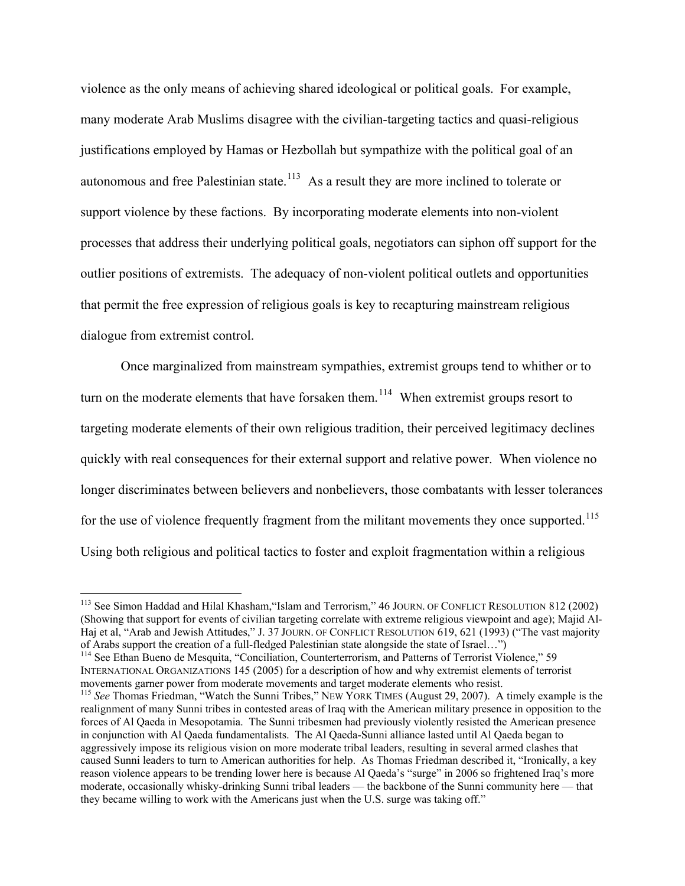violence as the only means of achieving shared ideological or political goals. For example, many moderate Arab Muslims disagree with the civilian-targeting tactics and quasi-religious justifications employed by Hamas or Hezbollah but sympathize with the political goal of an autonomous and free Palestinian state.<sup>[113](#page-40-0)</sup> As a result they are more inclined to tolerate or support violence by these factions. By incorporating moderate elements into non-violent processes that address their underlying political goals, negotiators can siphon off support for the outlier positions of extremists. The adequacy of non-violent political outlets and opportunities that permit the free expression of religious goals is key to recapturing mainstream religious dialogue from extremist control.

40

Once marginalized from mainstream sympathies, extremist groups tend to whither or to turn on the moderate elements that have forsaken them.<sup>[114](#page-40-1)</sup> When extremist groups resort to targeting moderate elements of their own religious tradition, their perceived legitimacy declines quickly with real consequences for their external support and relative power. When violence no longer discriminates between believers and nonbelievers, those combatants with lesser tolerances for the use of violence frequently fragment from the militant movements they once supported.<sup>[115](#page-40-2)</sup> Using both religious and political tactics to foster and exploit fragmentation within a religious

<span id="page-40-0"></span><sup>&</sup>lt;sup>113</sup> See Simon Haddad and Hilal Khasham, "Islam and Terrorism," 46 JOURN. OF CONFLICT RESOLUTION 812 (2002) (Showing that support for events of civilian targeting correlate with extreme religious viewpoint and age); Majid Al-Haj et al, "Arab and Jewish Attitudes," J. 37 JOURN. OF CONFLICT RESOLUTION 619, 621 (1993) ("The vast majority of Arabs support the creation of a full-fledged Palestinian state alongside the state of Israel…")

<span id="page-40-1"></span><sup>&</sup>lt;sup>114</sup> See Ethan Bueno de Mesquita, "Conciliation, Counterterrorism, and Patterns of Terrorist Violence," 59 INTERNATIONAL ORGANIZATIONS 145 (2005) for a description of how and why extremist elements of terrorist movements garner power from moderate movements and target moderate elements who resist.

<span id="page-40-2"></span><sup>&</sup>lt;sup>115</sup> See Thomas Friedman, "Watch the Sunni Tribes," NEW YORK TIMES (August 29, 2007). A timely example is the realignment of many Sunni tribes in contested areas of Iraq with the American military presence in opposition to the forces of Al Qaeda in Mesopotamia. The Sunni tribesmen had previously violently resisted the American presence in conjunction with Al Qaeda fundamentalists. The Al Qaeda-Sunni alliance lasted until Al Qaeda began to aggressively impose its religious vision on more moderate tribal leaders, resulting in several armed clashes that caused Sunni leaders to turn to American authorities for help. As Thomas Friedman described it, "Ironically, a key reason violence appears to be trending lower here is because Al Qaeda's "surge" in 2006 so frightened Iraq's more moderate, occasionally whisky-drinking Sunni tribal leaders — the backbone of the Sunni community here — that they became willing to work with the Americans just when the U.S. surge was taking off."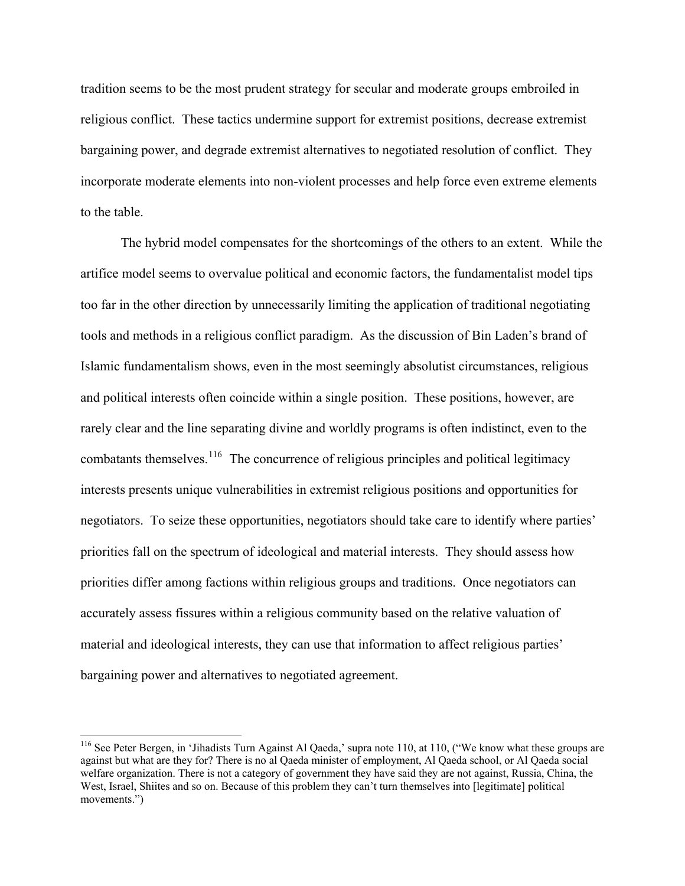tradition seems to be the most prudent strategy for secular and moderate groups embroiled in religious conflict. These tactics undermine support for extremist positions, decrease extremist bargaining power, and degrade extremist alternatives to negotiated resolution of conflict. They incorporate moderate elements into non-violent processes and help force even extreme elements to the table.

The hybrid model compensates for the shortcomings of the others to an extent. While the artifice model seems to overvalue political and economic factors, the fundamentalist model tips too far in the other direction by unnecessarily limiting the application of traditional negotiating tools and methods in a religious conflict paradigm. As the discussion of Bin Laden's brand of Islamic fundamentalism shows, even in the most seemingly absolutist circumstances, religious and political interests often coincide within a single position. These positions, however, are rarely clear and the line separating divine and worldly programs is often indistinct, even to the combatants themselves.<sup>[116](#page-41-0)</sup> The concurrence of religious principles and political legitimacy interests presents unique vulnerabilities in extremist religious positions and opportunities for negotiators. To seize these opportunities, negotiators should take care to identify where parties' priorities fall on the spectrum of ideological and material interests. They should assess how priorities differ among factions within religious groups and traditions. Once negotiators can accurately assess fissures within a religious community based on the relative valuation of material and ideological interests, they can use that information to affect religious parties' bargaining power and alternatives to negotiated agreement.

<span id="page-41-0"></span><sup>&</sup>lt;sup>116</sup> See Peter Bergen, in 'Jihadists Turn Against Al Qaeda,' supra note 110, at 110, ("We know what these groups are against but what are they for? There is no al Qaeda minister of employment, Al Qaeda school, or Al Qaeda social welfare organization. There is not a category of government they have said they are not against, Russia, China, the West, Israel, Shiites and so on. Because of this problem they can't turn themselves into [legitimate] political movements.")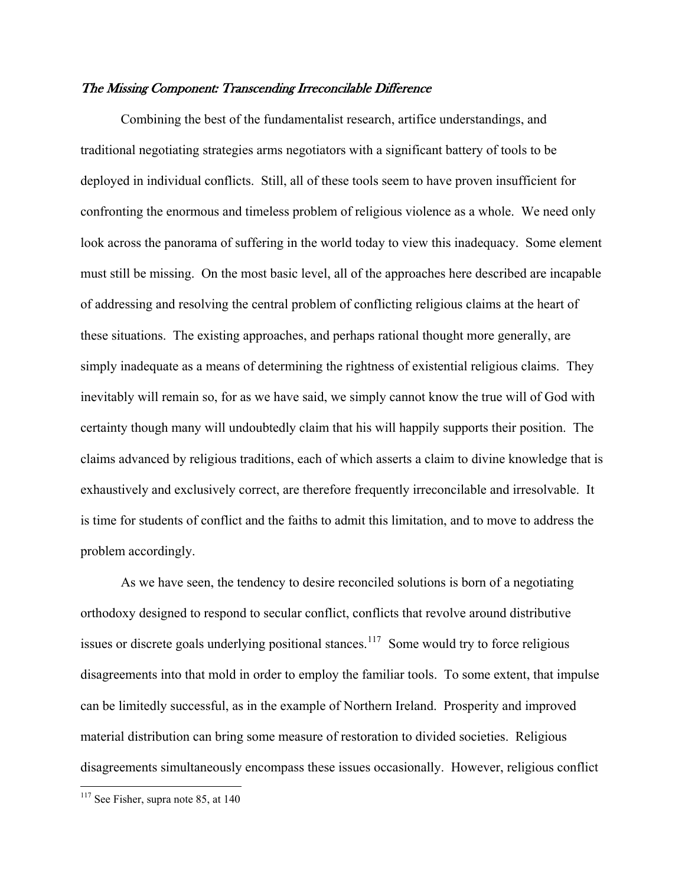#### The Missing Component: Transcending Irreconcilable Difference

Combining the best of the fundamentalist research, artifice understandings, and traditional negotiating strategies arms negotiators with a significant battery of tools to be deployed in individual conflicts. Still, all of these tools seem to have proven insufficient for confronting the enormous and timeless problem of religious violence as a whole. We need only look across the panorama of suffering in the world today to view this inadequacy. Some element must still be missing. On the most basic level, all of the approaches here described are incapable of addressing and resolving the central problem of conflicting religious claims at the heart of these situations. The existing approaches, and perhaps rational thought more generally, are simply inadequate as a means of determining the rightness of existential religious claims. They inevitably will remain so, for as we have said, we simply cannot know the true will of God with certainty though many will undoubtedly claim that his will happily supports their position. The claims advanced by religious traditions, each of which asserts a claim to divine knowledge that is exhaustively and exclusively correct, are therefore frequently irreconcilable and irresolvable. It is time for students of conflict and the faiths to admit this limitation, and to move to address the problem accordingly.

As we have seen, the tendency to desire reconciled solutions is born of a negotiating orthodoxy designed to respond to secular conflict, conflicts that revolve around distributive issues or discrete goals underlying positional stances.<sup>[117](#page-42-0)</sup> Some would try to force religious disagreements into that mold in order to employ the familiar tools. To some extent, that impulse can be limitedly successful, as in the example of Northern Ireland. Prosperity and improved material distribution can bring some measure of restoration to divided societies. Religious disagreements simultaneously encompass these issues occasionally. However, religious conflict

<span id="page-42-0"></span> $117$  See Fisher, supra note 85, at 140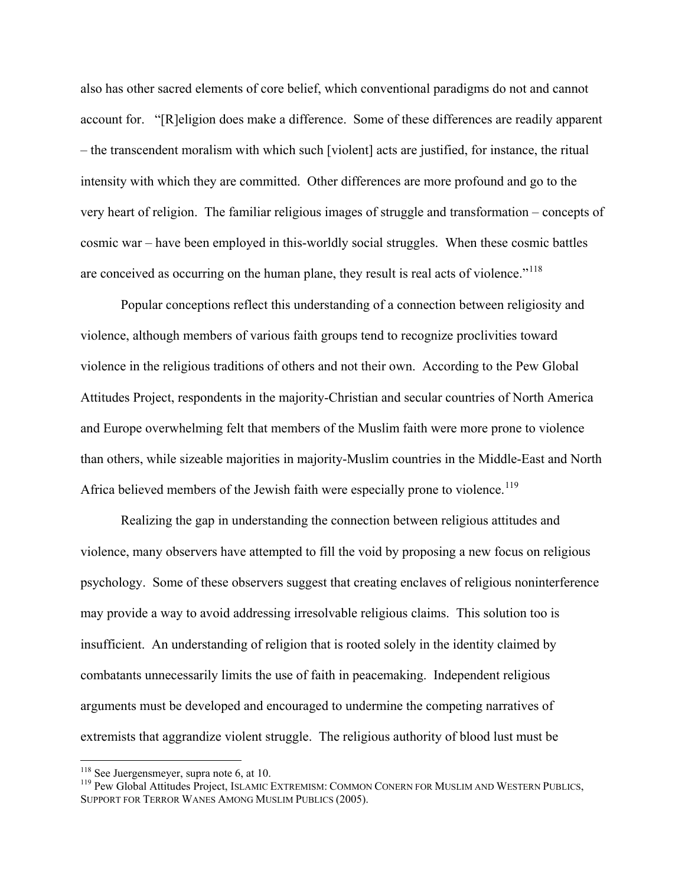also has other sacred elements of core belief, which conventional paradigms do not and cannot account for. "[R]eligion does make a difference. Some of these differences are readily apparent – the transcendent moralism with which such [violent] acts are justified, for instance, the ritual intensity with which they are committed. Other differences are more profound and go to the very heart of religion. The familiar religious images of struggle and transformation – concepts of cosmic war – have been employed in this-worldly social struggles. When these cosmic battles are conceived as occurring on the human plane, they result is real acts of violence."<sup>[118](#page-43-0)</sup>

43

Popular conceptions reflect this understanding of a connection between religiosity and violence, although members of various faith groups tend to recognize proclivities toward violence in the religious traditions of others and not their own. According to the Pew Global Attitudes Project, respondents in the majority-Christian and secular countries of North America and Europe overwhelming felt that members of the Muslim faith were more prone to violence than others, while sizeable majorities in majority-Muslim countries in the Middle-East and North Africa believed members of the Jewish faith were especially prone to violence.<sup>[119](#page-43-1)</sup>

Realizing the gap in understanding the connection between religious attitudes and violence, many observers have attempted to fill the void by proposing a new focus on religious psychology. Some of these observers suggest that creating enclaves of religious noninterference may provide a way to avoid addressing irresolvable religious claims. This solution too is insufficient. An understanding of religion that is rooted solely in the identity claimed by combatants unnecessarily limits the use of faith in peacemaking. Independent religious arguments must be developed and encouraged to undermine the competing narratives of extremists that aggrandize violent struggle. The religious authority of blood lust must be

<span id="page-43-1"></span><span id="page-43-0"></span><sup>&</sup>lt;sup>118</sup> See Juergensmeyer, supra note 6, at 10.<br><sup>119</sup> Pew Global Attitudes Project, ISLAMIC EXTREMISM: COMMON CONERN FOR MUSLIM AND WESTERN PUBLICS, SUPPORT FOR TERROR WANES AMONG MUSLIM PUBLICS (2005).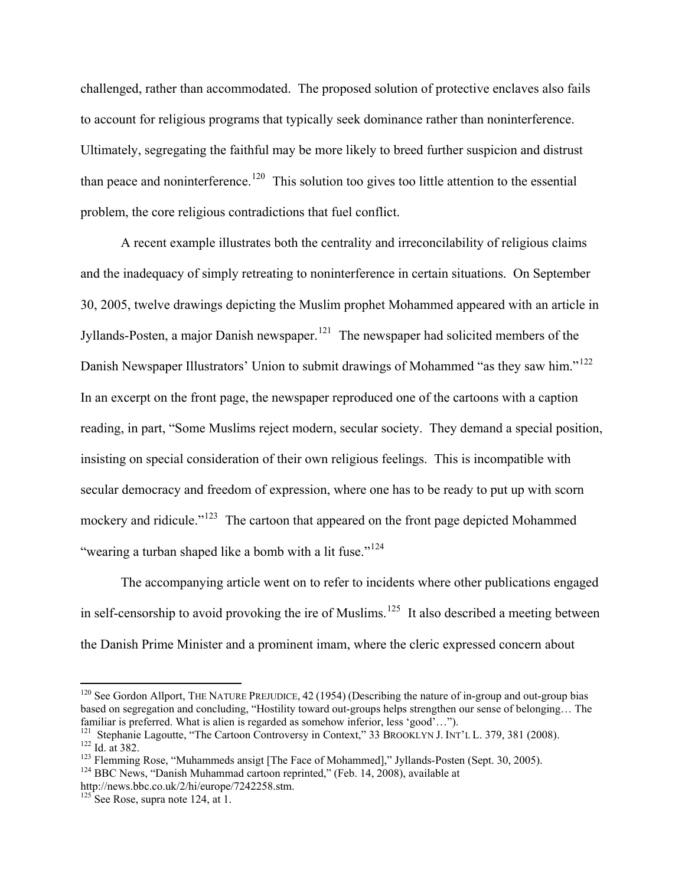challenged, rather than accommodated. The proposed solution of protective enclaves also fails to account for religious programs that typically seek dominance rather than noninterference. Ultimately, segregating the faithful may be more likely to breed further suspicion and distrust than peace and noninterference.<sup>[120](#page-44-0)</sup> This solution too gives too little attention to the essential problem, the core religious contradictions that fuel conflict.

44

A recent example illustrates both the centrality and irreconcilability of religious claims and the inadequacy of simply retreating to noninterference in certain situations. On September 30, 2005, twelve drawings depicting the Muslim prophet Mohammed appeared with an article in Jyllands-Posten, a major Danish newspaper.<sup>[121](#page-44-1)</sup> The newspaper had solicited members of the Danish Newspaper Illustrators' Union to submit drawings of Mohammed "as they saw him."<sup>[122](#page-44-2)</sup> In an excerpt on the front page, the newspaper reproduced one of the cartoons with a caption reading, in part, "Some Muslims reject modern, secular society. They demand a special position, insisting on special consideration of their own religious feelings. This is incompatible with secular democracy and freedom of expression, where one has to be ready to put up with scorn mockery and ridicule."<sup>[123](#page-44-3)</sup> The cartoon that appeared on the front page depicted Mohammed "wearing a turban shaped like a bomb with a lit fuse."<sup>[124](#page-44-4)</sup>

The accompanying article went on to refer to incidents where other publications engaged in self-censorship to avoid provoking the ire of Muslims.<sup>[125](#page-44-5)</sup> It also described a meeting between the Danish Prime Minister and a prominent imam, where the cleric expressed concern about

<span id="page-44-0"></span> $120$  See Gordon Allport, THE NATURE PREJUDICE, 42 (1954) (Describing the nature of in-group and out-group bias based on segregation and concluding, "Hostility toward out-groups helps strengthen our sense of belonging... The familiar is preferred. What is alien is regarded as somehow inferior, less 'good'...").

<span id="page-44-2"></span><span id="page-44-1"></span><sup>&</sup>lt;sup>121</sup> Stephanie Lagoutte, "The Cartoon Controversy in Context," 33 BROOKLYN J. INT'L L. 379, 381 (2008).<br><sup>122</sup> Id. at 382.<br><sup>123</sup> Flemming Rose, "Muhammeds ansigt [The Face of Mohammed]," Jyllands-Posten (Sept. 30, 2005).<br>

<span id="page-44-3"></span>

<span id="page-44-4"></span>http://news.bbc.co.uk/2/hi/europe/7242258.stm.

<span id="page-44-5"></span> $125$  See Rose, supra note 124, at 1.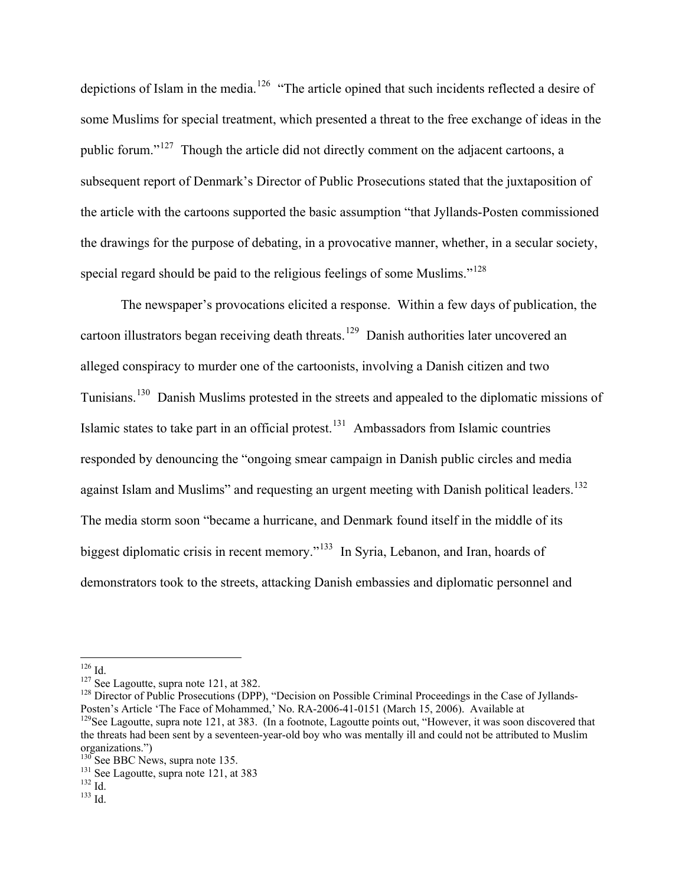depictions of Islam in the media.<sup>[126](#page-45-0)</sup> "The article opined that such incidents reflected a desire of some Muslims for special treatment, which presented a threat to the free exchange of ideas in the public forum."[127](#page-45-1) Though the article did not directly comment on the adjacent cartoons, a subsequent report of Denmark's Director of Public Prosecutions stated that the juxtaposition of the article with the cartoons supported the basic assumption "that Jyllands-Posten commissioned the drawings for the purpose of debating, in a provocative manner, whether, in a secular society, special regard should be paid to the religious feelings of some Muslims."<sup>[128](#page-45-2)</sup>

The newspaper's provocations elicited a response. Within a few days of publication, the cartoon illustrators began receiving death threats.<sup>[129](#page-45-3)</sup> Danish authorities later uncovered an alleged conspiracy to murder one of the cartoonists, involving a Danish citizen and two Tunisians.[130](#page-45-4) Danish Muslims protested in the streets and appealed to the diplomatic missions of Islamic states to take part in an official protest.<sup>[131](#page-45-5)</sup> Ambassadors from Islamic countries responded by denouncing the "ongoing smear campaign in Danish public circles and media against Islam and Muslims" and requesting an urgent meeting with Danish political leaders.<sup>[132](#page-45-6)</sup> The media storm soon "became a hurricane, and Denmark found itself in the middle of its biggest diplomatic crisis in recent memory."<sup>[133](#page-45-7)</sup> In Syria, Lebanon, and Iran, hoards of demonstrators took to the streets, attacking Danish embassies and diplomatic personnel and

<span id="page-45-2"></span>

<span id="page-45-1"></span><span id="page-45-0"></span><sup>&</sup>lt;sup>126</sup> Id.<br><sup>127</sup> See Lagoutte, supra note 121, at 382.<br><sup>128</sup> Director of Public Prosecutions (DPP), "Decision on Possible Criminal Proceedings in the Case of Jyllands-Posten's Article 'The Face of Mohammed,' No. RA-2006-41-0151 (March 15, 2006). Available at

<span id="page-45-3"></span> $129$ See Lagoutte, supra note 121, at 383. (In a footnote, Lagoutte points out, "However, it was soon discovered that the threats had been sent by a seventeen-year-old boy who was mentally ill and could not be attributed to Muslim organizations.")<br><sup>130</sup> See BBC News, supra note 135.

<span id="page-45-5"></span><span id="page-45-4"></span><sup>&</sup>lt;sup>131</sup> See Lagoutte, supra note 121, at 383<sup>132</sup> Id.

<span id="page-45-7"></span><span id="page-45-6"></span>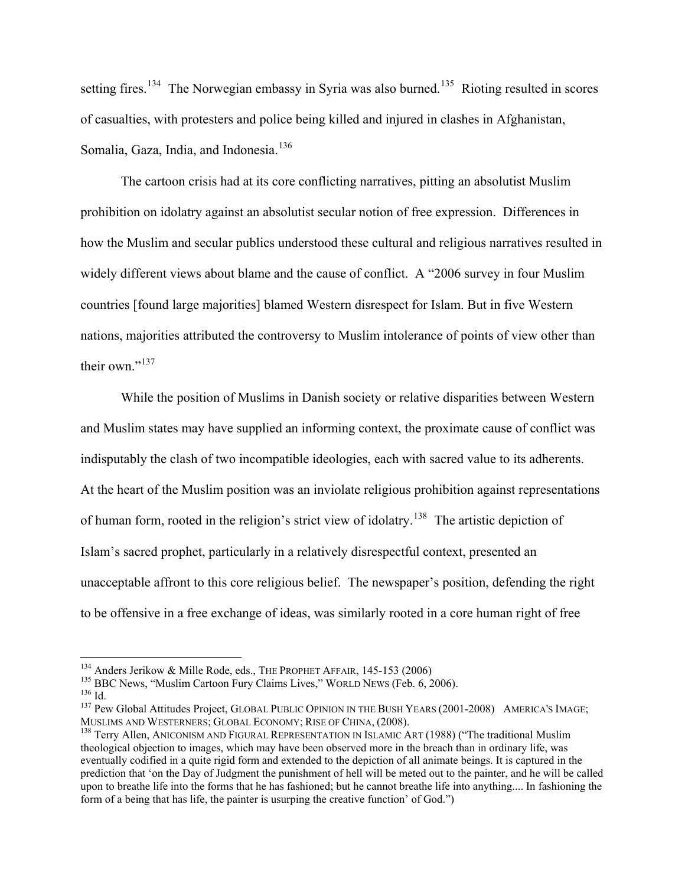setting fires.<sup>[134](#page-46-0)</sup> The Norwegian embassy in Syria was also burned.<sup>[135](#page-46-1)</sup> Rioting resulted in scores of casualties, with protesters and police being killed and injured in clashes in Afghanistan, Somalia, Gaza, India, and Indonesia.<sup>[136](#page-46-2)</sup>

46

The cartoon crisis had at its core conflicting narratives, pitting an absolutist Muslim prohibition on idolatry against an absolutist secular notion of free expression. Differences in how the Muslim and secular publics understood these cultural and religious narratives resulted in widely different views about blame and the cause of conflict. A "2006 survey in four Muslim countries [found large majorities] blamed Western disrespect for Islam. But in five Western nations, majorities attributed the controversy to Muslim intolerance of points of view other than their own  $\frac{137}{137}$  $\frac{137}{137}$  $\frac{137}{137}$ 

While the position of Muslims in Danish society or relative disparities between Western and Muslim states may have supplied an informing context, the proximate cause of conflict was indisputably the clash of two incompatible ideologies, each with sacred value to its adherents. At the heart of the Muslim position was an inviolate religious prohibition against representations of human form, rooted in the religion's strict view of idolatry.<sup>[138](#page-46-4)</sup> The artistic depiction of Islam's sacred prophet, particularly in a relatively disrespectful context, presented an unacceptable affront to this core religious belief. The newspaper's position, defending the right to be offensive in a free exchange of ideas, was similarly rooted in a core human right of free

<span id="page-46-3"></span><span id="page-46-2"></span>

<span id="page-46-1"></span><span id="page-46-0"></span><sup>&</sup>lt;sup>134</sup> Anders Jerikow & Mille Rode, eds., THE PROPHET AFFAIR, 145-153 (2006)<br><sup>135</sup> BBC News, "Muslim Cartoon Fury Claims Lives," WORLD NEWS (Feb. 6, 2006).<br><sup>136</sup> Id.<br><sup>137</sup> Pew Global Attitudes Project, GLOBAL PUBLIC OPINIO

<span id="page-46-4"></span><sup>&</sup>lt;sup>138</sup> Terry Allen, ANICONISM AND FIGURAL REPRESENTATION IN ISLAMIC ART (1988) ("The traditional Muslim theological objection to images, which may have been observed more in the breach than in ordinary life, was eventually codified in a quite rigid form and extended to the depiction of all animate beings. It is captured in the prediction that 'on the Day of Judgment the punishment of hell will be meted out to the painter, and he will be called upon to breathe life into the forms that he has fashioned; but he cannot breathe life into anything.... In fashioning the form of a being that has life, the painter is usurping the creative function' of God.")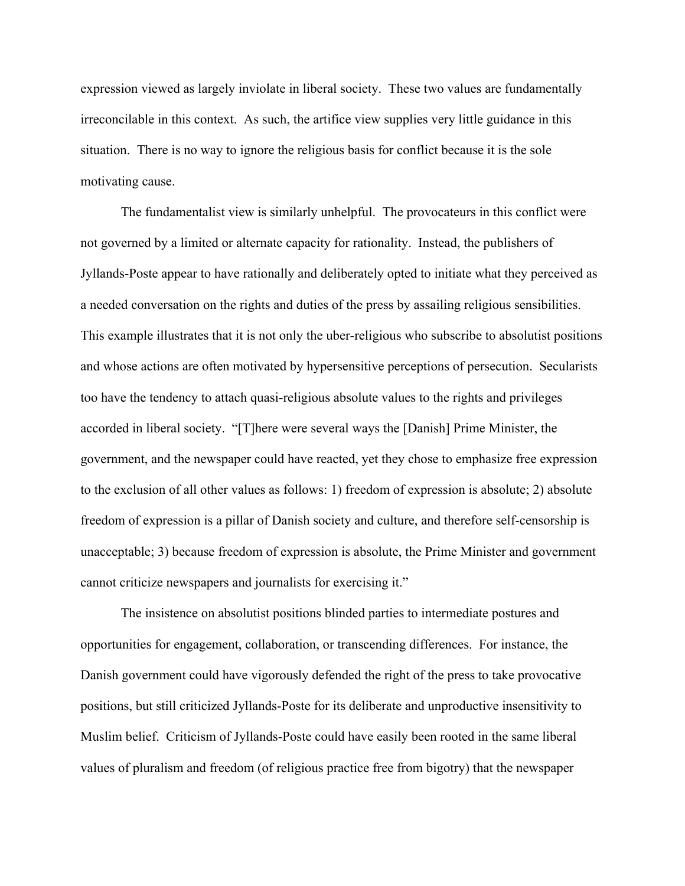expression viewed as largely inviolate in liberal society. These two values are fundamentally irreconcilable in this context. As such, the artifice view supplies very little guidance in this situation. There is no way to ignore the religious basis for conflict because it is the sole motivating cause.

The fundamentalist view is similarly unhelpful. The provocateurs in this conflict were not governed by a limited or alternate capacity for rationality. Instead, the publishers of Jyllands-Poste appear to have rationally and deliberately opted to initiate what they perceived as a needed conversation on the rights and duties of the press by assailing religious sensibilities. This example illustrates that it is not only the uber-religious who subscribe to absolutist positions and whose actions are often motivated by hypersensitive perceptions of persecution. Secularists too have the tendency to attach quasi-religious absolute values to the rights and privileges accorded in liberal society. "[T]here were several ways the [Danish] Prime Minister, the government, and the newspaper could have reacted, yet they chose to emphasize free expression to the exclusion of all other values as follows: 1) freedom of expression is absolute; 2) absolute freedom of expression is a pillar of Danish society and culture, and therefore self-censorship is unacceptable; 3) because freedom of expression is absolute, the Prime Minister and government cannot criticize newspapers and journalists for exercising it."

The insistence on absolutist positions blinded parties to intermediate postures and opportunities for engagement, collaboration, or transcending differences. For instance, the Danish government could have vigorously defended the right of the press to take provocative positions, but still criticized Jyllands-Poste for its deliberate and unproductive insensitivity to Muslim belief. Criticism of Jyllands-Poste could have easily been rooted in the same liberal values of pluralism and freedom (of religious practice free from bigotry) that the newspaper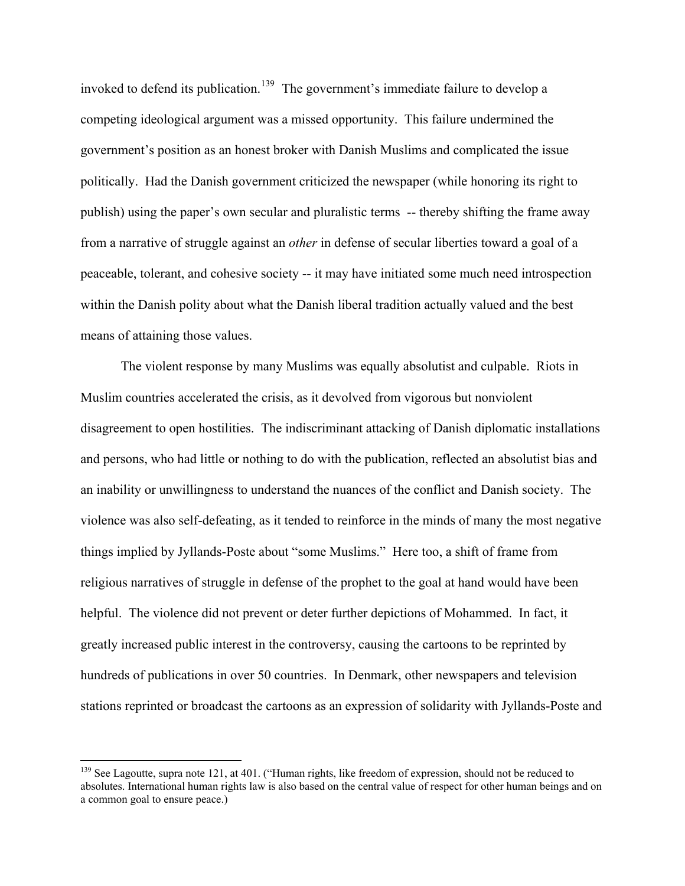invoked to defend its publication.<sup>[139](#page-48-0)</sup> The government's immediate failure to develop a competing ideological argument was a missed opportunity. This failure undermined the government's position as an honest broker with Danish Muslims and complicated the issue politically. Had the Danish government criticized the newspaper (while honoring its right to publish) using the paper's own secular and pluralistic terms -- thereby shifting the frame away from a narrative of struggle against an *other* in defense of secular liberties toward a goal of a peaceable, tolerant, and cohesive society -- it may have initiated some much need introspection within the Danish polity about what the Danish liberal tradition actually valued and the best means of attaining those values.

48

The violent response by many Muslims was equally absolutist and culpable. Riots in Muslim countries accelerated the crisis, as it devolved from vigorous but nonviolent disagreement to open hostilities. The indiscriminant attacking of Danish diplomatic installations and persons, who had little or nothing to do with the publication, reflected an absolutist bias and an inability or unwillingness to understand the nuances of the conflict and Danish society. The violence was also self-defeating, as it tended to reinforce in the minds of many the most negative things implied by Jyllands-Poste about "some Muslims." Here too, a shift of frame from religious narratives of struggle in defense of the prophet to the goal at hand would have been helpful. The violence did not prevent or deter further depictions of Mohammed. In fact, it greatly increased public interest in the controversy, causing the cartoons to be reprinted by hundreds of publications in over 50 countries. In Denmark, other newspapers and television stations reprinted or broadcast the cartoons as an expression of solidarity with Jyllands-Poste and

<span id="page-48-0"></span><sup>&</sup>lt;sup>139</sup> See Lagoutte, supra note 121, at 401. ("Human rights, like freedom of expression, should not be reduced to absolutes. International human rights law is also based on the central value of respect for other human beings and on a common goal to ensure peace.)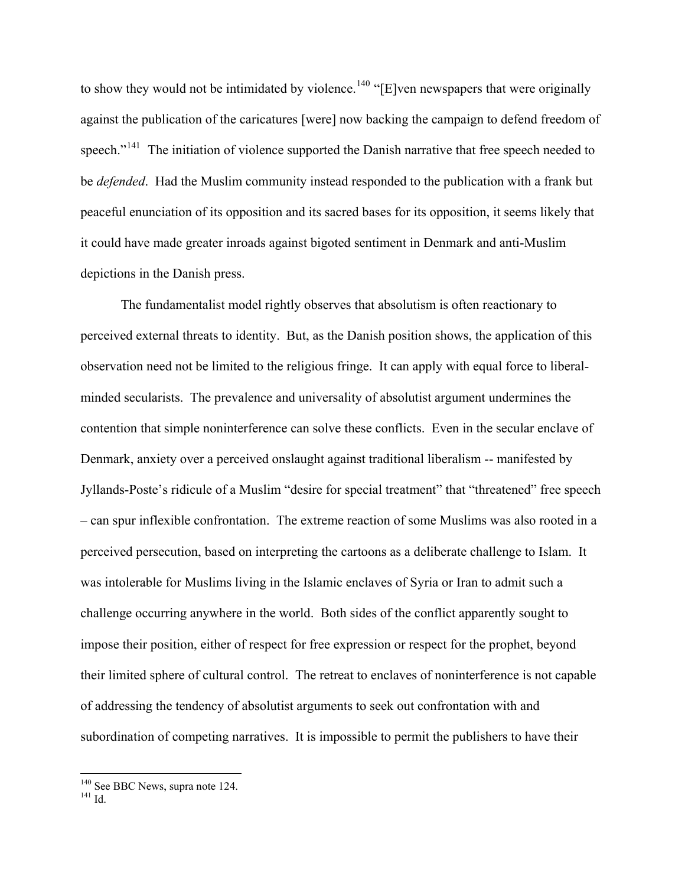to show they would not be intimidated by violence.<sup>[140](#page-49-0)</sup> "[E]ven newspapers that were originally against the publication of the caricatures [were] now backing the campaign to defend freedom of speech."<sup>[141](#page-49-1)</sup> The initiation of violence supported the Danish narrative that free speech needed to be *defended*. Had the Muslim community instead responded to the publication with a frank but peaceful enunciation of its opposition and its sacred bases for its opposition, it seems likely that it could have made greater inroads against bigoted sentiment in Denmark and anti-Muslim depictions in the Danish press.

49

The fundamentalist model rightly observes that absolutism is often reactionary to perceived external threats to identity. But, as the Danish position shows, the application of this observation need not be limited to the religious fringe. It can apply with equal force to liberalminded secularists. The prevalence and universality of absolutist argument undermines the contention that simple noninterference can solve these conflicts. Even in the secular enclave of Denmark, anxiety over a perceived onslaught against traditional liberalism -- manifested by Jyllands-Poste's ridicule of a Muslim "desire for special treatment" that "threatened" free speech – can spur inflexible confrontation. The extreme reaction of some Muslims was also rooted in a perceived persecution, based on interpreting the cartoons as a deliberate challenge to Islam. It was intolerable for Muslims living in the Islamic enclaves of Syria or Iran to admit such a challenge occurring anywhere in the world. Both sides of the conflict apparently sought to impose their position, either of respect for free expression or respect for the prophet, beyond their limited sphere of cultural control. The retreat to enclaves of noninterference is not capable of addressing the tendency of absolutist arguments to seek out confrontation with and subordination of competing narratives. It is impossible to permit the publishers to have their

<span id="page-49-0"></span> $140$  See BBC News, supra note 124.<br> $141$  Id.

<span id="page-49-1"></span>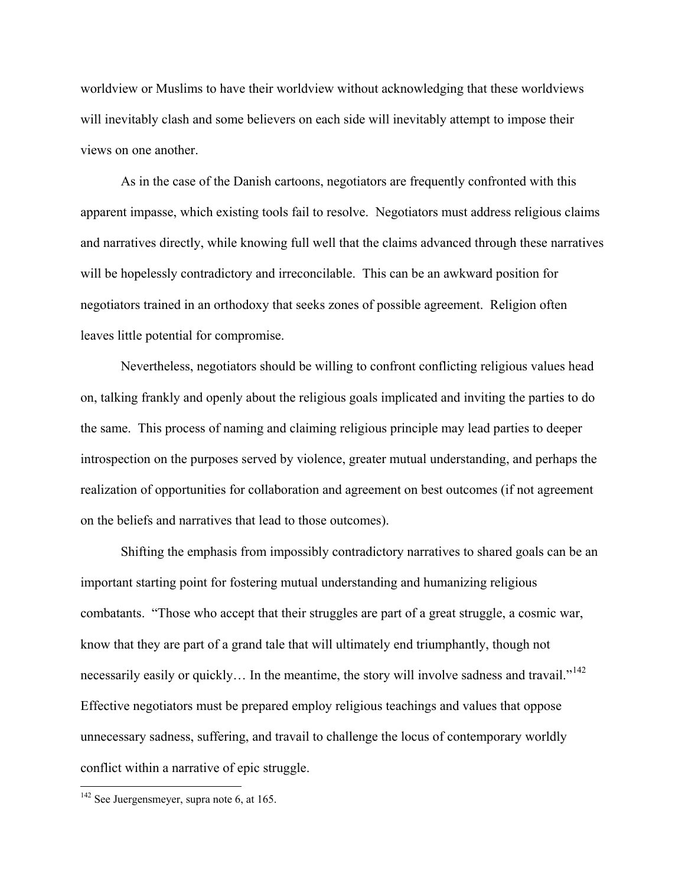worldview or Muslims to have their worldview without acknowledging that these worldviews will inevitably clash and some believers on each side will inevitably attempt to impose their views on one another.

50

As in the case of the Danish cartoons, negotiators are frequently confronted with this apparent impasse, which existing tools fail to resolve. Negotiators must address religious claims and narratives directly, while knowing full well that the claims advanced through these narratives will be hopelessly contradictory and irreconcilable. This can be an awkward position for negotiators trained in an orthodoxy that seeks zones of possible agreement. Religion often leaves little potential for compromise.

Nevertheless, negotiators should be willing to confront conflicting religious values head on, talking frankly and openly about the religious goals implicated and inviting the parties to do the same. This process of naming and claiming religious principle may lead parties to deeper introspection on the purposes served by violence, greater mutual understanding, and perhaps the realization of opportunities for collaboration and agreement on best outcomes (if not agreement on the beliefs and narratives that lead to those outcomes).

Shifting the emphasis from impossibly contradictory narratives to shared goals can be an important starting point for fostering mutual understanding and humanizing religious combatants. "Those who accept that their struggles are part of a great struggle, a cosmic war, know that they are part of a grand tale that will ultimately end triumphantly, though not necessarily easily or quickly... In the meantime, the story will involve sadness and travail."<sup>[142](#page-50-0)</sup> Effective negotiators must be prepared employ religious teachings and values that oppose unnecessary sadness, suffering, and travail to challenge the locus of contemporary worldly conflict within a narrative of epic struggle.

<span id="page-50-0"></span> $142$  See Juergensmeyer, supra note 6, at 165.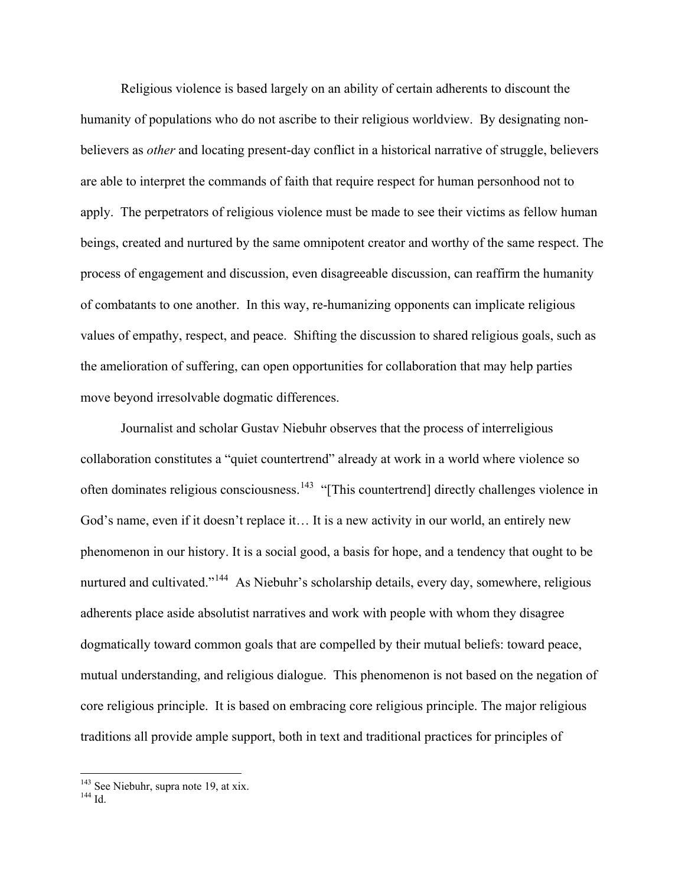Religious violence is based largely on an ability of certain adherents to discount the humanity of populations who do not ascribe to their religious worldview. By designating nonbelievers as *other* and locating present-day conflict in a historical narrative of struggle, believers are able to interpret the commands of faith that require respect for human personhood not to apply. The perpetrators of religious violence must be made to see their victims as fellow human beings, created and nurtured by the same omnipotent creator and worthy of the same respect. The process of engagement and discussion, even disagreeable discussion, can reaffirm the humanity of combatants to one another. In this way, re-humanizing opponents can implicate religious values of empathy, respect, and peace. Shifting the discussion to shared religious goals, such as the amelioration of suffering, can open opportunities for collaboration that may help parties move beyond irresolvable dogmatic differences.

Journalist and scholar Gustav Niebuhr observes that the process of interreligious collaboration constitutes a "quiet countertrend" already at work in a world where violence so often dominates religious consciousness.<sup>[143](#page-51-0)</sup> "[This countertrend] directly challenges violence in God's name, even if it doesn't replace it… It is a new activity in our world, an entirely new phenomenon in our history. It is a social good, a basis for hope, and a tendency that ought to be nurtured and cultivated."<sup>[144](#page-51-1)</sup> As Niebuhr's scholarship details, every day, somewhere, religious adherents place aside absolutist narratives and work with people with whom they disagree dogmatically toward common goals that are compelled by their mutual beliefs: toward peace, mutual understanding, and religious dialogue. This phenomenon is not based on the negation of core religious principle. It is based on embracing core religious principle. The major religious traditions all provide ample support, both in text and traditional practices for principles of

<span id="page-51-0"></span><sup>&</sup>lt;sup>143</sup> See Niebuhr, supra note 19, at xix.<br><sup>144</sup> Id.

<span id="page-51-1"></span>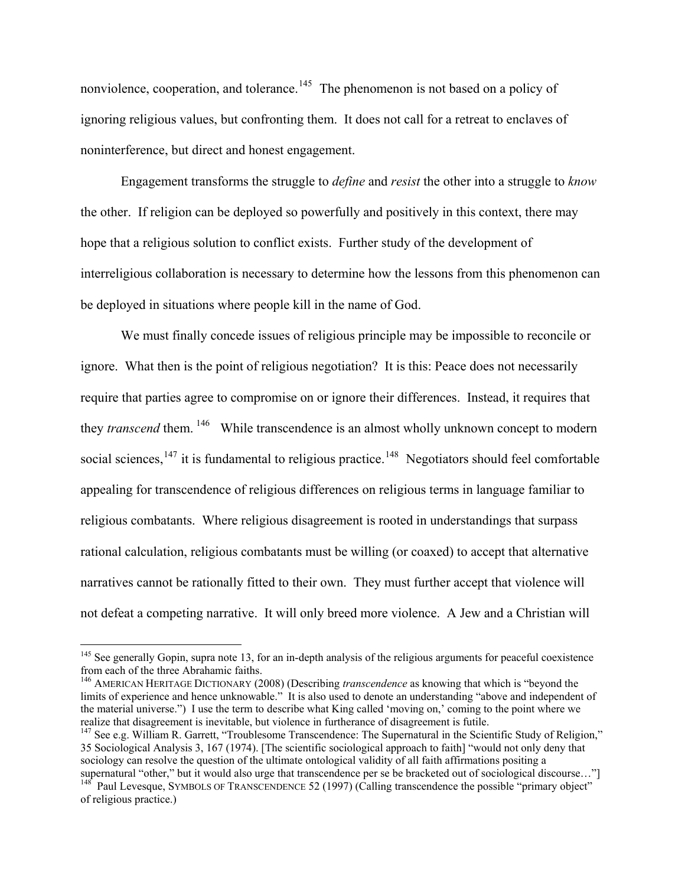nonviolence, cooperation, and tolerance.<sup>[145](#page-52-0)</sup> The phenomenon is not based on a policy of ignoring religious values, but confronting them. It does not call for a retreat to enclaves of noninterference, but direct and honest engagement.

Engagement transforms the struggle to *define* and *resist* the other into a struggle to *know* the other. If religion can be deployed so powerfully and positively in this context, there may hope that a religious solution to conflict exists. Further study of the development of interreligious collaboration is necessary to determine how the lessons from this phenomenon can be deployed in situations where people kill in the name of God.

We must finally concede issues of religious principle may be impossible to reconcile or ignore. What then is the point of religious negotiation? It is this: Peace does not necessarily require that parties agree to compromise on or ignore their differences. Instead, it requires that they *transcend* them. <sup>[146](#page-52-1)</sup> While transcendence is an almost wholly unknown concept to modern social sciences, $147$  it is fundamental to religious practice.<sup>[148](#page-52-3)</sup> Negotiators should feel comfortable appealing for transcendence of religious differences on religious terms in language familiar to religious combatants. Where religious disagreement is rooted in understandings that surpass rational calculation, religious combatants must be willing (or coaxed) to accept that alternative narratives cannot be rationally fitted to their own. They must further accept that violence will not defeat a competing narrative. It will only breed more violence. A Jew and a Christian will

 $\overline{a}$ 

52

<span id="page-52-0"></span> $145$  See generally Gopin, supra note 13, for an in-depth analysis of the religious arguments for peaceful coexistence from each of the three Abrahamic faiths.

<span id="page-52-1"></span><sup>146</sup> AMERICAN HERITAGE DICTIONARY (2008) (Describing *transcendence* as knowing that which is "beyond the limits of experience and hence unknowable." It is also used to denote an understanding "above and independent of the material universe.") I use the term to describe what King called 'moving on,' coming to the point where we realize that disagreement is inevitable, but violence in furtherance of disagreement is futile.

<span id="page-52-2"></span><sup>&</sup>lt;sup>147</sup> See e.g. William R. Garrett, "Troublesome Transcendence: The Supernatural in the Scientific Study of Religion," 35 Sociological Analysis 3, 167 (1974). [The scientific sociological approach to faith] "would not only deny that sociology can resolve the question of the ultimate ontological validity of all faith affirmations positing a supernatural "other," but it would also urge that transcendence per se be bracketed out of sociological discourse

<span id="page-52-3"></span> $148<sup>t</sup>$  Paul Levesque, SYMBOLS OF TRANSCENDENCE 52 (1997) (Calling transcendence the possible "primary object" of religious practice.)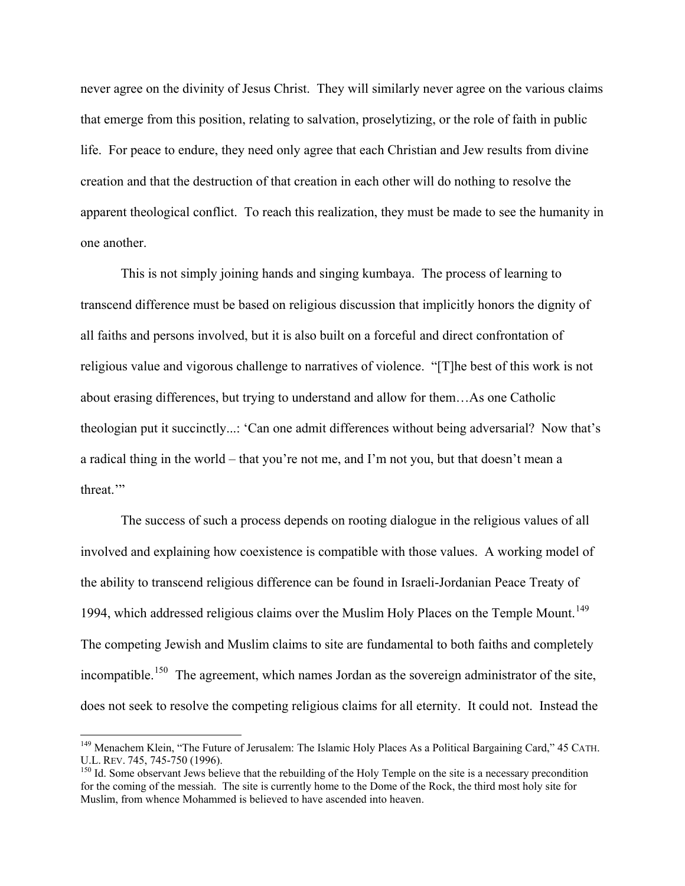never agree on the divinity of Jesus Christ. They will similarly never agree on the various claims that emerge from this position, relating to salvation, proselytizing, or the role of faith in public life. For peace to endure, they need only agree that each Christian and Jew results from divine creation and that the destruction of that creation in each other will do nothing to resolve the apparent theological conflict. To reach this realization, they must be made to see the humanity in one another.

53

This is not simply joining hands and singing kumbaya. The process of learning to transcend difference must be based on religious discussion that implicitly honors the dignity of all faiths and persons involved, but it is also built on a forceful and direct confrontation of religious value and vigorous challenge to narratives of violence. "[T]he best of this work is not about erasing differences, but trying to understand and allow for them…As one Catholic theologian put it succinctly...: 'Can one admit differences without being adversarial? Now that's a radical thing in the world – that you're not me, and I'm not you, but that doesn't mean a threat.'"

The success of such a process depends on rooting dialogue in the religious values of all involved and explaining how coexistence is compatible with those values. A working model of the ability to transcend religious difference can be found in Israeli-Jordanian Peace Treaty of 1994, which addressed religious claims over the Muslim Holy Places on the Temple Mount.<sup>[149](#page-53-0)</sup> The competing Jewish and Muslim claims to site are fundamental to both faiths and completely incompatible.<sup>[150](#page-53-1)</sup> The agreement, which names Jordan as the sovereign administrator of the site, does not seek to resolve the competing religious claims for all eternity. It could not. Instead the

<span id="page-53-0"></span><sup>&</sup>lt;sup>149</sup> Menachem Klein, "The Future of Jerusalem: The Islamic Holy Places As a Political Bargaining Card," 45 CATH.<br>U.L. REV. 745, 745-750 (1996).

<span id="page-53-1"></span> $<sup>150</sup>$  Id. Some observant Jews believe that the rebuilding of the Holy Temple on the site is a necessary precondition</sup> for the coming of the messiah. The site is currently home to the Dome of the Rock, the third most holy site for Muslim, from whence Mohammed is believed to have ascended into heaven.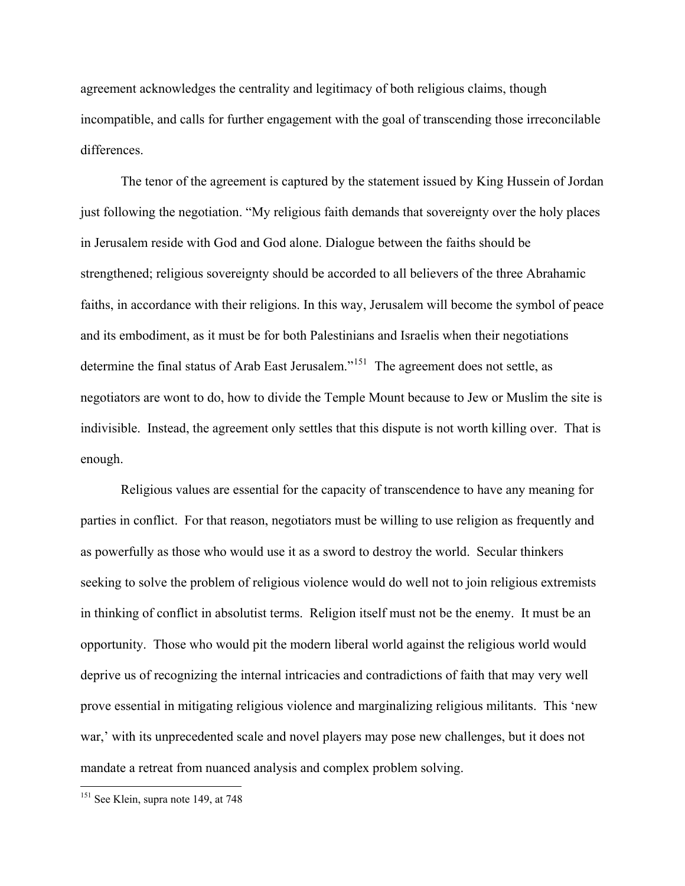agreement acknowledges the centrality and legitimacy of both religious claims, though incompatible, and calls for further engagement with the goal of transcending those irreconcilable differences.

54

The tenor of the agreement is captured by the statement issued by King Hussein of Jordan just following the negotiation. "My religious faith demands that sovereignty over the holy places in Jerusalem reside with God and God alone. Dialogue between the faiths should be strengthened; religious sovereignty should be accorded to all believers of the three Abrahamic faiths, in accordance with their religions. In this way, Jerusalem will become the symbol of peace and its embodiment, as it must be for both Palestinians and Israelis when their negotiations determine the final status of Arab East Jerusalem."<sup>[151](#page-54-0)</sup> The agreement does not settle, as negotiators are wont to do, how to divide the Temple Mount because to Jew or Muslim the site is indivisible. Instead, the agreement only settles that this dispute is not worth killing over. That is enough.

Religious values are essential for the capacity of transcendence to have any meaning for parties in conflict. For that reason, negotiators must be willing to use religion as frequently and as powerfully as those who would use it as a sword to destroy the world. Secular thinkers seeking to solve the problem of religious violence would do well not to join religious extremists in thinking of conflict in absolutist terms. Religion itself must not be the enemy. It must be an opportunity. Those who would pit the modern liberal world against the religious world would deprive us of recognizing the internal intricacies and contradictions of faith that may very well prove essential in mitigating religious violence and marginalizing religious militants. This 'new war,' with its unprecedented scale and novel players may pose new challenges, but it does not mandate a retreat from nuanced analysis and complex problem solving.

<span id="page-54-0"></span><sup>&</sup>lt;sup>151</sup> See Klein, supra note 149, at 748